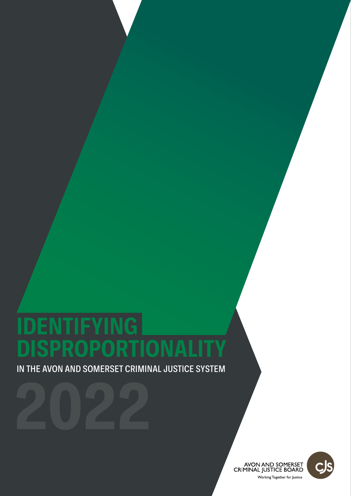# **IDENTIFYING SPROPORTIONA**

IN THE AVON AND SOMERSET CRIMINAL JUSTICE SYSTEM

![](_page_0_Picture_2.jpeg)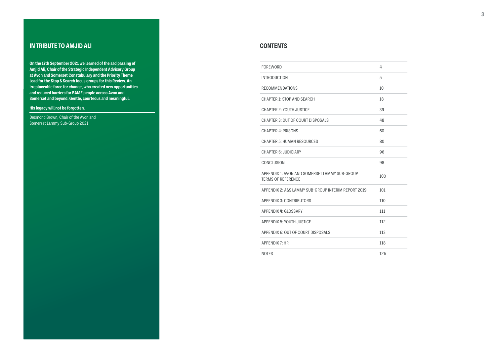# **IN TRIBUTE TO AMJID ALI CONTENTS**

**On the 17th September 2021 we learned of the sad passing of Amjid Ali, Chair of the Strategic Independent Advisory Group at Avon and Somerset Constabulary and the Priority Theme Lead for the Stop & Search focus groups for this Review. An irreplaceable force for change, who created new opportunities and reduced barriers for BAME people across Avon and Somerset and beyond. Gentle, courteous and meaningful.** 

**His legacy will not be forgotten.**

Desmond Brown, Chair of the Avon and Somerset Lammy Sub-Group 2021

FOREWORD

| FOREWORD                                                                   | 4   |
|----------------------------------------------------------------------------|-----|
| INTRODUCTION                                                               | 5   |
| RECOMMENDATIONS                                                            | 10  |
| <b>CHAPTER 1: STOP AND SEARCH</b>                                          | 18  |
| <b>CHAPTER 2: YOUTH JUSTICE</b>                                            | 34  |
| CHAPTER 3: OUT OF COURT DISPOSALS                                          | 48  |
| <b>CHAPTER 4: PRISONS</b>                                                  | 60  |
| <b>CHAPTER 5: HUMAN RESOURCES</b>                                          | 80  |
| <b>CHAPTER 6: JUDICIARY</b>                                                | 96  |
| CONCLUSION                                                                 | 98  |
| APPENDIX 1: AVON AND SOMERSET LAMMY SUB-GROUP<br><b>TERMS OF REFERENCE</b> | 100 |
| APPENDIX 2: A&S LAMMY SUB-GROUP INTERIM REPORT 2019                        | 101 |
| <b>APPENDIX 3: CONTRIBUTORS</b>                                            | 110 |
| <b>APPENDIX 4: GLOSSARY</b>                                                | 111 |
| <b>APPENDIX 5: YOUTH JUSTICE</b>                                           | 112 |
| APPENDIX 6: OUT OF COURT DISPOSALS                                         | 113 |
| APPENDIX 7: HR                                                             | 118 |
| <b>NOTES</b>                                                               | 126 |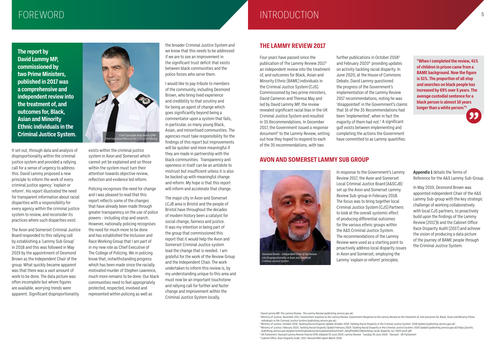# FOREWORD **<sup>5</sup>** INTRODUCTION

# **THE LAMMY REVIEW 2017**

Four years have passed since the publication of The Lammy Review 20171 an independent review into the treatment of, and outcomes for Black, Asian and Minority Ethnic (BAME) individuals in the Criminal Justice System (CJS). Commissioned by two prime ministers, David Cameron and Theresa May and led by David Lammy MP, the review revealed significant racial bias in the UK Criminal Justice System and resulted in 35 Recommendations. In December 2017, the Government issued a response document<sup>2</sup> to the Lammy Review, setting out how they hoped to respond to each of the 35 recommendations, with two

further publications in October 20183 and February  $2020<sup>4</sup>$ , providing updates on activity tackling racial disparity. In June 2020, at the House of Commons Debate, David Lammy questioned the progress of the Government's implementation of the Lammy Review 2017 recommendations, noting he was 'disappointed' in the Government's claims that 16 of the 35 Recommendations had been 'implemented', when in fact the majority of them had not.<sup>5</sup> A significant gulf exists between implementing and completing the actions the Government have committed to as Lammy quantifies:

**"When I completed the review, 41% of children in prison came from a BAME background. Now the figure is 51%. The proportion of all stop and searches on black people has increased by 69% over 5 years. The average custodial sentence for a black person is almost 10 years longer than a white person."5**

# **AVON AND SOMERSET LAMMY SUB GROUP**

In response to the Government's Lammy Review 2017, the Avon and Somerset Local Criminal Justice Board (A&SCJB) set up the Avon and Somerset Lammy Review Sub-group in February 2018. The focus was to bring together local Criminal Justice System (CJS) Partners to look at the overall systemic effect of producing differential outcomes for the various ethnic groups within the A&S Criminal Justice System. The recommendations of the Lammy Review were used as a starting point to proactively address local disparity issues in Avon and Somerset, employing the Lammy 'explain or reform' principles.

**Appendix 1** details the Terms of Reference for the A&S Lammy Sub-Group.

In May 2019, Desmond Brown was appointed independent Chair of the A&S Lammy Sub-group with the key strategic challenge of working collaboratively with local CJS partners, to proactively build upon the findings of the Lammy Review (2017)6 and the Cabinet Office Race Disparity Audit (2017) and achieve the vision of producing a data picture of the journey of BAME people through the Criminal Justice System.

**The report by David Lammy MP, commissioned by two Prime Ministers, published in 2017 was a comprehensive and independent review into the treatment of, and outcomes for, Black, Asian and Minority Ethnic individuals in the Criminal Justice System.** 

It set out, through data and analysis of disproportionality within the criminal justice system and provided a rallying call for a sense of urgency to address this. David Lammy proposed a new principle to inform the work of every criminal justice agency: 'explain or reform'. His report illustrated the need for transparent information about racial disparities with a responsibility for every agency within the criminal justice system to review, and reconsider its practices where such disparities exist.

The Avon and Somerset Criminal Justice Board responded to this rallying call by establishing a 'Lammy Sub Group' in 2018 and this was followed in May 2019 by the appointment of Desmond Brown as the Independent Chair of the group. What quickly became apparent was that there was a vast amount of work to be done. The data picture was often incomplete but where figures are available, worrying trends were apparent. Significant disproportionality

exists within the criminal justice system in Avon and Somerset which cannot yet be explained and so those within the system must turn their attention towards objective review, reflection and evidence led reform.

Policing recognises the need for change and I was pleased to read that this report reflects some of the changes that have already been made through greater transparency on the use of police powers - including stop and search. However, nationally policing recognises the need for much more to be done and has established the Inclusion and Race Working Group that I am part of in my new role as Chief Executive of The College of Policing. We in policing know that, notwithstanding progress which has been made since the racially motivated murder of Stephen Lawrence, much more remains to be done. Our black communities need to feel appropriately protected, respected, involved and represented within policing as well as

the broader Criminal Justice System and we know that this needs to be addressed if we are to see an improvement in the significant trust deficit that exists between black communities and the police forces who serve them.

I would like to pay tribute to members of the community, including Desmond Brown, who bring lived experience and credibility to that scrutiny and for being an agent of change which goes significantly beyond being a commentator upon a system that fails, in particular, so many young Black, Asian, and minoritised communities. The agencies must take responsibility for the findings of this report but improvements will be quicker and more meaningful if they are made in partnership with the black communities. Transparency and openness in itself can be an antidote to mistrust but insufficient unless it is also be backed up with meaningful change and reform. My hope is that this report will inform and accelerate that change.

The major city in Avon and Somerset LCJB area is Bristol and the people of Bristol have throughout the decades of modern history been a catalyst for social change, fairness and justice. It was my intention in being part of the group that commissioned this report that it would help the Avon and Somerset Criminal Justice system lead the change that is needed. I am grateful for the work of the Review Group and the Independent Chair. The work undertaken to inform this review is, by my understanding unique to this area and must now be an important touchstone and rallying call for further and faster change and improvement within the Criminal Justice System locally.

![](_page_2_Picture_4.jpeg)

![](_page_2_Picture_15.jpeg)

<sup>&</sup>lt;sup>1</sup> David Lammy MP, The Lammy Review : The Lammy Review (publishing.service.gov.uk) <sup>2</sup> Ministry of Justice, December 2017, Government response to the Lammy Review: Government Response to the Lammy Review on the treatment of, and outcomes for, Black, Asian and Minority Ethnic

individuals in the Criminal Justice System (publishing.service.gov.uk) 3 Ministry of Justice, October 2018, Tackling Racial Disparity Update October 2018: Tackling Racial Disparity in the Criminal Justice System: 2018 Update (publishing.service.gov.uk) <sup>4</sup> Ministry of Justice, February 2020, Tackling Racial Disparity Update February 2020: Tackling Racial Disparity in the Criminal Justice System: 2020 Update (publishing.service.gov.uk) https://assets. publishing.service.gov.uk/government/uploads/system/uploads/attachment\_data/file/881318/tackling-racial-disparity-cjs-2020-print.pdf 5 UK Parliament, Hansard Lammy Review Volume 678L debated 30 June 2020: Lammy Review - Tuesday 30 June 2020 - Hansard - UK Parliament 6 Cabinet Office, Race Disparity Audit, 2017: Revised RDA report March 2018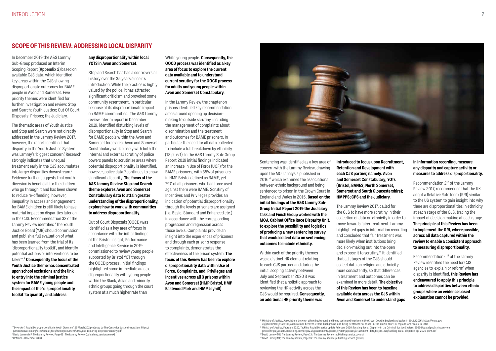# **SCOPE OF THIS REVIEW: ADDRESSING LOCAL DISPARITY**

In December 2019 the A&S Lammy Sub-Group produced an Interim Scoping Report (**Appendix 2**) based on available CJS data, which identified key areas within the CJS showing disproportionate outcomes for BAME people in Avon and Somerset. Five priority themes were identified for further investigation and review: Stop and Search; Youth Justice; Out Of Court Disposals; Prisons; the Judiciary.

The thematic areas of Youth Justice and Stop and Search were not directly addressed in the Lammy Review 2017, however, the report identified that disparity in the Youth Justice System was Lammy's 'biggest concern.' Research strongly indicates that unequal treatment early in the CJS accumulates into larger disparities downstream.<sup>7</sup> Evidence further suggests that youth diversion is beneficial for the children who go through it and has been shown to reduce re-offending, however, inequality in access and engagement for BAME children is still likely to have material impact on disparities later on in the CJS. Recommendation 33 of the Lammy Review identifies "The Youth Justice Board (YJB) should commission and publish a full evaluation of what has been learned from the trial of its 'disproportionality toolkit', and identify potential actions or interventions to be taken".8 **Consequently the focus of the Youth Justice theme has concentrated upon school exclusions and the link to entry into the criminal justice system for BAME young people and the impact of the 'disproportionality toolkit' to quantify and address** 

#### **any disproportionality within local YOTS in Avon and Somerset.**

Stop and Search has had a controversial history over the 35 years since its introduction. While the practice is highly valued by the police, it has attracted significant criticism and provoked some community resentment, in particular because of its disproportionate impact on BAME communities. The A&S Lammy review interim report in December 2019, identified disturbing levels of disproportionality in Stop and Search for BAME people within the Avon and Somerset force area. Avon and Somerset Constabulary work closely with both the internal and external scrutiny of police powers panels to scrutinise areas where potential disproportionality is identified, however, police data,<sup>9</sup> continues to show significant disparity. **The focus of the A&S Lammy Review Stop and Search theme explores Avon and Somerset Constabulary data to attain greater understanding of the disproportionality, explore how to work with communities to address disproportionality.**

Out of Court Disposals (OOCD) was identified as a key area of focus in accordance with the initial findings of the Bristol Insight, Performance and Intelligence Service in 2019 commissioned to review young people supported by Bristol YOT through the OOCD process. Initial findings highlighted some immediate areas of disproportionality with young people within the Black, Asian and minority ethnic groups going through the court system at a much higher rate than

#### White young people. **Consequently, the OOCD process was identified as a key area of focus to explore the current data available and to understand current scrutiny for the OOCD process for adults and young people within Avon and Somerset Constabulary.**

In the Lammy Review the chapter on prisons identified key recommendation areas around opening up decisionmaking to outside scrutiny, including the management of complaints about discrimination and the treatment and outcomes for BAME prisoners. In particular the need for all data collected to include a full breakdown by ethnicity (18 plus 1). In the A&S Lammy Sub-Group Report 2019 initial findings indicated an increase in Use of Force (UOF) for the BAME prisoners, with 35% of prisoners in HMP Bristol defined as BAME, yet 79% of all prisoners who had force used against them were BAME. Scrutiny of Incentives and Privileges provides an indication of potential disproportionality through the levels prisoners are assigned (i.e. Basic, Standard and Enhanced etc.) in accordance with the corresponding progression and regression across those levels. Complaints provide an insight into the experiences of prisoners and through each prison's response to complaints, demonstrates the effectiveness of the prison system. **The focus of this Review has been to explore disproportionality data within Use of Force, Complaints, and, Privileges and Incentives across all 3 prisons within Avon and Somerset (HMP Bristol, HMP Eastwood Park and HMP Leyhill)**

![](_page_3_Picture_9.jpeg)

Sentencing was identified as a key area of concern with the Lammy Review, drawing upon the MOJ analysis published in 2016<sup>10</sup> which examined the associations between ethnic background and being sentenced to prison in the Crown Court in England and Wales in 2015. **Based on the initial findings of the A&S Lammy Sub-Group Initial Report 2019 the Judiciary Task and Finish Group worked with the MOJ, Cabinet Office Race Disparity Unit, to explore the possibility and logistics of producing a new sentencing survey that would collect data on sentencing outcomes to include ethnicity.**

Within each of the priority themes was a distinct HR element relating to each CJS partner and during the initial scoping activity between July and September 2020 it was identified that a holistic approach to reviewing the HR activity across the CJS would be required. **Consequently, an additional HR priority theme was** 

**introduced to focus upon Recruitment, Retention and Development with each CJS partner, namely: Avon and Somerset Constabulary; YOTs (Bristol, BANES, North Somerset, Somerset and South Gloucestershire); HMPPS; CPS and the Judiciary.**

The Lammy Review 2017, called for the CJS to have more scrutiny in their collection of data on ethnicity in order to move towards fairer treatment. Lammy highlighted gaps in information recording and concluded that fair treatment was more likely when institutions bring decision-making out into the open and expose it to scrutiny.<sup>11</sup> It identified that all stages of the CJS should collect data on religion and ethnicity more consistently, so that differences in treatment and outcomes can be examined in more detail. **The objective of this Review has been to baseline available data across the CJS within Avon and Somerset to understand gaps** 

#### **in information recording, measure any disparity and capture activity or measures to address disproportionality.**

Recommendation 212 of the Lammy Review 2017, recommended that the UK adopt a Relative Rate Index (RRI) similar to the US system to gain insight into why there are disproportionalities in ethnicity at each stage of the CJS, tracing the impact of decision making at each stage. **The principle of this Review has been to implement the RRI, where possible, across all data captured within the review to enable a consistent approach to measuring disproportionality.**

Recommendation 413 of the Lammy Review identified the need for CJS agencies to 'explain or reform' when disparity is identified, **this Review has endeavoured to apply this principle to address disparities between ethnic groups where an evidence based explanation cannot be provided.**

<sup>7</sup> "Diversion? Racial Disproportionality in Youth Diversion" 25 March 202 produced by The Centre for Justice Innovation: https:// justiceinnovation.org/sites/default/files/media/document/2021/CJI\_Exploring-disproportionality.pdf <sup>8</sup> David Lammy MP, The Lammy Review, Page 61 : The Lammy Review (publishing.service.gov.uk) <sup>9</sup> October – December 2020

<sup>10</sup> Ministry of Justice, Associations between ethnic background and being sentenced to prison in the Crown Court in England and Wales in 2015. (2016): https://www.gov. uk/government/statistics/associations-between-ethnic-background-and-being-sentenced-to-prison-in-the-crown-court-in-england-and-wales-in-2015 <sup>11</sup> Ministry of Justice, February 2020, Tackling Racial Disparity Update February 2020: Tackling Racial Disparity in the Criminal Justice System: 2020 Update (publishing.service. gov.uk) https://assets.publishing.service.gov.uk/government/uploads/system/uploads/attachment\_data/file/881318/tackling-racial-disparity-cjs-2020-print.pdf

<sup>12</sup> David Lammy MP, The Lammy Review, Page 13 : The Lammy Review (publishing.service.gov.uk)

<sup>13</sup> David Lammy MP, The Lammy Review, Page 14 : The Lammy Review (publishing.service.gov.uk)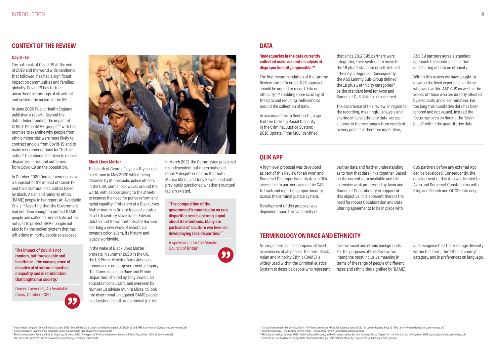### **CONTEXT OF THE REVIEW**

#### **Covid - 19**

The outbreak of Covid-19 at the end of 2019 and the world wide pandemic that followed, has had a significant impact on communities and families globally. Covid-19 has further unearthed the footings of structural and systematic racism in the UK.

In June 2020 Public Health England published a report, 'Beyond the data: Understanding the impact of COVID-19 on BAME groups'14 with the promise to examine why people from ethnic minorities were more likely to contract and die from Covid-19 and to make recommendations for "further action" that should be taken to reduce disparities in risk and outcomes from Covid-19 on the population.

In October 2020 Doreen Lawrence gave a snapshot of the impact of Covid-19 and the structural inequalities faced by Black, Asian and minority ethnic (BAME) people in her report An Avoidable Crisis.15 Asserting that the Government had not done enough to protect BAME people and called for immediate action not just to protect BAME people but also to fix the broken system that has left ethnic minority people so exposed.

#### **Black Lives Matter**

In accordance with Section 14, page 6 of the Tackling Racial Disparity in the Criminal Justice System: 2018 Update,<sup>20</sup> the MOJ identified

The death of George Floyd a 46-year-old black man in May 2020 whilst being detained by Minneapolis police officers in the USA, sent shock waves around the world, with people taking to the streets to express the need for police reform and racial equality. Protesters at a Black Lives Matter march in Bristol toppled a statue of a 17th century slave trader Edward Colston and threw it into Bristol Harbour sparking a new wave of resistance towards colonialism, its history and legacy worldwide.

In the wake of Black Lives Matter protests in summer 2020 in the UK, the UK Prime Minister Boris Johnson, announced a cross-governmental Inquiry 'The Commission on Race and Ethnic Disparities', chaired by Tony Sewell, an education consultant, and overseen by Number 10 adviser Munira Mirza, to look into discrimination against BAME people in education, health and criminal justice.

In March 2021 the Commission published its independent but much maligned report<sup>16</sup> despite concerns that both Munira Mirza, and Tony Sewell, had both previously questioned whether structural racism existed.

## **DATA**

#### **'Inadequacies in the data currently collected make accurate analysis of disproportionality impossible.'18**

The first recommendation of the Lammy Review stated "A cross-CJS approach should be agreed to record data on ethnicity",<sup>19</sup> enabling more scrutiny of the data and reducing inefficiencies around the collection of data.

<sup>18</sup> Corston Independent Funders Coalition – Written submission to Call for Evidence June 2016, The Lammy Review, Page 11 : The Lammy Review (publishing.service.gov.uk) <sup>19</sup> Recommendation 1, The Lammy Review, Page 7: The Lammy Review (publishing.service.gov.uk) <sup>20</sup> Ministry of Justice, October 2018: Tackling Racial Disparity in the Criminal Justice System: Tackling Racial Disparity in the Criminal Justice System: 2018 Update (publishing.service.gov.uk) <sup>21</sup> Criminal Justice System Exchange Data Standards Catalogue: self-defined-ethnicity-18plus1.pdf (publishing.service.gov.uk)

that since 2017 CJS partners were integrating their systems to move to the 18 plus 1 standard of self-defined ethnicity categories. Consequently, the A&S Lammy Sub-Group defined the 18 plus 1 ethnicity categories $^{21}$ be the standard level for Avon and Somerset CJS data to be baselined.

The experience of this review, in regard to the recording, meaningful analysis and sharing of local ethnicity data, across all priority themes ranges from excellent to very poor. It is therefore imperative,

A&S CJ partners agree a standard approach to recording, collection and sharing of data on ethnicity.

Within this review we have sought to draw on the lived experience of those who work within A&S CJS as well as the voices of those who are directly affected by inequality and discrimination. For too long this qualitative data has been ignored and not valued, instead the focus has been on finding the 'silver bullet' within the quantitative data.

# **QLIK APP**

A high level proposal was developed as part of this Review for an Avon and Somerset Disproportionality App in Qlik, accessible to partners across the CJS to track and report disproportionality across the criminal justice system.

Development of this proposal was dependent upon the availability of partner data and further understanding as to how that data links together. Based on the current data available and the extensive work progressed by Avon and Somerset Constabulary in support of this objective, it is apparent there is the need for robust Collaboration and Data Sharing agreements to be in place with

CJS partners before any external App can be developed. Consequently, the development of this App was limited to Avon and Somerset Constabulary with Stop and Search and OOCD data only.

# **TERMINOLOGY ON RACE AND ETHNICITY**

No single term can encompass all lived experiences of all people. The term Black, Asian and Minority Ethnic (BAME) is widely used within the Criminal Justice System to describe people who represent

diverse racial and ethnic backgrounds. For the purposes of this Review, we intend the most inclusive meaning in terms of the range of people of different races and ethnicities signified by 'BAME',

<sup>14</sup> Public Health England, Beyond the Data, June 2020: Beyond the Data: Understanding the Impact of COVID-19 on BAME Communities (publishing.service.gov.uk) <sup>15</sup> Baroness Doreen Lawrence, An Avoidable Crisis: An Avoidable Crisis (lawrencereview.co.uk)

and recognise that there is huge diversity within this term, the 'ethnic minority' category, and in preferences on language.

<sup>16</sup> The Commission on Race and Ethnic Disparity, 31 March 2021: The report of the Commission on Race and Ethnic Disparities - GOV.UK (www.gov.uk)

<sup>17</sup> BBC News: 16 July 2020. https://www.bbc.co.uk/news/uk-politics-53428248

**'The impact of Covid is not random, but foreseeable and inevitable – the consequence of decades of structural injustice, inequality and discrimination that blights our society.'**

Doreen Lawrence, An Avoidable Crisis, October 2020

![](_page_4_Picture_8.jpeg)

**"The composition of the government's commission on race disparities sends a strong signal about its intentions. Many are partisans of a culture war keen on downplaying race disparities."17**

A spokesman for the Muslim Council of Britain

![](_page_4_Picture_15.jpeg)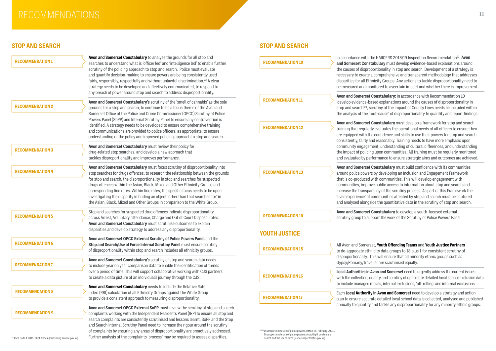# RECOMMENDATIONS **<sup>11</sup>**

# **STOP AND SEARCH STOP AND SEARCH**

| <b>RECOMMENDATION 1</b>                                                 | Avon and Somerset Constabulary to analyse the grounds for all stop and<br>searches to understand what is 'officer led' and 'intelligence led' to enable further<br>scrutiny of the policing approach to stop and search. Police must evaluate<br>and quantify decision-making to ensure powers are being consistently used<br>fairly, responsibly, respectfully and without unlawful discrimination. <sup>22</sup> A clear<br>strategy needs to be developed and effectively communicated, to respond to                                                                                      | <b>RECOMMENDATION 10</b>                                                                                                                                                                                        | In accordance witl<br>and Somerset Cor<br>the causes of disp<br>necessary to creat<br>disparities for all I<br>be measured and                         |
|-------------------------------------------------------------------------|-----------------------------------------------------------------------------------------------------------------------------------------------------------------------------------------------------------------------------------------------------------------------------------------------------------------------------------------------------------------------------------------------------------------------------------------------------------------------------------------------------------------------------------------------------------------------------------------------|-----------------------------------------------------------------------------------------------------------------------------------------------------------------------------------------------------------------|--------------------------------------------------------------------------------------------------------------------------------------------------------|
| <b>RECOMMENDATION 2</b>                                                 | any breach of power around stop and search to address disproportionality.<br>Avon and Somerset Constabulary's scrutiny of the 'smell of cannabis' as the sole<br>grounds for a stop and search, to continue to be a focus theme of the Avon and<br>Somerset Office of the Police and Crime Commissioner (OPCC) Scrutiny of Police<br>Powers Panel (SoPP) and Internal Scrutiny Panel to ensure any contravention is                                                                                                                                                                           | <b>RECOMMENDATION 11</b>                                                                                                                                                                                        | <b>Avon and Somers</b><br>'develop evidence<br>stop and search' <sup>24</sup><br>the analysis of the                                                   |
|                                                                         | identified. A strategy needs to be developed to ensure comprehensive training<br>and communications are provided to police officers, as appropriate, to ensure<br>understanding of the policy and improved policing approach to stop and search.                                                                                                                                                                                                                                                                                                                                              | <b>RECOMMENDATION 12</b>                                                                                                                                                                                        | <b>Avon and Somers</b><br>training that regul<br>are equipped with<br>consistently, fairly                                                             |
| <b>RECOMMENDATION 3</b>                                                 | Avon and Somerset Constabulary must review their policy for<br>drug-related stop searches, and develop a new approach that<br>tackles disproportionality and improves performance.                                                                                                                                                                                                                                                                                                                                                                                                            |                                                                                                                                                                                                                 | community engag<br>the impact of poli<br>and evaluated by                                                                                              |
| <b>RECOMMENDATION 4</b>                                                 | Avon and Somerset Constabulary must focus scrutiny of disproportionality into<br>stop searches for drugs offences, to research the relationship between the grounds<br>for stop and search, the disproportionality in stop and searches for suspected<br>drugs offences within the Asian, Black, Mixed and Other Ethnicity Groups and<br>corresponding find rates. Within find rates, the specific focus needs to be upon<br>investigating the disparity in finding an object 'other than that searched for' in<br>the Asian, Black, Mixed and Other Groups in comparison to the White Group. | <b>RECOMMENDATION 13</b>                                                                                                                                                                                        | <b>Avon and Somers</b><br>around police pow<br>that is co-produce<br>communities, imp<br>increase the trans<br>'lived experience'<br>and analysed alon |
| <b>RECOMMENDATION 5</b>                                                 | Stop and searches for suspected drug offences indicate disproportionality<br>across Arrest, Voluntary attendance, Charge and Out of Court Disposal rates.<br>Avon and Somerset Constabulary must scrutinise outcomes to explain<br>disparities and develop strategy to address any disproportionality.                                                                                                                                                                                                                                                                                        | <b>RECOMMENDATION 14</b>                                                                                                                                                                                        | <b>Avon and Somers</b><br>scrutiny group to:                                                                                                           |
| <b>RECOMMENDATION 6</b>                                                 | Avon and Somerset OPCC External Scrutiny of Police Powers Panel and the<br>Stop and Search/Use of Force Internal Scrutiny Panel must ensure scrutiny<br>of disproportionality within stop and search includes all ethnicity groups.                                                                                                                                                                                                                                                                                                                                                           | <b>YOUTH JUSTICE</b><br><b>RECOMMENDATION 15</b>                                                                                                                                                                | All Avon and Some<br>to de-aggregate e                                                                                                                 |
| <b>RECOMMENDATION 7</b>                                                 | Avon and Somerset Constabulary's scrutiny of stop and search data needs<br>to include year on year comparison data to enable the identification of trends<br>over a period of time. This will support collaborative working with CJS partners                                                                                                                                                                                                                                                                                                                                                 |                                                                                                                                                                                                                 | disproportionality<br>Gypsy/Romany/Tra<br><b>Local Authorities</b>                                                                                     |
| <b>RECOMMENDATION 8</b>                                                 | to create a data picture of an individual's journey through the CJS.<br>Avon and Somerset Constabulary needs to include the Relative Rate<br>Index (RRI) calculation of all Ethnicity Groups against the White Group                                                                                                                                                                                                                                                                                                                                                                          | <b>RECOMMENDATION 16</b>                                                                                                                                                                                        | with the collection<br>to include manage<br>Each Local Author                                                                                          |
| <b>RECOMMENDATION 9</b>                                                 | to provide a consistent approach to measuring disproportionality.<br>Avon and Somerset OPCC External SoPP must review the scrutiny of stop and search<br>complaints working with the Independent Residents Panel (IRP) to ensure all stop and<br>search complaints are consistently scrutinised and lessons learnt. SoPP and the Stop                                                                                                                                                                                                                                                         | <b>RECOMMENDATION 17</b>                                                                                                                                                                                        | plan to ensure acc<br>annually to quanti                                                                                                               |
| <sup>22</sup> Pace Code A 2015: PACE Code A (publishing.service.gov.uk) | and Search Internal Scrutiny Panel need to increase the rigour around the scrutiny<br>of complaints by ensuring any areas of disproportionality are proactively addressed.<br>Further analysis of the complaints 'process' may be required to assess disparities.                                                                                                                                                                                                                                                                                                                             | <sup>23/24</sup> Disproportionate use of police powers, HMCIFRS, February 2021:.<br>Disproportionate use of police powers: A spotlight on stop and<br>search and the use of force (justiceinspectorates.gov.uk) |                                                                                                                                                        |

In the HMICFRS 2018/19 Inspection Recommendation<sup>23</sup>, Avon **nstabulary** must develop evidence-based explanations around proportionality in stop and search. Development of a strategy is te a comprehensive and transparent methodology that addresses Ethnicity Groups. Any actions to tackle disproportionality need to monitored to ascertain impact and whether there is improvement.

**Avon Constabulary:** In accordance with Recommendation 10 -based explanations around the causes of disproportionality in  $4$ , scrutiny of the impact of County Lines needs be included within e 'root-cause' of disproportionality to quantify and report findings.

**Avon Somethabulary** must develop a framework for stop and search larly evaluates the operational needs of all officers to ensure they the confidence and skills to use their powers for stop and search y and reasonably. Training needs to have more emphasis upon gement, understanding of cultural differences, and understanding icing upon communities. All training must be regularly monitored performance to ensure strategic aims and outcomes are achieved.

**Avon Constabulary** must build confidence with its communities vers by developing an Inclusion and Engagement Framework ed with communities. This will develop engagement with prove public access to information about stop and search and sparency of the scrutiny process. As part of this Framework the of communities affected by stop and search must be captured ngside the quantitative data in the scrutiny of stop and search.

**Avon Constabulary** to develop a youth-focused external support the work of the Scrutiny of Police Powers Panel.

erset, Youth Offending Teams and Youth Justice Partners thnicity data groups to 18 plus 1 for consistent scrutiny of disproptionality. This will ensure that all minority ethnic groups such as aveller are scrutinised equally.

**In Avon and Somerset** need to urgently address the current issues 1, quality and scrutiny of up to date detailed local school exclusion data ed moves, internal exclusions, 'off-rolling' and informal exclusions.

rity in Avon and Somerset need to develop a strategy and action  $c$ urate detailed local school data is collected, analysed and published ify and tackle any disproportionality for any minority ethnic groups.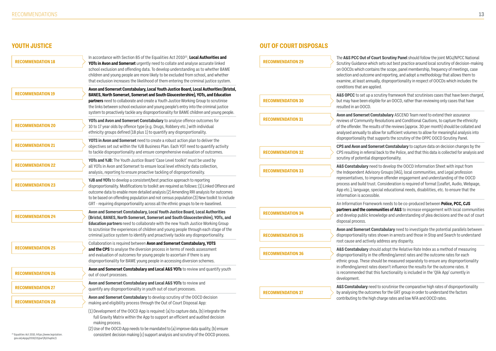# **YOUTH JUSTICE OUT OF COURT DISPOSALS**

**A&S Constabulary** need to develop the OOCD Information Sheet with input from visory Groups (IAG), local communities, and Legal profession improve offender engagement and understanding of the OOCD ust. Consideration is required of format (Leaflet, Audio, Webpage, , special educational needs, disabilities, etc. to ensure that the ssible.

An Information Framework needs to be co-produced between **Police, PCC, CJS promunities of A&S** to increase engagement with local communities knowledge and understanding of plea decisions and the out of court

t **Constabulary** need to investigate the potential parallels between ates shown in arrests and those in Stop and Search to understand vely address any disparity.

should adopt the Relative Rate Index as a method of measuring n the offending/arrest rates and the outcome rates for each should be measured separately to ensure any disproportionality rates doesn't influence the results for the outcome rates. It at this functionality is included in the 'Qlik App' currently in

**A&S Constabulary** need to scrutinise the comparative high rates of disproportionality comes for the GRT group in order to understand the factors high charge rates and low NFA and OOCD rates.

| <b>RECOMMENDATION 18</b> | In accordance with Section 85 of the Equalities Act 2010 <sup>25</sup> , Local Authorities and<br>YOTs in Avon and Somerset urgently need to collate and analyse accurate linked<br>school exclusion and offending data. To develop understanding as to whether BAME<br>children and young people are more likely to be excluded from school, and whether<br>that exclusion increases the likelihood of them entering the criminal justice system. | <b>RECOMMENDATION 29</b> | The A&S PCC Out of<br>Scrutiny Guidance w<br>on OOCDs which cor<br>selection and outcon<br>examine, at least anr |
|--------------------------|----------------------------------------------------------------------------------------------------------------------------------------------------------------------------------------------------------------------------------------------------------------------------------------------------------------------------------------------------------------------------------------------------------------------------------------------------|--------------------------|------------------------------------------------------------------------------------------------------------------|
| <b>RECOMMENDATION 19</b> | Avon and Somerset Constabulary, Local Youth Justice Board, Local Authorities (Bristol,<br>BANES, North Somerset, Somerset and South Gloucestershire), YOTs, and Education<br>partners need to collaborate and create a Youth Justice Working Group to scrutinise<br>the links between school exclusion and young people's entry into the criminal justice                                                                                          | <b>RECOMMENDATION 30</b> | conditions that are a<br>A&S OPCC to set up<br>but may have been e<br>resulted in an OOCD.                       |
| <b>RECOMMENDATION 20</b> | system to proactively tackle any disproportionality for BAME children and young people.<br>YOTs and Avon and Somerset Constabulary to analyse offence outcomes for<br>10 to 17 year olds by offence type (e.g. Drugs, Robbery etc.) with individual<br>ethnicity groups defined (18 plus 1) to quantify any disproportionality.                                                                                                                    | <b>RECOMMENDATION 31</b> | <b>Avon and Somerset</b><br>reviews of Communi<br>of the offender. The re<br>analysed annually to                |
| <b>RECOMMENDATION 21</b> | YOTS in Avon and Somerset need to create a robust action plan to deliver the<br>objectives set out within the YJB Business Plan. Each YOT need to quantify activity<br>to tackle disproportionality and ensure comprehensive evaluation of outcomes.                                                                                                                                                                                               | <b>RECOMMENDATION 32</b> | disproportionality th<br><b>CPS and Avon and S</b><br>CPS resulting in refer                                     |
| <b>RECOMMENDATION 22</b> | YOTs and YJB: The Youth Justice Board 'Case Level toolkit' must be used by<br>all YOTs in Avon and Somerset to ensure local level ethnicity data collection,<br>analysis, reporting to ensure proactive tackling of disproportionality.                                                                                                                                                                                                            | <b>RECOMMENDATION 33</b> | scrutiny of potential<br>A&S Constabulary r<br>the Independent Adv                                               |
| <b>RECOMMENDATION 23</b> | YJB and YOTs to develop a consistent/best practice approach to reporting<br>disproportionality. Modifications to toolkit are required as follows: (1) Linked Offence and<br>outcome data to enable more detailed analysis (2) Amending RRI analysis for outcomes<br>to be based on offending population and not census population (3) New toolkit to include                                                                                       |                          | representatives, to i<br>process and build tru<br>App etc.), language,<br>information is acces                   |
| <b>RECOMMENDATION 24</b> | GRT - requiring disproportionality across all the ethnic groups to be re-baselined.<br>Avon and Somerset Constabulary, Local Youth Justice Board, Local Authorities<br>(Bristol, BANES, North Somerset, Somerset and South Gloucestershire), YOTs, and<br>Education partners need to collaborate with the new Youth Justice Working Group                                                                                                          | <b>RECOMMENDATION 34</b> | An Information Fram<br>partners and the co<br>and develop public k<br>disposal process.                          |
|                          | to scrutinise the experiences of children and young people through each stage of the<br>criminal justice system to identify and proactively tackle any disproportionality.                                                                                                                                                                                                                                                                         | <b>RECOMMENDATION 35</b> | <b>Avon and Somerset</b><br>disproportionality ra<br>root cause and activ                                        |
| <b>RECOMMENDATION 25</b> | Collaboration is required between Avon and Somerset Constabulary, YOTS<br>and the CPS to analyse the diversion process in terms of needs assessment<br>and evaluation of outcomes for young people to ascertain if there is any<br>disproportionality for BAME young people in accessing diversion schemes.                                                                                                                                        | <b>RECOMMENDATION 36</b> | <b>A&amp;S Constabulary s</b><br>disproportionality in<br>ethnic group. These                                    |
| <b>RECOMMENDATION 26</b> | Avon and Somerset Constabulary and Local A&S YOTs to review and quantify youth<br>out of court processes.                                                                                                                                                                                                                                                                                                                                          |                          | in offending/arrest ra<br>is recommended tha<br>development.                                                     |
| <b>RECOMMENDATION 27</b> | Avon and Somerset Constabulary and Local A&S YOTs to review and<br>quantify any disproportionality in youth out of court processes.                                                                                                                                                                                                                                                                                                                | <b>RECOMMENDATION 37</b> | A&S Constabulary n<br>by analysing the out                                                                       |
| <b>RECOMMENDATION 28</b> | Avon and Somerset Constabulary to develop scrutiny of the OOCD decision<br>making and eligibility process through the Out of Court Disposal App:                                                                                                                                                                                                                                                                                                   |                          | contributing to the h                                                                                            |
|                          | (1) Development of the OOCD App is required: (a) to capture data, (b) integrate the<br>full Gravity Matrix within the App to support an efficient and audited decision<br>making process.<br>(2) Use of the OOCD App needs to be mandated to (a) improve data quality, (b) ensure                                                                                                                                                                  |                          |                                                                                                                  |

consistent decision making (c) support analysis and scrutiny of the OOCD process.

**F Court Scrutiny Panel** should follow the joint MOJ/NPCC National hich sets out best practice around local scrutiny of decision-making ntains the scope, panel membership, frequency of meetings, case me and reporting, and adopt a methodology that allows them to nually, disproportionality in respect of OOCDs which includes the applied.

a scrutiny framework that scrutinises cases that have been charged, ligible for an OOCD, rather than reviewing only cases that have

**Constabulary** ASCEND Team need to extend their assurance ity Resolutions and Conditional Cautions, to capture the ethnicity results of the reviews (approx. 30 per month) should be collated and o allow for sufficient volumes to allow for meaningful analysis into hat supports the scrutiny of the OPPC OOCD Scrutiny Panel.

**Comerset Constabulary** to capture data on decision changes by the rral back to the Police, and that this data is collected for analysis and disproportionality.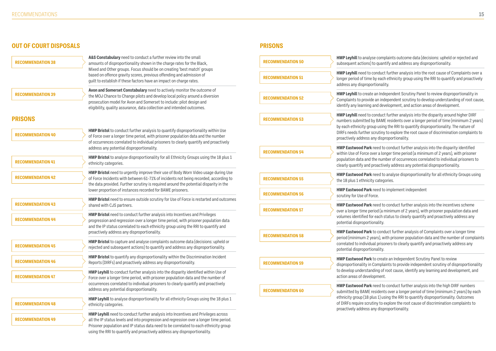# **OUT OF COURT DISPOSALS**

**PRISONS**

 $\mathbf s$ e complaints outcome data (decisions: upheld or rejected and to quantify and address any disproportionality.

**Conduct further analysis into the root cause of Complaints over a** by each ethnicity group using the RRI to quantify and proactively rtionality.

an Independent Scrutiny Panel to review disproportionality in e an independent scrutiny to develop understanding of root cause, and development, and action areas of development.

eonduct further analysis into the disparity around higher DIRF y BAME residents over a longer period of time (minimum 2 years) up using the RRI to quantify disproportionality. The nature of crutiny to explore the root cause of discrimination complaints to ny disproportionality.

**HMP Eastwood Park** need to conduct further analysis into the disparity identified ver a longer time period (a minimum of 2 years), with prisoner he number of occurrences correlated to individual prisoners to roactively address any potential disproportionality.

**heed to analyse disproportionality for all ethnicity Groups using** categories.

**HMP Eastwood Park** need to implement independent rce.

**HMP Eastwood Park** need to conduct further analysis into the incentives scheme riod (a minimum of 2 years), with prisoner population data and reach status to clearly quantify and proactively address any potential disponential disponential disponential disponential disportion to the manner concrete the concrete t

to conduct further analysis of Complaints over a longer time ears), with prisoner population data and the number of complaints al prisoners to clearly quantify and proactively address any potential disponential disponential disponential disponential disportion disportion that the set of the set of  $\alpha$ 

to create an Independent Scrutiny Panel to review Complaints to provide independent scrutiny of disproportionality ding of root cause, identify any learning and development, and opment.

**HMP Eastwood Park** need to conduct further analysis into the high DIRF numbers esidents over a longer period of time (minimum 2 years) by each us 1) using the RRI to quantify disproportionality. Outcomes iny to explore the root cause of discrimination complaints to ny disproportionality.

| <b>RECOMMENDATION 38</b> | A&S Constabulary need to conduct a further review into the small<br>amounts of disproportionality shown in the charge rates for the Black,                                                                                                                                                                                                         | <b>RECOMMENDATION 50</b> | <b>HMP Leyhill to analys</b><br>subsequent actions) to                           |
|--------------------------|----------------------------------------------------------------------------------------------------------------------------------------------------------------------------------------------------------------------------------------------------------------------------------------------------------------------------------------------------|--------------------------|----------------------------------------------------------------------------------|
|                          | Mixed and Other groups. Focus should be on creating 'best match' groups<br>based on offence gravity scores, previous offending and admission of<br>quilt to establish if these factors have an impact on charge rates.                                                                                                                             | <b>RECOMMENDATION 51</b> | HMP Leyhill need to c<br>longer period of time b<br>address any dispropor        |
| <b>RECOMMENDATION 39</b> | Avon and Somerset Constabulary need to actively monitor the outcome of<br>the MOJ Chance to Change pilots and develop local policy around a diversion<br>prosecution model for Avon and Somerset to include: pilot design and                                                                                                                      | <b>RECOMMENDATION 52</b> | <b>HMP Leyhill to create</b><br>Complaints to provide<br>identify any learning a |
| <b>PRISONS</b>           | eligibility, quality assurance, data collection and intended outcomes.                                                                                                                                                                                                                                                                             | <b>RECOMMENDATION 53</b> | HMP Leyhill need to c<br>numbers submitted by                                    |
| <b>RECOMMENDATION 40</b> | <b>HMP Bristol</b> to conduct further analysis to quantify disproportionality within Use<br>of Force over a longer time period, with prisoner population data and the number<br>of occurrences correlated to individual prisoners to clearly quantify and proactively                                                                              |                          | by each ethnicity grou<br>DIRFs needs further so<br>proactively address ar       |
|                          | address any potential disproportionality.                                                                                                                                                                                                                                                                                                          | <b>RECOMMENDATION 54</b> | <b>HMP Eastwood Park r</b><br>within Use of Force ov                             |
| <b>RECOMMENDATION 41</b> | HMP Bristol to analyse disproportionality for all Ethnicity Groups using the 18 plus 1<br>ethnicity categories.                                                                                                                                                                                                                                    |                          | population data and tl<br>clearly quantify and pi                                |
| <b>RECOMMENDATION 42</b> | HMP Bristol need to urgently improve their use of Body Worn Video usage during Use<br>of Force Incidents with between 61-71% of incidents not being recorded, according to                                                                                                                                                                         | <b>RECOMMENDATION 55</b> | <b>HMP Eastwood Park r</b><br>the 18 plus 1 ethnicity                            |
|                          | the data provided. Further scrutiny is required around the potential disparity in the<br>lower proportion of instances recorded for BAME prisoners.                                                                                                                                                                                                | <b>RECOMMENDATION 56</b> | <b>HMP Eastwood Park r</b>                                                       |
| <b>RECOMMENDATION 43</b> | HMP Bristol need to ensure outside scrutiny for Use of Force is restarted and outcomes<br>shared with CJS partners.                                                                                                                                                                                                                                |                          | scrutiny for Use of For<br><b>HMP Eastwood Park r</b>                            |
|                          | <b>HMP Bristol</b> need to conduct further analysis into Incentives and Privileges                                                                                                                                                                                                                                                                 | <b>RECOMMENDATION 57</b> | over a longer time per<br>volumes identified for                                 |
| <b>RECOMMENDATION 44</b> | progression and regression over a longer time period, with prisoner population data<br>and the IP status correlated to each ethnicity group using the RRI to quantify and                                                                                                                                                                          |                          | potential disproportio                                                           |
|                          | proactively address any disproportionality.                                                                                                                                                                                                                                                                                                        | <b>RECOMMENDATION 58</b> | <b>HMP Eastwood Park t</b><br>period (minimum 2 ye                               |
| <b>RECOMMENDATION 45</b> | <b>HMP Bristol</b> to capture and analyse complaints outcome data (decisions: upheld or<br>rejected and subsequent actions) to quantify and address any disproportionality.                                                                                                                                                                        |                          | correlated to individua<br>potential disproportio                                |
| <b>RECOMMENDATION 46</b> | HMP Bristol to quantify any disproportionality within the Discrimination Incident<br>Reports (DIRFs) and proactively address any disproportionality.                                                                                                                                                                                               | <b>RECOMMENDATION 59</b> | <b>HMP Eastwood Parkt</b><br>disproportionality in C                             |
| <b>RECOMMENDATION 47</b> | HMP Leyhill to conduct further analysis into the disparity identified within Use of<br>Force over a longer time period, with prisoner population data and the number of                                                                                                                                                                            |                          | to develop understand<br>action areas of develo                                  |
|                          | occurrences correlated to individual prisoners to clearly quantify and proactively<br>address any potential disproportionality.                                                                                                                                                                                                                    | <b>RECOMMENDATION 60</b> | <b>HMP Eastwood Park r</b><br>submitted by BAME re                               |
| <b>RECOMMENDATION 48</b> | <b>HMP Leyhill</b> to analyse disproportionality for all ethnicity Groups using the 18 plus 1<br>ethnicity categories.                                                                                                                                                                                                                             |                          | ethnicity group (18 plu<br>of DIRFs require scruti                               |
| <b>RECOMMENDATION 49</b> | HMP Leyhill need to conduct further analysis into Incentives and Privileges across<br>all the IP status levels and into progression and regression over a longer time period.<br>Prisoner population and IP status data need to be correlated to each ethnicity group<br>using the RRI to quantify and proactively address any disproportionality. |                          | proactively address ar                                                           |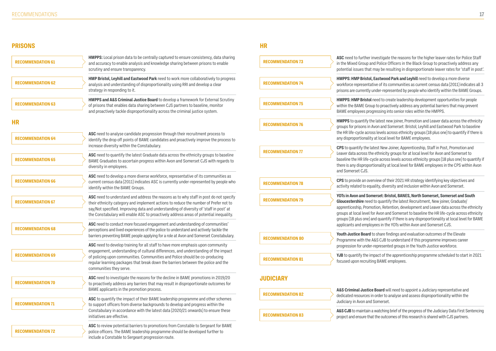# **PRISONS**

**HR**

vestigate the reasons for the higher leaver rates for Police Staff I Police Officers in the Black Group to proactively address any hay be resulting in disproportionate leaver rates for 'staff in post'.

**Hastwood Park and Leyhill** need to develop a more diverse ve of its communities as current census data (2011) indicates all 3 nder-represented by people who identify within the BAME Groups.

eed to create leadership development opportunities for people to proactively address any potential barriers that may prevent essing into senior roles within the HMPPS.

latest new joiner, Promotion and Leaver data across the ethnicity on and Somerset: Bristol; Leyhill and Eastwood Park to baseline s levels across ethnicity groups (18 plus one) to quantify if there is at local level for BAME employees.

est New Joiner, Apprenticeship, Staff in Post, Promotion and ethnicity groups for at local level for Avon and Somerset to le across levels across ethnicity groups (18 plus one) to quantify if onality at local level for BAME employees in the CPS within Avon

view of their 2021 HR strategy identifying key objectives and lity, diversity and inclusion within Avon and Somerset.

**Prset: Bristol, BANES, North Somerset, Somerset and South** to quantify the latest Recruitment, New joiner, Graduate/ ion, Retention, development and Leaver data across the ethnicity Avon and Somerset to baseline the HR life-cycle across ethnicity id quantify if there is any disproportionality at local level for BAME ees in the YOTs within Avon and Somerset CJS.

**Share findings and evaluation outcomes of the Elevate** GR<sup>o</sup> CJB to understand if this programme improves career epresented groups in the Youth Justice workforce.

act of the apprenticeship programme scheduled to start in 2021 **BAME** employees.

**Board** will need to appoint a Judiciary representative and order to analyse and assess disproportionality within the omerset.

watching brief of the progress of the Judiciary Data First Sentencing the outcomes of this research is shared with CJS partners.

| <b>RECOMMENDATION 61</b> | HMPPS: Local prison data to be centrally captured to ensure consistency, data sharing<br>and accuracy to enable analysis and knowledge sharing between prisons to enable<br>scrutiny and ensure transparency.                                                           | <b>RECOMMENDATION 73</b> | ASC need to further inv<br>in the Mixed Group and<br>potential issues that m           |
|--------------------------|-------------------------------------------------------------------------------------------------------------------------------------------------------------------------------------------------------------------------------------------------------------------------|--------------------------|----------------------------------------------------------------------------------------|
| <b>RECOMMENDATION 62</b> | HMP Bristol, Leyhill and Eastwood Park need to work more collaboratively to progress<br>analysis and understanding of disproportionality using RRI and develop a clear<br>strategy in responding to it.                                                                 | <b>RECOMMENDATION 74</b> | <b>HMPPS: HMP Bristol, E</b><br>workforce representativ<br>prisons are currently un    |
| <b>RECOMMENDATION 63</b> | HMPPS and A&S Criminal Justice Board to develop a framework for External Scrutiny<br>of prisons that enables data sharing between CJS partners to baseline, monitor<br>and proactively tackle disproportionality across the criminal justice system.                    | <b>RECOMMENDATION 75</b> | <b>HMPPS: HMP Bristol ne</b><br>within the BAME Group<br><b>BAME</b> employees progr   |
| <b>HR</b>                |                                                                                                                                                                                                                                                                         | <b>RECOMMENDATION 76</b> | <b>HMPPS</b> to quantify the<br>groups for prisons in Av                               |
| <b>RECOMMENDATION 64</b> | ASC need to analyse candidate progression through their recruitment process to<br>identify the drop off points of BAME candidates and proactively improve the process to                                                                                                |                          | the HR life-cycle across<br>any disproportionality a                                   |
|                          | increase diversity within the Constabulary.<br>ASC need to quantify the latest Graduate data across the ethnicity groups to baseline                                                                                                                                    | <b>RECOMMENDATION 77</b> | <b>CPS</b> to quantify the late<br>Leaver data across the                              |
| <b>RECOMMENDATION 65</b> | BAME Graduates to ascertain progress within Avon and Somerset CJS with regards to<br>diversity in employees.                                                                                                                                                            |                          | baseline the HR life-cyc<br>there is any disproportion<br>and Somerset CJS.            |
| <b>RECOMMENDATION 66</b> | ASC need to develop a more diverse workforce, representative of its communities as<br>current census data (2011) indicates ASC is currently under-represented by people who<br>identify within the BAME Groups.                                                         | <b>RECOMMENDATION 78</b> | CPS to provide an overy<br>activity related to equal                                   |
| <b>RECOMMENDATION 67</b> | ASC need to understand and address the reasons as to why staff in post do not specify<br>their ethnicity category and implement actions to reduce the number of Prefer not to<br>say/Not specified. Improving data and understanding of diversity of 'staff in post' at | <b>RECOMMENDATION 79</b> | <b>YOTs in Avon and Some</b><br>Gloucestershire need to<br>apprenticeship, Promot      |
|                          | the Constabulary will enable ASC to proactively address areas of potential inequality.<br>ASC need to conduct more focused engagement and understanding of communities'                                                                                                 |                          | groups at local level for<br>groups (18 plus one) and<br>applicants and employe        |
| <b>RECOMMENDATION 68</b> | perceptions and lived experiences of the police to understand and actively tackle the<br>barriers preventing BAME people applying for a role at Avon and Somerset Constabulary.                                                                                         | <b>RECOMMENDATION 80</b> | Youth Justice Board to<br>Programme with the A&                                        |
|                          | ASC need to develop training for all staff to have more emphasis upon community<br>engagement, understanding of cultural differences, and understanding of the impact                                                                                                   |                          | progression for under-re                                                               |
| <b>RECOMMENDATION 69</b> | of policing upon communities. Communities and Police should be co-producing<br>regular learning packages that break down the barriers between the police and the<br>communities they serve.                                                                             | <b>RECOMMENDATION 81</b> | <b>YJB</b> to quantify the imp<br>focused upon recruiting                              |
| <b>RECOMMENDATION 70</b> | ASC need to investigate the reasons for the decline in BAME promotions in 2019/20<br>to proactively address any barriers that may result in disproportionate outcomes for                                                                                               | <b>JUDICIARY</b>         |                                                                                        |
|                          | BAME applicants in the promotion process.<br>ASC to quantify the impact of their BAME leadership programme and other schemes                                                                                                                                            | <b>RECOMMENDATION 82</b> | <b>A&amp;S Criminal Justice I</b><br>dedicated resources in<br>Judiciary in Avon and S |
| <b>RECOMMENDATION 71</b> | to support officers from diverse backgrounds to develop and progress within the<br>Constabulary in accordance with the latest data (2020/21 onwards) to ensure these<br>initiatives are effective.                                                                      | <b>RECOMMENDATION 83</b> | A&S CJB to maintain a v<br>project and ensure that                                     |
| <b>RECOMMENDATION 72</b> | ASC to review potential barriers to promotions from Constable to Sergeant for BAME<br>police officers. The BAME leadership programme should be developed further to<br>include a Constable to Sergeant progression route.                                               |                          |                                                                                        |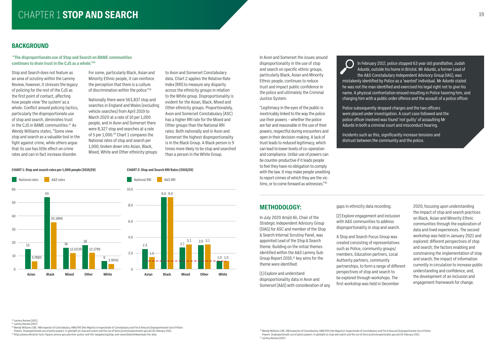# CHAPTER 1 **STOP AND SEARCH 19**

### **BACKGROUND**

#### **"The disproportionate use of Stop and Search on BAME communities continues to drain trust in the CJS as a whole."26**

Stop and Search does not feature as an area of scrutiny within the Lammy Review, however, it stresses the legacy of policing for the rest of the CJS as the first point of contact, affecting how people view 'the system' as a whole. Conflict around policing tactics, particularly the disproportionate use of stop and search, diminishes trust in the CJS in BAME communities.<sup>27</sup> As Wendy Williams states, "Some view stop and search as a valuable tool in the fight against crime, while others argue that its use has little effect on crime rates and can in fact increase disorder.

For some, particularly Black, Asian and Minority Ethnic people, it can reinforce the perception that there is a culture of discrimination within the police."28

Nationally there were 563,837 stop and searches in England and Wales (excluding vehicle searches) from April 2019 to March 2020 at a rate of 10 per 1,000 people, and in Avon and Somerset there were 8,327 stop and searches at a rate of 5 per 1,000.<sup>29</sup> Chart 1 compares the National rates of stop and search per 1,000, broken down into Asian, Black, Mixed, White and Other ethnicity groups

> <sup>30</sup> Wendy Williams CBE, HM Inspector of Constabulary, HMICFRS (Her Majesty's Inspectorate of Constabulary and Fire & Rescue) Disproportionate Use of Police Powers: Disproportionate use of police powers: A spotlight on stop and search and the use of force (justiceinspectorates.gov.uk) 26 February 2021 <sup>31</sup> Lammy Review (2017)

to Avon and Somerset Constabulary data. Chart 2 applies the Relative Rate Index (RRI) to measure any disparity across the ethnicity groups in relation to the White group. Disproportionality is evident for the Asian, Black, Mixed and Other ethnicity groups. Proportionately, Avon and Somerset Constabulary (ASC) has a higher RRI rate for the Mixed and Other groups than the National RRI rates. Both nationally and in Avon and Somerset the highest disproportionality is in the Black Group. A Black person is 9 times more likely to be stop and searched than a person in the White Group.

27 Lammy Review (2017)

<sup>28</sup> Wendy Williams CBE, HM Inspector of Constabulary, HMICFRS (Her Majesty's Inspectorate of Constabulary and Fire & Rescue) Disproportionate Use of Police

Powers: Disproportionate use of police powers: A spotlight on stop and search and the use of force (justiceinspectorates.gov.uk) 26 February 2021.

29 https://www.ethnicity-facts-figures.service.gov.uk/crime-justice-and-the-law/policing/stop-and-search/latest#download-the-data

#### In Avon and Somerset the issues around disproportionality in the use of stop and search on specific ethnic groups, particularly Black, Asian and Minority Ethnic people, continues to reduce trust and impact public confidence in the police and ultimately the Criminal Justice System.

"Legitimacy in the eyes of the public is inextricably linked to the way the police use their powers – whether the police are fair and reasonable in the use of their powers, respectful during encounters and open in their decision-making. A lack of trust leads to reduced legitimacy, which can lead to lower levels of co-operation and compliance. Unfair use of powers can be counter-productive if it leads people to feel they have no obligation to comply with the law. It may make people unwilling to report crimes of which they are the victims, or to come forward as witnesses."30

### **METHODOLOGY:**

In July 2020 Amjid Ali, Chair of the Strategic Independent Advisory Group (SIAG) for ASC and member of the Stop & Search Internal Scrutiny Panel, was appointed Lead of the Stop & Search theme. Building on the initial themes identified within the A&S Lammy Sub-Group Report  $2019$ ,  $31$  key aims for the theme were identified:

(1) Explore and understand disproportionality data in Avon and Somerset (A&S) with consideration of any gaps in ethnicity data recording;

(2) Explore engagement and inclusion with A&S communities to address disproportionality in stop and search.

A Stop and Search Focus Group was created consisting of representatives such as Police, community groups/ members, Education partners, Local Authority partners, community partnerships, to form a range of different perspectives of stop and search to be explored through workshops. The first workshop was held in December

<sup>26</sup> Lammy Review (2017)

2020, focusing upon understanding the impact of stop and search practices on Black, Asian and Minority Ethnic communities through the exploration of data and lived experiences. The second workshop was held in January 2021 and explored: different perspectives of stop and search; the factors enabling and constraining the implementation of stop and search; the impact of information currently in circulation to increase public understanding and confidence, and, the development of an inclusion and engagement framework for change.

In February 2017, police stopped 63 year old grandfather, Judah Adunbi, outside his home in Bristol. Mr Adunbi, a former Lead of the A&S Constabulary Independent Advisory Group (IAG), was mistakenly identified by Police as a 'wanted' individual. Mr Adunbi stated he was not the man identified and exercised his legal right not to give his name. A physical confrontation ensued resulting in Police tasering him, and charging him with a public order offence and the assault of a police officer.

Police subsequently dropped charges and the two officers were placed under investigation. A court case followed and the police officer involved was found 'not guilty' of assaulting Mr Adunbi in both a criminal court and misconduct hearing.

Incidents such as this, significantly increase tensions and distrust between the community and the police.

#### **CHART 1: Stop and search rates per 1,000 people (2019/20)**

![](_page_9_Figure_8.jpeg)

#### **CHART 2: Stop and Search RRI Rates (2019/20)**

![](_page_9_Figure_10.jpeg)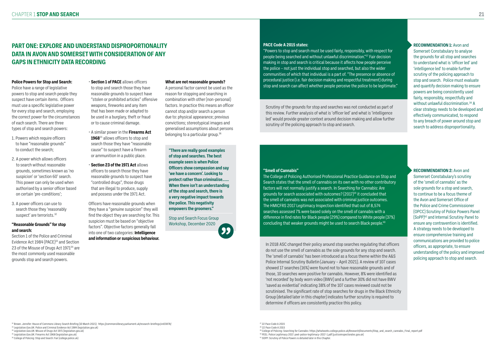# **PART ONE: EXPLORE AND UNDERSTAND DISPROPORTIONALITY DATA IN AVON AND SOMERSET WITH CONSIDERATION OF ANY GAPS IN ETHNICITY DATA RECORDING**

#### **Police Powers for Stop and Search:**

- 1. Powers which require officers to have "reasonable grounds" to conduct the search;
- 2. A power which allows officers to search without reasonable grounds, sometimes known as 'no suspicion' or 'section 60' search. This power can only be used when authorised by a senior officer based on certain 'pre-conditions';
- 3. A power officers can use to search those they 'reasonably suspect' are terrorists.<sup>32</sup>

Police have a range of legislative powers to stop and search people they suspect have certain items. Officers must use a specific legislative power for every stop and search, employing the correct power for the circumstances of each search. There are three types of stop and search powers:

#### **"Reasonable Grounds" for stop and search:**

Section 1 of the Police and Criminal Evidence Act 1984 (PACE)<sup>33</sup> and Section 23 of the Misuse of Drugs Act 1971<sup>34</sup> are the most commonly used reasonable grounds stop and search powers.

#### • **Section 1 of PACE** allows officers to stop and search those they have reasonable grounds to suspect have

"stolen or prohibited articles" offensive weapons, fireworks and any item that has been made or adapted to be used in a burglary, theft or fraud or to cause criminal damage.

- A similar power in the **Firearms Act**  1968<sup>35</sup> allows officers to stop and search those they have "reasonable cause" to suspect have a firearm or ammunition in a public place.
- **Section 23 of the 1971 Act** allows officers to search those they have reasonable grounds to suspect have "controlled drugs", those drugs that are illegal to produce, supply and possess under the 1971 Act.

A personal factor cannot be used as the reason for stopping and searching in combination with other (non-personal) factors. In practice this means an officer cannot stop and/or search a person due to: physical appearance; previous convictions; stereotypical images and generalised assumptions about persons belonging to a particular group.<sup>36</sup>

Officers have reasonable grounds when they have a "genuine suspicion" they will find the object they are searching for. This suspicion must be based on "objective factors". Objective factors generally fall into one of two categories: **Intelligence and information or suspicious behaviour.** The College of Policing Authorised Professional Practice Guidance on Stop and Search states that the smell of cannabis on its own with no other contributory factors will not normally justify a search. In Searching for Cannabis: Are grounds for search associated with outcomes? (2017)39 it concluded that the smell of cannabis was not associated with criminal justice outcomes. The HMICFRS 2017 Legitimacy Inspection identified that out of 8,574 searches assessed 7% were based solely on the smell of cannabis with a difference in find rates for Black people (29%) compared to White people (37%) concluding that weaker grounds might be used to search Black people.<sup>40</sup>

#### **PACE Code A 2015 states:**

"Powers to stop and search must be used fairly, responsibly, with respect for people being searched and without unlawful discrimination."37 Fair decision making in stop and search is critical because it affects how people perceive the police – not just the individual stop and searched, but also the wider communities of which that individual is a part of. "The presence or absence of procedural justice (i.e. fair decision making and respectful treatment) during stop and search can affect whether people perceive the police to be legitimate."

Scrutiny of the grounds for stop and searches was not conducted as part of this review. Further analysis of what is 'officer led' and what is 'intelligence led' would provide greater context around decision making and allow further scrutiny of the policing approach to stop and search.

40 PEEL: Police Legitimacy 2017: peel-police-legitimacy-2017-1.pdf (justiceinspectorates.gov.uk) <sup>41</sup> SOPP: Scrutiny of Police Powers is detailed later in this Chapter

In 2018 ASC changed their policy around stop searches regulating that officers do not use the smell of cannabis as the sole grounds for any stop and search. The 'smell of cannabis' has been introduced as a focus theme within the A&S Police Internal Scrutiny Bulletin (January – April 2021). A review of 107 cases showed 17 searches (16%) were found not to have reasonable grounds and of those, 10 searches were positive for cannabis. However, 8% were identified as 'not recorded' by body worn video (BWV) and a further 30% did not have BWV 'saved as evidential' indicating 38% of the 107 cases reviewed could not be scrutinised. The significant rate of stop searches for drugs in the Black Ethnicity Group (detailed later in this chapter) indicates further scrutiny is required to determine if officers are consistently practice this policy.

#### **What are not reasonable grounds?**

#### **"Smell of Cannabis"**

**"There are really good examples of stop and searches. The best example seen is when Police Officers show compassion and say 'we have a concern'. Looking to protect rather than criminalise.….. When there isn't an understanding of the stop and search, there is a very negative impact towards the police. This negativity empowers the groomers."**

Stop and Search Focus Group Workshop, December 2020

99

32 Brown. Jennifer: House of Commons Library Search Briefing (10 March 2021): https://commonslibrary.parliament.uk/research-briefings/sn03878/

33 Legislation.Gov.UK: Police and Criminal Evidence Act 1984 (legislation.gov.uk)

<sup>34</sup> Legislation.Gov.UK: Misuse of Drugs Act 1971 (legislation.gov.uk)

35 Legislation.Gov.UK: Firearms Act 1968 (legislation.gov.uk)

36 College of Policing: Stop and Search: Fair (college.police.uk)

37 22 Pace Code A 2015

38 22 Pace Code A 2015

**RECOMMENDATION 1:** Avon and Somerset Constabulary to analyse the grounds for all stop and searches to understand what is 'officer led' and 'intelligence led' to enable further scrutiny of the policing approach to stop and search. Police must evaluate and quantify decision making to ensure powers are being consistently used fairly, responsibly, respectfully and without unlawful discrimination.<sup>38</sup> A clear strategy needs to be developed and effectively communicated, to respond to any breach of power around stop and search to address disproportionality.

**RECOMMENDATION 2:** Avon and Somerset Constabulary's scrutiny of the 'smell of cannabis' as the sole grounds for a stop and search, to continue to be a focus theme of the Avon and Somerset Office of the Police and Crime Commissioner (OPCC) Scrutiny of Police Powers Panel (SoPP)42 and Internal Scrutiny Panel to ensure any contravention is identified. A strategy needs to be developed to ensure comprehensive training and communications are provided to police officers, as appropriate, to ensure understanding of the policy and improved policing approach to stop and search.

<sup>39</sup> College of Policing: Searching for Cannabis: https://whatworks.college.police.uk/Research/Documents/Stop\_and\_search\_cannabis\_Final\_report.pdf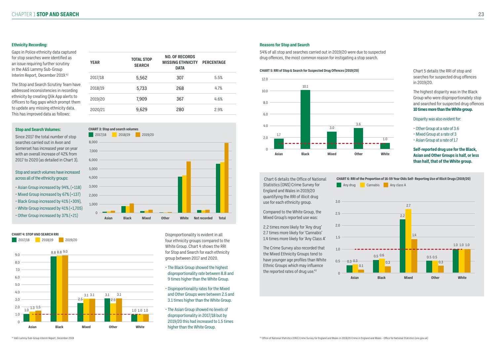#### **Ethnicity Recording:**

Gaps in Police ethnicity data captured for stop searches were identified as an issue requiring further scrutiny in the A&S Lammy Sub-Group Interim Report, December 2019.42

The Stop and Search Scrutiny Team have addressed inconsistencies in recording ethnicity by creating Qlik App alerts to Officers to flag gaps which prompt then to update any missing ethnicity data. This has improved data as follows:

#### **Reasons for Stop and Search**

54% of all stop and searches carried out in 2019/20 were due to suspected drug offences, the most common reason for instigating a stop search.

#### **Stop and Search Volumes:**

Since 2017 the total number of stop searches carried out in Avon and Somerset has increased year on year with an overall increase of 42% from 2017 to 2020 (as detailed in Chart 3).

> Disproportionality is evident in all four ethnicity groups compared to the White Group. Chart 4 shows the RRI for Stop and Search for each ethnicity group between 2017 and 2020.

- The Black Group showed the highest disproportionality rate between 8.8 and 9 times higher than the White Group.
- Disproportionality rates for the Mixed and Other Groups were between 2.5 and 3.1 times higher than the White Group.
- The Asian Group showed no levels of disproportionality in 2017/18 but by 2019/20 this had increased to 1.5 times higher than the White Group.

|   | <b>YEAR</b> | <b>TOTAL STOP</b><br><b>SEARCH</b> | <b>NO. OF RECORDS</b><br><b>MISSING ETHNICITY</b><br><b>DATA</b> | <b>PERCENTAGE</b> |
|---|-------------|------------------------------------|------------------------------------------------------------------|-------------------|
|   | 2017/18     | 5,562                              | 307                                                              | 5.5%              |
| е | 2018/19     | 5,733                              | 268                                                              | 4.7%              |
|   | 2019/20     | 7,909                              | 367                                                              | 4.6%              |
|   | 2020/21     | 9,629                              | 280                                                              | 2.9%              |

The Crime Survey also recorded that the Mixed Ethnicity Groups tend to have younger age profiles than White Ethnic Groups which may influence the reported rates of drug use. $43$ 

![](_page_11_Figure_13.jpeg)

 $\Omega$ 1.0 2.0 3.0 4.0 5.0 6.0 7.0 8.0 9.0 2017/18 2018/19 2019/20 **White Mixed Asian Black Other CHART 4: STOP AND SEARCH RRI** 1.0 1.3 1.5 2.5 3.1 3.1 3.1 1.0 1.0 1.0 8.8 8.8 9.03.1 3.1 2.5

#### Stop and search volumes have increased across all of the ethnicity groups:

- Asian Group increased by 94%, (+118)
- Mixed Group increased by 67% (+137)
- Black Group increased by 41% (+309),
- White Group increased by 41% (+1,705)
- Other Group increased by 37% (+21)

![](_page_11_Figure_31.jpeg)

|              | Chart 5 details the RRI of stop and<br>searches for suspected drug offences<br>in 2019/20.                                                                          |
|--------------|---------------------------------------------------------------------------------------------------------------------------------------------------------------------|
|              | The highest disparity was in the Black<br>Group who were disproportionately stop<br>and searched for suspected drug offences<br>10 times more than the White group. |
|              | Disparity was also evident for:                                                                                                                                     |
| 1.0          | • Other Group at a rate of 3.6<br>• Mixed Group at a rate of 3<br>• Asian Group at a rate of 1.7                                                                    |
| <b>White</b> | Self-reported drug use for the Black,<br><b>Asian and Other Groups is half, or less</b><br>than half, that of the White group.                                      |

![](_page_11_Figure_22.jpeg)

#### **CHART 5: RRI of Stop & Search for Suspected Drug Offences (2019/20)**

 Chart 6 details the Office of National Statistics (ONS) Crime Survey for England and Wales in 2019/20 quantifying the RRI of illicit drug use for each ethnicity group.

Compared to the White Group, the Mixed Group's reported use was:

2.2 times more likely for 'Any drug' 2.7 times more likely for 'Cannabis' 1.4 times more likely for 'Any Class A'

![](_page_11_Figure_28.jpeg)

**CHART 6: RRI of the Proportion of 16-59 Year Olds Self- Reporting Use of Illicit Drugs (2019/20)** 

![](_page_11_Figure_27.jpeg)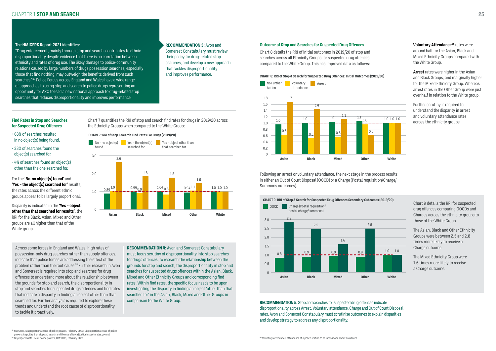#### **The HMICFRS Report 2021 identifies:**

"Drug enforcement, mainly through stop and search, contributes to ethnic disproportionality despite evidence that there is no correlation between ethnicity and rates of drug use. The likely damage to police-community relations caused by large numbers of drugs possession searches, especially those that find nothing, may outweigh the benefits derived from such searches."44 Police Forces across England and Wales have a wide range of approaches to using stop and search to police drugs representing an opportunity for ASC to lead a new national approach to drug-related stop searches that reduces disproportionality and improves performance.

**RECOMMENDATION 3:** Avon and Somerset Constabulary must review their policy for drug-related stop searches, and develop a new approach that tackles disproportionality and improves performance.

#### **Find Rates in Stop and Searches for Suspected Drug Offences**

- 63% of searches resulted in no object(s) being found.
- 33% of searches found the object(s) searched for.
- 4% of searches found an object(s) other than the one searched for.

For the **'No-no object(s) found'** and **'Yes – the object(s) searched for'** results, the rates across the different ethnic groups appear to be largely proportional.

Disparity is indicated in the **'Yes – object other than that searched for results'**, the RRI for the Black, Asian, Mixed and Other groups are all higher than that of the White group.

**Voluntary Attendance<sup>46</sup> rates were** around half for the Asian, Black and Mixed Ethnicity Groups compared with the White Group.

![](_page_12_Figure_25.jpeg)

Across some forces in England and Wales, high rates of possession-only drug searches rather than supply offences, indicate that police forces are addressing the effect of the problem rather than the root cause.45 Further research in Avon and Somerset is required into stop and searches for drug offences to understand more about the relationship between the grounds for stop and search, the disproportionality in stop and searches for suspected drugs offences and find rates that indicate a disparity in finding an object other than that searched for. Further analysis is required to explore these trends and understand the root cause of disproportionality to tackle it proactively.

**RECOMMENDATION 4:** Avon and Somerset Constabulary must focus scrutiny of disproportionality into stop searches for drugs offences, to research the relationship between the grounds for stop and search, the disproportionality in stop and searches for suspected drugs offences within the Asian, Black, Mixed and Other Ethnicity Groups and corresponding find rates. Within find rates, the specific focus needs to be upon investigating the disparity in finding an object 'other than that searched for' in the Asian, Black, Mixed and Other Groups in comparison to the White Group.

#### **CHART 8: RRI of Stop & Search for Suspected Drug Offences: Initial Outcomes (2019/20)**

#### **Outcome of Stop and Searches for Suspected Drug Offences**

Chart 8 details the RRI of initial outcomes in 2019/20 of stop and searches across all Ethnicity Groups for suspected drug offences compared to the White Group. This has improved data as follows:

> **Arrest** rates were higher in the Asian and Black Groups, and marginally higher for the Mixed Ethnicity Group. Whereas arrest rates in the Other Group were just over half in relation to the White group.

![](_page_12_Figure_27.jpeg)

Further scrutiny is required to understand the disparity in arrest and voluntary attendance rates across the ethnicity groups.

![](_page_12_Figure_7.jpeg)

#### **CHART 7: RRI of Stop & Search Find Rates For Drugs (2019/20)**

![](_page_12_Figure_19.jpeg)

**RECOMMENDATION 5:** Stop and searches for suspected drug offences indicate disproportionality across Arrest, Voluntary attendance, Charge and Out of Court Disposal rates. Avon and Somerset Constabulary must scrutinise outcomes to explain disparities and develop strategy to address any disproportionality.

Following an arrest or voluntary attendance, the next stage in the process results in either an Out of Court Disposal (OOCD) or a Charge (Postal requisition/Charge/ Summons outcomes).

> drug offences comparing OOCDs and Charges across the ethnicity groups to those of the White Group.

The Asian, Black and Other Ethnicity Groups were between 2.5 and 2.8 times more likely to receive a Charge outcome.

![](_page_12_Figure_9.jpeg)

The Mixed Ethnicity Group were 1.6 times more likely to receive a Charge outcome.

Chart 7 quantifies the RRI of stop and search find rates for drugs in 2019/20 across the Ethnicity Groups when compared to the White Group: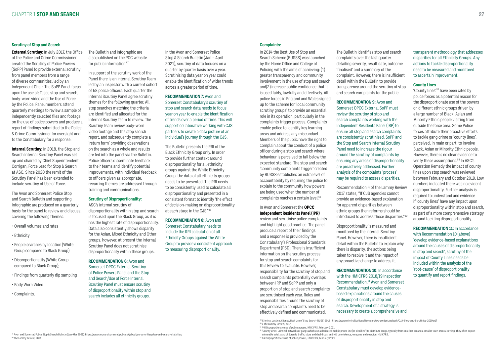#### **Scrutiny of Stop and Search**

**External Scrutiny:** In July 2017, the Office of the Police and Crime Commissioner created the Scrutiny of Police Powers (SoPP) Panel to provide external scrutiny from panel members from a range of diverse communities, led by an Independent Chair. The SoPP Panel focus upon the use of: Taser, stop and search, body-worn video and the Use of Force by the Police. Panel members attend quarterly meetings to review a sample of independently selected files and footage on the use of police powers and produce a report of findings submitted to the Police & Crime Commissioner for oversight and to the Constabulary for a response.

The Bulletin and Infographic are also published on the PCC website for public information.<sup>47</sup>

**Internal Scrutiny:** In 2018, the Stop and Search Internal Scrutiny Panel was set up and chaired by Chief Superintendent Corrigan, Force Lead for Stop & Search at ASC. Since 2020 the remit of the Scrutiny Panel has been extended to include scrutiny of Use of Force.

The Avon and Somerset Police Stop and Search Bulletin and supporting Infographic are produced on a quarterly basis for the panel to review and discuss, covering the following themes:

- Overall volumes and rates
- Ethnicity
- People searches by location (White Group compared to Black Group)
- Disproportionality (White Group compared to Black Group);
- Findings from quarterly dip sampling
- Body Worn Video
- Complaints.

In support of the scrutiny work of the Panel there is an Internal Scrutiny Team led by an inspector with a current cohort of 68 police officers. Each quarter the Internal Scrutiny Panel agree scrutiny themes for the following quarter. All stop searches matching the criteria are identified and allocated for the Internal Scrutiny Team to review. The Scrutiny Team review body-worn video footage and the stop search report, and subsequently complete a 'return form' providing observations on the search as a whole and results are fed into the panel via the Bulletin. Police officers disseminate feedback to their teams and identify potential improvements, with individual feedback to officers given as appropriate, recurring themes are addressed through training and communications.

In 2014 the Best Use of Stop and Search Scheme (BUSSS) was launched by the Home Office and College of Policing with the aims of achieving: (1) greater transparency and community involvement in the use of stop and search and(2) increase public confidence that it is used fairly, lawfully and effectively. All police forces in England and Wales signed up to the scheme for 'local community scrutiny groups' to provide an essential role in its operation, particularly in the complaints trigger process. Complaints enable police to identify key learning areas and address any misconduct. Members of the public have the right to complain about the conduct of a police officer during a stop and search where behaviour is perceived to fall below the expected standard. The stop and search 'community complaints trigger' created by BUSSS establishes an extra level of accountability by requiring the police to explain to the community how powers are being used when the number of complaints reaches a certain level.<sup>49</sup>

### **Scrutiny of Disproportionality:**

ASC's internal scrutiny of disproportionality within stop and search is focused upon the Black Group, as it is has the highest rate of disproportionality. Data also consistently shows disparity for the Asian, Mixed Ethnicity and Other groups, however, at present the Internal Scrutiny Panel does not scrutinise disproportionality within these groups.

### **RECOMMENDATION 6:** Avon and

Somerset OPCC External Scrutiny of Police Powers Panel and the Stop and Search/Use of Force Internal Scrutiny Panel must ensure scrutiny of disproportionality within stop and search includes all ethnicity groups.

In the Avon and Somerset Police Stop & Search Bulletin (Jan – April 2021), scrutiny of data focuses on a quarter by quarter basis over a year. Scrutinising data year on year could enable the identification of wider trends across a greater period of time.

#### **RECOMMENDATION 7:** Avon and

Somerset Constabulary's scrutiny of stop and search data needs to focus year on year to enable the identification of trends over a period of time. This will support collaborative working with CJS partners to create a data picture of an individual's journey through the CJS.

> Recommendation 4 of the Lammy Review 2017 states, "If CJS agencies cannot provide an evidence-based explanation for apparent disparities between ethnic groups then reforms should be introduced to address those disparities."<sup>50</sup>

The Bulletin presents the RRI of the Black Ethnicity Group only. In order to provide further context around disproportionality for all ethnicity groups against the White Ethnicity Group, the data of all ethnicity groups needs to be presented. The RRI needs to be consistently used to calculate all disproportionality and presented in a consistent format to identify 'the effect of decision-making on disproportionality at each stage in the CJS."48

#### **RECOMMENDATION 8:** Avon and Somerset Constabulary needs to include the RRI calculation of all Ethnicity Groups against the White Group to provide a consistent approach to measuring disproportionality.

#### **Complaints:**

#### In Avon and Somerset the **OPCC Independent Residents Panel (IPR)**

review and scrutinise police complaints and highlight good practice. The panel produce a report of their findings and a response is provided by the Constabulary's Professional Standards Department (PSD). There is insufficient information on the scrutiny process for stop and search complaints for this Review to evaluate. However, responsibility for the scrutiny of stop and search complaints potentially overlaps between IRP and SoPP and only a proportion of stop and search complaints are scrutinised each year. Roles and responsibilities around the scrutiny of stop and search complaints need to be effectively defined and communicated.

The Bulletin identifies stop and search complaints over the last quarter detailing severity, result date, outcome 'finalised' and a summary of the complaint. However, there is insufficient detail within the Bulletin to provide transparency around the scrutiny of stop and search complaints for the public.

**RECOMMENDATION 9:** Avon and Somerset OPCC External SoPP must review the scrutiny of stop and search complaints working with the Independent Residents Panel (IRP) to ensure all stop and search complaints are consistently scrutinised. SoPP and the Stop and Search Internal Scrutiny Panel need to increase the rigour around the scrutiny of complaints by ensuring any areas of disproportionality are proactively addressed. Further analysis of the complaints 'process' may be required to assess disparities.

Disproportionality is measured and monitored by the Internal Scrutiny Panel. However, there is insufficient detail within the Bulletin to explain why there is disparity, the actions being taken to resolve it and the impact of any proactive change to address it.

### **RECOMMENDATION 10:** In accordance with the HMICFRS 2018/19 Inspection Recommendation,<sup>51</sup> Avon and Somerset Constabulary must develop evidencebased explanations around the causes of disproportionality in stop and search. Development of a strategy is

necessary to create a comprehensive and

transparent methodology that addresses disparities for all Ethnicity Groups. Any actions to tackle disproportionality need to be measured and monitored to ascertain improvement.

#### **County Lines**

'County lines'52 have been cited by police forces as a potential reason for the disproportionate use of the powers on different ethnic groups driven by a large number of Black, Asian and Minority Ethnic people visiting from outside the force area. Some Police forces attribute their proactive efforts to tackle gang crime or 'county lines', perceived, in main or part, to involve Black, Asian or Minority Ethnic people. However, there is no clear evidence to verify these assumptions.<sup>53</sup> In ASC's Operation Remedy the impact of county lines upon stop search was reviewed between February and October 2019. Low numbers indicated there was no evident disproportionality. Further analysis is required to understand and evidence if 'county lines' have any impact upon disproportionality within stop and search, as part of a more comprehensive strategy around tackling disproportionality.

**RECOMMENDATION 11:** In accordance with Recommendation 10 (above) 'develop evidence-based explanations around the causes of disproportionality in stop and search', scrutiny of the impact of County Lines needs be included within the analysis of the 'root-cause' of disproportionality to quantify and report findings.

<sup>47</sup> Avon and Somerset Police Stop & Search Bulletin (Jan-Mar 2021): https://www.avonandsomerset.police.uk/about/our-priorities/stop-and-search-statistics/ 48 The Lammy Review, 2017

<sup>49</sup> Criminal Justice Alliance, Best Use of Stop Search (BUSS) 2018 : https://www.criminaljusticealliance.org/wp-content/uploads/CJA-Stop-and-Scrutinise-2019.pdf 50 1 The Lammy Review, 2017

<sup>51 44</sup> Disproportionate use of police powers, HMCIFRS, February 2021.

<sup>52 &#</sup>x27;County Lines' Criminal networks or gangs which use a dedicated mobile phone line (or 'deal line') to distribute drugs, typically from an urban area to a smaller town or rural setting. They often exploit

vulnerable adults and children to traffic, store and deal drugs, and will use violence, weapons and coercion. HMICFRS. 53 44 Disproportionate use of police powers, HMCIFRS, February 2021.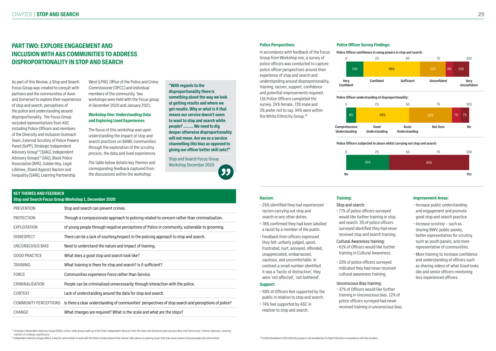# **PART TWO: EXPLORE ENGAGEMENT AND INCLUSION WITH A&S COMMUNITIES TO ADDRESS DISPROPORTIONALITY IN STOP AND SEARCH**

As part of this Review, a Stop and Search Focus Group was created to consult with partners and the communities of Avon and Somerset to explore their experiences of stop and search, perceptions of the police and understanding around disproportionality. The Focus Group included representatives from ASC including Police Officers and members of the Diversity and Inclusion Outreach Team, External Scrutiny of Police Powers Panel (SoPP), Strategic Independent Advisory Group<sup>54</sup> (SIAG), Independent Advisory Groups<sup>55</sup> (IAG), Black Police Association (BPA), Golden Key, Legal Lifelines, Stand Against Racism and Inequality (SARI), Learning Partnership

West (LPW), Office of the Police and Crime Commissioner (OPCC) and individual members of the community. Two workshops were held with the Focus group in December 2020 and January 2021.

#### **Workshop One: Understanding Data and Exploring Lived Experiences**

The focus of this workshop was upon understanding the impact of stop and search practices on BAME communities through the exploration of the scrutiny process, the data and lived experiences.

The table below details key themes and corresponding feedback captured from the discussions within the workshop:

**"With regards to the disproportionality there is something about the way we look at getting results and where we get results. Why or what is it that means our service doesn't seem to want to stop and search white people? ……… We need to dig deeper otherwise disproportionality will not move. Are we as a service channelling this bias as opposed to giving our officer better skill sets?"**

In accordance with feedback of the Focus Group from Workshop one, a survey of police officers was conducted to capture police officer perspectives around their experience of stop and search and understanding around disproportionality, training, racism, support, confidence and potential improvements required. 116 Police Officers completed the survey. 24% female, 73% male and 3% prefer not to say. 94% were within the White Ethnicity Group.<sup>56</sup>

Stop and Search Focus Group Workshop December 2020

| <b>KEY THEMES AND FEEDBACK</b><br>Stop and Search Focus Group Workshop 1, December 2020 |                                                                                                       |  |  |  |
|-----------------------------------------------------------------------------------------|-------------------------------------------------------------------------------------------------------|--|--|--|
| <b>PREVENTION</b>                                                                       | Stop and search can prevent crimes.                                                                   |  |  |  |
| <b>PROTECTION</b>                                                                       | Through a compassionate approach to policing related to concern rather than criminalisation.          |  |  |  |
| <b>EXPLOITATION</b>                                                                     | of young people through negative perceptions of Police in community, vulnerable to grooming.          |  |  |  |
| <b>DISRESPECT</b>                                                                       | There can be a lack of courtesy/respect in the policing approach to stop and search.                  |  |  |  |
| UNCONSCIOUS BIAS                                                                        | Need to understand the nature and impact of training.                                                 |  |  |  |
| <b>GOOD PRACTICE</b>                                                                    | What does a good stop and search look like?                                                           |  |  |  |
| TRAINING                                                                                | What training is there for stop and search? Is it sufficient?                                         |  |  |  |
| <b>FORCE</b>                                                                            | Communities experience Force rather than Service.                                                     |  |  |  |
| CRIMINALISATION                                                                         | People can be criminalised unnecessarily through interaction with the police.                         |  |  |  |
| <b>CONTEXT</b>                                                                          | Lack of understanding around the data for stop and search.                                            |  |  |  |
| <b>COMMUNITY PERCEPTIONS</b>                                                            | Is there a clear understanding of communities' perspectives of stop search and perceptions of police? |  |  |  |
| CHANGE                                                                                  | What changes are required? What is the scale and what are the steps?                                  |  |  |  |

#### **Police Perspectives:**

#### **Racism:**

- 26% identified they had experienced racism carrying out stop and search or any other duties.
- 78% confirmed they had been labelled a racist by a member of the public.
- Feedback from officers expressed they felt: unfairly judged, upset, frustrated, hurt, annoyed, offended, unappreciated, embarrassed, cautious, and uncomfortable. In contrast a small number identified it was a 'tactic of distraction', they were 'not affected', 'not bothered'.

#### **Support:**

- 48% of Officers feel supported by the public in relation to stop and search.
- 74% feel supported by ASC in relation to stop and search.

#### **Training:**

Stop and search:

• 77% of police officers surveyed would like further training in stop and search. 3% of police officers surveyed identified they had never received stop and search training.

#### Cultural Awareness training:

- 61% of Officers would like further training in Cultural Awareness.
- 20% of police officers surveyed indicated they had never received cultural awareness training.

#### Unconscious Bias training:

• 37% of Officers would like further training in Unconscious bias. 12% of police officers surveyed had never received training in unconscious bias.

54 Strategic Independent Advisory Group (SIAG): a force-wide group made up of the Chair Independent Advisors from the Avon and Somerset policing area IAGs and Community / Partner Agencies, covering matters of strategic significance

<sup>55</sup> Independent Advisory Groups (IAGs): a way for communities to work with the Police to help improve their service. IAGs advise on policing issues that may cause concern to local people and communities. <sup>56</sup> Further brea

#### **Improvement Areas:**

- Increase public understanding and engagement and promote good stop and search practice
- Increase scrutiny such as sharing BWV, public panels, better representation for scrutiny such as youth panels, and more representative of communities.
- More training to increase confidence and understanding of officers such as sharing videos of what Good looks like and senior officers mentoring less experienced officers.

#### **Police Officer Survey Findings:**

![](_page_14_Figure_16.jpeg)

![](_page_14_Figure_17.jpeg)

![](_page_14_Figure_15.jpeg)

![](_page_14_Figure_14.jpeg)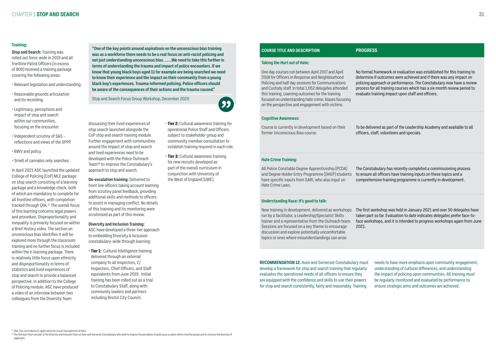**"One of the key points around aspirations on the unconscious bias training was as a workforce there needs to be a real focus on anti-racist policing and not just understanding unconscious bias. ……We need to take this further in terms of understanding the trauma and impact of police encounters. If we know that young black boys aged 11 for example are being searched we need to know their experience and the impact on their community from a young black boy's experiences. Trauma-informed policing. Police officers should be aware of the consequences of their actions and the trauma caused."**

Stop and Search Focus Group Workshop, December 2020

![](_page_15_Picture_12.jpeg)

#### **Training:**

**Stop and Search:** Training was rolled out force-wide in 2019 and all frontline Patrol Officers (in excess of 800) received a training package covering the following areas:

- Relevant legislation and understanding.
- Reasonable grounds articulation and its recording.
- Legitimacy, perceptions and impact of stop and search within our communities, focusing on the encounter.
- Independent scrutiny of S&S reflections and views of the SPPP.
- BWV and policy.
- Smell of cannabis only searches.

In April 2021 ASC launched the updated College of Policing (CoP) MLE package on stop search consisting of a learning package and a knowledge check, both of which are mandatory to complete for all frontline officers, with completion tracked through Qlik.<sup>57</sup> The overall focus of this learning concerns legal powers and procedure. Disproportionality and inequality is primarily focused on within a Brief History video. The section on unconscious bias identifies it will be explored more through the classroom training and no further focus is included within the e-learning package. There is relatively little focus upon ethnicity and disproportionality in terms of statistics and lived experiences of stop and search to provide a balanced perspective. In addition to the College of Policing module, ASC have produced a video of an interview between two colleagues from the Diversity Team

58 The Outreach Team are part of the Diversity and Inclusion Team at Avon and Somerset Constabulary who work to improve the perception of policing as a career within minority groups and to increase the diversity of applicants.

discussing their lived experiences of stop search launched alongside the CoP stop and search training module. Further engagement with communities around the impact of stop and search and lived experiences need to be developed with the Police Outreach Team58 to improve the Constabulary's approach to stop and search.

**De-escalation training:** Delivered to front line officers taking account learning from scrutiny panel feedback, providing additional skills and methods to officers to assist in managing conflict. No details of this training and its monitoring were scrutinised as part of this review.

#### **Diversity and Inclusion Training:**

ASC have developed a three-tier approach to embedding Diversity & Inclusion constabulary-wide through learning:

• **Tier 1:** Cultural Intelligence training delivered through an external company to all Inspectors, C/ Inspectors, Chief Officers, and Staff equivalents from June 2019. Initial training has been rolled out as a trial to Constabulary Staff, along with community leaders and partners including Bristol City Council.

- **Tier 2:** Cultural awareness training for operational Police Staff and Officers subject to stakeholder group and community member consultation to establish training required in each role.
- **Tier 3:** Cultural awareness training for new recruits developed as part of the overall curriculum in conjunction with University of the West of England (UWE).

#### **COURSE TITLE AND DESCRIPTION PROGRESS**

#### **Taking the Hurt out of Hate:**

One day courses run between April 2017 and April 2018 for Officers in Response and Neighbourhood Policing and half day sessions for Communications and Custody staff. In total 1,052 delegates attended this training. Learning outcomes for the training focused on understanding hate crime, biases focusing on the perspective and engagement with victims.

No formal framework or evaluation was established for this training to determine if outcomes were achieved and if there was any impact on policing approach or performance. The Constabulary now have a review process for all training courses which has a six month review period to evaluate training impact upon staff and officers.

#### **Cognitive Awareness:**

Course is currently in development based on their former Unconscious Bias course.

To be delivered as part of the Leadership Academy and available to all officers, staff, volunteers and specials.

#### **Hate Crime Training:**

All Police Constable Degree Apprenticeship (PCDA) and Degree Holder Entry Programme (DHEP) students have specific inputs from SARI, who also input on Hate Crime Laws.

The Constabulary has recently completed a commissioning process to ensure all officers have training inputs on these topics and a comprehensive training programme is currently in development.

#### **Understanding Race: It's good to talk:**

New training in development, delivered as workshops run by a facilitator, a Leadership/Specialist Skills trainer and a representative from the Outreach team. Sessions are focused on a key theme to encourage discussion and explore potentially uncomfortable topics or ones where misunderstandings can arise.

The first workshop was held in January 2021 and over 50 delegates have taken part so far. Evaluation to date indicates delegates prefer face-toface workshops, and it is intended to progress workshops again from June

2021.

**RECOMMENDATION 12:** Avon and Somerset Constabulary must develop a framework for stop and search training that regularly evaluates the operational needs of all officers to ensure they are equipped with the confidence and skills to use their powers for stop and search consistently, fairly and reasonably. Training needs to have more emphasis upon community engagement, understanding of cultural differences, and understanding the impact of policing upon communities. All training must be regularly monitored and evaluated by performance to ensure strategic aims and outcomes are achieved.

<sup>57</sup> Qlik: the constabulary's application for visual management of data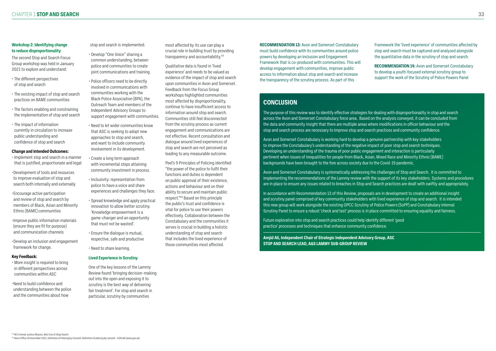### **Workshop 2: Identifying change to reduce disproportionality**

The second Stop and Search Focus Group workshop was held in January 2021 to explore and understand:

- The different perspectives of stop and search
- The existing impact of stop and search practices on BAME communities
- The factors enabling and constraining the implementation of stop and search
- The impact of information currently in circulation to increase public understanding and confidence of stop and search

### **Change and Intended Outcomes:**

- Implement stop and search in a manner that is justified, proportionate and legal
- •Development of tools and resources to improve evaluation of stop and search both internally and externally
- •Encourage active participation and review of stop and search by members of Black, Asian and Minority Ethnic (BAME) communities
- •Improve public information materials (ensure they are fit for purpose) and communication channels
- •Develop an inclusion and engagement framework for change.

### **Key Feedback:**

• More insight is required to bring in different perspectives across communities within ASC

•Need to build confidence and understanding between the police and the communities about how

### stop and search is implemented.

- Develop "One Voice" sharing a common understanding, between police and communities to create joint communications and training.
- Police officers need to be directly involved in communications with communities working with the Black Police Association (BPA), the Outreach Team and members of the Independent Advisory Groups to support engagement with communities.
- Need to let wider communities know that ASC is seeking to adopt new approaches to stop and search, and want to include community involvement in its development.
- Create a long term approach with incremental steps attaining community investment in process.
- Inclusivity: representation from police to have a voice and share experiences and challenges they face.
- Spread knowledge and apply practical innovation to allow better scrutiny. 'Knowledge empowerment is a game-changer and an opportunity that must not be wasted'.
- Ensure the dialogue is mutual, respective, safe and productive
- Need to share learning.

### **Lived Experience in Scrutiny**

One of the key lessons of the Lammy Review found 'bringing decision-making out into the open and exposing it to scrutiny is the best way of delivering fair treatment'. For stop and search in particular, scrutiny by communities

most affected by its use can play a crucial role in building trust by providing transparency and accountability.59

Qualitative data is found in 'lived experience' and needs to be valued as evidence of the impact of stop and search upon communities in Avon and Somerset. Feedback from the Focus Group workshops highlighted communities most affected by disproportionality, continue to have insufficient access to information around stop and search. Communities still feel disconnected from the scrutiny process as current engagement and communications are not effective. Recent consultation and dialogue around lived experiences of stop and search are not perceived as leading to any measurable outcome.

Peel's 9 Principles of Policing identified "the power of the police to fulfil their functions and duties is dependent on public approval of their existence, actions and behaviour and on their ability to secure and maintain public respect."60 Based on this principle the public's trust and confidence is vital for police to use their powers effectively. Collaboration between the Constabulary and the communities it serves is crucial in building a holistic understanding of stop and search that includes the lived experience of those communities most affected.

# **CONCLUSION**

The purpose of this review was to identify effective strategies for dealing with disproportionality in stop and search across the Avon and Somerset Constabulary force area. Based on the analysis conveyed, it can be concluded from the data and community insight that there are multiple areas where modifications in officer behaviour and the stop and search process are necessary to improve stop and search practices and community confidence.

Avon and Somerset Constabulary is working hard to develop a genuine partnership with key stakeholders to improve the Constabulary's understanding of the negative impact of poor stop and search techniques. Developing an understanding of the trauma of poor public engagement and interaction is particularly pertinent when issues of inequalities for people from Black, Asian, Mixed Race and Minority Ethnic (BAME) backgrounds have been brought to the fore across society due to the Covid-19 pandemic.

Avon and Somerset Constabulary is systematically addressing the challenges of Stop and Search. It is committed to implementing the recommendations of the Lammy review with the support of its key stakeholders. Systems and procedures are in place to ensure any issues related to breaches in Stop and Search practices are dealt with swiftly and appropriately.

In accordance with Recommendation 13 of this Review, proposals are in development to create an additional insight and scrutiny panel comprised of key community stakeholders with lived experience of stop and search. It is intended this new group will work alongside the existing OPCC Scrutiny of Police Powers (SoPP) and Constabulary Internal Scrutiny Panel to ensure a robust 'check and test' process is in place committed to ensuring equality and fairness.

Future exploration into stop and search practices could help identify different 'good practice' processes and techniques that enhance community confidence.

**Amjid Ali, Independent Chair of Strategic Independent Advisory Group, ASC STOP AND SEARCH LEAD, A&S LAMMY SUB-GROUP REVIEW**

**RECOMMENDATION 13:** Avon and Somerset Constabulary must build confidence with its communities around police powers by developing an Inclusion and Engagement Framework that is co-produced with communities. This will develop engagement with communities, improve public access to information about stop and search and increase the transparency of the scrutiny process. As part of this

Framework the 'lived experience' of communities affected by stop and search must be captured and analysed alongside the quantitative data in the scrutiny of stop and search.

**RECOMMENDATION 14:** Avon and Somerset Constabulary to develop a youth-focused external scrutiny group to support the work of the Scrutiny of Police Powers Panel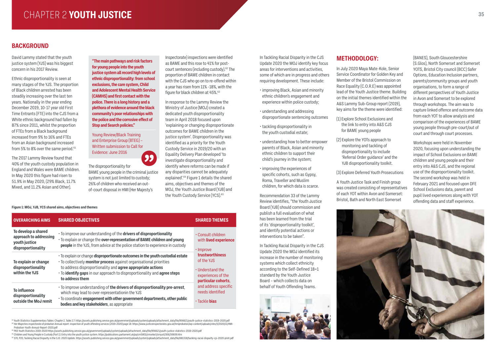# CHAPTER 2 YOUTH JUSTICE And the set of the set of the set of the set of the set of the set of the set of the set of the set of the set of the set of the set of the set of the set of the set of the set of the set of the set

# **BACKGROUND**

Ethnic disproportionality is seen at many stages of the YJS. The proportion of Black children arrested has been steadily increasing over the last ten years. Nationally in the year ending December 2019, 10-17 year old First Time Entrants (FTE) into the CJS from a White ethnic background had fallen by 87% since 2011, whilst the proportion of FTEs from a Black background increased from 9% to 16% and FTEs from an Asian background increased from 5% to 8% over the same period. $61$ 

David Lammy stated that the youth justice system (YJS) was his biggest concern in his 2017 Review.

The 2017 Lammy Review found that 40% of the youth custody population in England and Wales were BAME children. In May 2020 this figure had risen to 51.9% in May 2020, (29% Black, 11.7% Mixed, and 11.2% Asian and Other).

In Tackling Racial Disparity in the CJS Update 2020 the MOJ identify key focus areas for interventions and activities, some of which are in progress and others requiring development. These include:

- improving Black, Asian and minority ethnic children's engagement and experience within police custody;
- understanding and addressing disproportionate sentencing outcomes
- tackling disproportionality in the youth custodial estate;
- understanding how to better empower parents of Black, Asian and minority ethnic children to support their child's journey in the system;
- improving the experiences of specific cohorts, such as Gypsy, Roma, Traveller and Muslim children, for which data is scarce.

Recommendation 33 of the Lammy Review identifies, "the Youth Justice Board (YJB) should commission and publish a full evaluation of what has been learned from the trial of its 'disproportionality toolkit', and identify potential actions or interventions to be taken".

In Tackling Racial Disparity in the CJS Update 2020 the MOJ identified its increase in the number of monitoring systems which collect ethnicity according to the Self-Defined 18+1 standard by the Youth Justice Board – which collects data on behalf of Youth Offending Teams.

![](_page_17_Picture_25.jpeg)

### **METHODOLOGY:**

In July 2020 Maya Mate-Kole, Senior Service Coordinator for Golden Key and Member of the Bristol Commission on Race Equality (C.O.R.E) was appointed lead of the Youth Justice theme. Building on the initial themes identified within the A&S Lammy Sub-Group report (2019), key aims for the theme were identified:

61 Youth Statistics Supplementary Tables: Chapter 2, Table 2.7: https://assets.publishing.service.gov.uk/government/uploads/system/uploads/attachment\_data/file/956621/youth-justice-statistics-2019-2020.pdf  $^{62}$  Her Majesties inspectorate of probation Annual report: inspection of youth offending services (2019-2020) page 18: https://www.justiceinspectorates.gov.uk/hmiprobation/wp-content/uploads/sites/5/2020/11/HMI-Probation-Youth-Annual-Report-2020.pdf

- (1) Explore School Exclusions and the link to entry into A&S CJS for BAME young people
- (2) Explore the YOTs approach to monitoring and tackling of disproportionality to include 'Referral Order guidance' and the YJB disproportionality toolkit.

(3) Explore Deferred Youth Prosecutions

- 63 P65 Youth Statistics 2019-2020 https://assets.publishing.service.gov.uk/government/uploads/system/uploads/attachment\_data/file/956621/youth-justice-statistics-2019-2020.pdf
- <sup>64</sup> Children and Young People in Custody (Part 1): Entry into the youth justice system. https://publications.parliament.uk/pa/cm5801/cmselect/cmjust/306/30609.htm
- <sup>65</sup> S70, P20, Tackling Racial Disparity in the CJS: 2020 Update. https://assets.publishing.service.gov.uk/government/uploads/system/uploads/attachment\_data/file/881318/tackling-racial-disparity-cjs-2020-print.pdf

Inspectorate) inspections were identified as BAME and this rose to 41% for postcourt sentences (including custody).62 The proportion of BAME children in contact with the CJS who go on to re-offend within a year has risen from 11% -18%, with the figure for black children at 45%.<sup>63</sup>

> A Youth Justice Task and Finish group was created consisting of representatives of each YOT within Avon and Somerset: Bristol, Bath and North East Somerset

![](_page_17_Picture_32.jpeg)

(BANES), South Gloucestershire (S.Glos), North Somerset and Somerset YOTS, Bristol City council (BCC) Safer Options, Education Inclusion partners, parents/community groups and youth organisations, to form a range of different perspectives of Youth Justice in Avon and Somerset to be explored through workshops. The aim was to capture linked offence and outcome data from each YOT to allow analysis and comparison of the experiences of BAME young people through pre-court/out of court and through court processes.

Workshops were held in November 2020, focusing upon understanding the impact of School Exclusions on BAME children and young people and their entry into A&S CJS, and the regional use of the disproportionality toolkit. The second workshop was held in February 2021 and focused upon DFE School Exclusions data, parent and pupil lived experiences along with YOT offending data and staff experience.

![](_page_17_Picture_39.jpeg)

**"The main pathways and risk factors for young people into the youth justice system all record high levels of ethnic disproportionality: from school exclusions, the care system, Child and Adolescent Mental Health Service (CAMHS) and first contact with the police. There is a long history and a plethora of evidence around the black community's poor relationships with the police and the corrosive effect of Stop and Search policies."**

Young Review/Black Training and Enterprise Group (BTEG) – Written submission to Call for Evidence: June 2016

![](_page_17_Picture_7.jpeg)

The disproportionality for BAME young people in the criminal justice system is not just limited to custody; 26% of children who received an outof-court disposal in HMI (Her Majesty's

In response to the Lammy Review the Ministry of Justice (MOJ) created a dedicated youth disproportionality team in April 2018 focused upon 'explaining or changing disproportionate outcomes for BAME children in the justice system'. Disproportionality was identified as a priority for the Youth Custody Service in 2019/20 with an Equality Delivery Plan developed 'to investigate disproportionality and identify where reforms can be made if any disparities cannot be adequately explained'.64 Figure 1 details the shared aims, objectives and themes of the MOJ, the Youth Justice Board (YJB) and the Youth Custody Service (YCS).65

#### **Figure 1: MOJ, YJB, YCS shared aims, objectives and themes**

| <b>OVERARCHING AIMS</b>                                                              | <b>SHARED OBJECTIVES</b>                                                                                                                                                                                                                                                                                                   | <b>SHARED THEMES</b>                                                                                                                                       |  |
|--------------------------------------------------------------------------------------|----------------------------------------------------------------------------------------------------------------------------------------------------------------------------------------------------------------------------------------------------------------------------------------------------------------------------|------------------------------------------------------------------------------------------------------------------------------------------------------------|--|
| To develop a shared<br>approach to addressing<br>youth justice<br>disproportionality | · To improve our understanding of the drivers of disproportionality<br>· To explain or change the over-representation of BAME children and young<br>people in the YJS, from advice at the police station to experience in custody                                                                                          | • Consult children<br>with lived experience<br>· Improve<br>trustworthiness<br>of the YJS<br>• Understand the<br>experiences of the<br>particular cohorts, |  |
| To explain or change<br>disproportionality<br>within the YJS                         | · To explain or change disproportionate outcomes in the youth custodial estate<br>• To collectively monitor process against organisational priorities<br>to address disproportionality and <b>agree appropriate actions</b><br>• To identify gaps in our approach to disproportionality and agree steps<br>to address them |                                                                                                                                                            |  |
| <b>To influence</b><br>disproportionality<br>outside the MoJ remit                   | · To improve understanding of the drivers of disproportionality pre-arrest,<br>which may lead to over-representationin the YJS<br>• To coordinate engagement with other government departments, other public<br>bodies and key stakeholders, as appropriate                                                                | and address specific<br>needs identified<br>· Tackle bias                                                                                                  |  |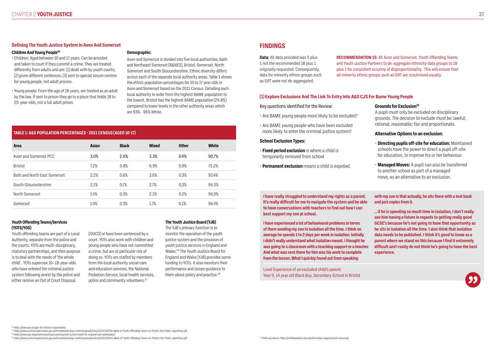#### **Defining The Youth Justice System In Avon And Somerset**

#### **Children And Young People<sup>66</sup>**

• Children: Aged between 10 and 17 years. Can be arrested and taken to court if they commit a crime. They are treated differently from adults and are: (1) dealt with by youth courts; (2) given different sentences; (3) sent to special secure centres for young people, not adult prisons.

• Young people: From the age of 18 years, are treated as an adult by the law. If sent to prison they go to a place that holds 18 to 25-year-olds, not a full adult prison.

#### **Demographic:**

(OOCD) or have been sentenced by a court. YOTs also work with children and young people who have not committed a crime, but are at particular risk of doing so. YOTs are staffed by members from the local authority social care and education services, the National Probation Service, local health services, police and community volunteers.<sup>67</sup>

Avon and Somerset is divided into five local authorities; Bath and Northeast Somerset (B&NES), Bristol, Somerset, North Somerset and South Gloucestershire. Ethnic diversity differs across each of the separate local authority areas. Table 1 shows the ethnic population percentages for 10 to 17 year olds in Avon and Somerset based on the 2011 Census. Detailing each local authority in order from the highest BAME population to the lowest. Bristol has the highest BAME population (24.8%) compared to lower levels in the other authority areas which are 93% - 96% White.

> The YJB's primary function is to monitor the operation of the youth justice system and the provision of youth justice services in England and Wales.68 The Youth Justice Board for England and Wales (YJB) provides some funding to YOTs. It also monitors their performance and issues guidance to them about policy and practice.<sup>69</sup>

#### **Youth Offending Teams/Services (YOTS/YOS)**

Youth offending teams are part of a Local Authority, separate from the police and the courts. YOTs are multi-disciplinary, statutory partnerships, and their purpose is to deal with the needs of 'the whole child'. YOTs supervise 10–18-year-olds who have entered the criminal justice system following arrest by the police and either receive an Out of Court Disposal

<sup>68</sup> https://www.gov.uk/government/organisations/youth-justice-board-for-england-and-wales/about <sup>69</sup> https://www.justice.inspectorates.gov.uk/hmiprobation/wp-content/uploads/sites/5/2017/10/The-Work-of-Youth-Offending-Teams-to-Protect-the-Public\_reportfinal.pdf and the content and the structure intensive content/uplo

#### **The Youth Justice Board (YJB)**

#### **TABLE 1: A&S POPULATION PERCENTAGES - 2011 CENSUS (AGED 10-17)**

| <b>Area</b>                  | <b>Asian</b> | <b>Black</b> | <b>Mixed</b> | <b>Other</b> | <b>White</b> |
|------------------------------|--------------|--------------|--------------|--------------|--------------|
| Avon and Somerset PCC        | 3.0%         | 2.6%         | 3.3%         | 0.4%         | 90.7%        |
| <b>Bristol</b>               | 7.2%         | 9.8%         | 6.9%         | 0.9%         | 75.2%        |
| Bath and North Fast Somerset | 2.2%         | 0.6%         | 3.6%         | 0.3%         | 93.4%        |
| South Gloucestershire        | 2.1%         | 0.7%         | 2.7%         | 0.3%         | 94.3%        |
| North Somerset               | 1.4%         | 0.3%         | 2.1%         | 0.2%         | 96.0%        |
| Somerset                     | 1.4%         | 0.3%         | 1.7%         | 0.1%         | 96.4%        |

# **FINDINGS**

**Data:** All data provided was 5 plus 1 not the recommended 18 plus 1 originally requested. Consequently, data for minority ethnic groups such as GRT were not de-aggregated.

**RECOMMENDATION 15:** All Avon and Somerset, Youth Offending Teams and Youth Justice Partners to de-aggregate ethnicity data groups to 18 plus 1 for consistent scrutiny of disproportionality. This will ensure that all minority ethnic groups such as GRT are scrutinised equally.

### **(1) Explore Exclusions And The Link To Entry Into A&S CJS For Bame Young People**

Key questions identified for the Review:

- Are BAME young people more likely to be excluded?
- Are BAME young people who have been excluded more likely to enter the criminal justice system?

#### **School Exclusion Types:**

- **Fixed period exclusion** is where a child is temporarily removed from school
- **Permanent exclusion** means a child is expelled.

#### **Grounds for Exclusion70**

A pupil must only be excluded on disciplinary grounds. The decision to exclude must be: lawful; rational; reasonable; fair and proportionate.

#### **Alternative Options to an exclusion:**

- **Directing pupils off-site for education:** Maintained schools have the power to direct a pupil off-site for education, to improve his or her behaviour.
- **Managed Moves:** A pupil can also be transferred to another school as part of a managed move, as an alternative to an exclusion.

**I have really struggled to understand my rights as a parent. It's really difficult for me to navigate the system and be able to have conversations with teachers to find out how I can best support my son at school.**

**with my son is that actually, he sits there with a text book and just copies from it.** 

![](_page_18_Picture_39.jpeg)

**I have experienced a lot of behavioural problems in terms of them sending my son to isolation all the time. I think on average he spends 1 to 2 days per week in isolation. Initially I didn't really understand what isolation meant. I thought he was going to a classroom with a teaching support or a teacher. And what was sent there for him was his work to complete from the lesson. What I quickly found out from speaking …if he is spending so much time in isolation, I don't really see him having a future in regards to getting really good GCSE's because he's not going to have that opportunity as he sits in isolation all the time. I also think that isolation data needs to be published. I think it's good to know as a parent where we stand on this because I find it extremely difficult and I really do not think he's going to have the best experience.**

Lived Experience of an excluded child's parent: Year 9, 14 year old Black Boy. Secondary School in Bristol

<sup>6</sup> https://www.gov.uk/age-of-criminal-responsibility

<sup>67</sup> https://www.justiceinspectorates.gov.uk/hmiprobation/wp-content/uploads/sites/5/2017/10/The-Work-of-Youth-Offending-Teams-to-Protect-the-Public\_reportfinal.pdf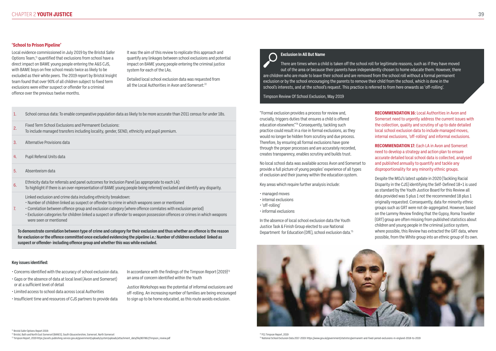**39**

### **'School to Prison Pipeline'**

Local evidence commissioned in July 2019 by the Bristol Safer Options Team,<sup>71</sup> quantified that exclusions from school have a direct impact on BAME young people entering the A&S CJS, with BAME boys on free school meals twice as likely to be excluded as their white peers. The 2019 report by Bristol Insight team found that over 90% of all children subject to fixed term exclusions were either suspect or offender for a criminal offence over the previous twelve months.

Detailed local school exclusion data was requested from all the Local Authorities in Avon and Somerset:<sup>72</sup>

It was the aim of this review to replicate this approach and quantify any linkages between school exclusions and potential impact on BAME young people entering the criminal justice system for each of the LAs.

> "Formal exclusion provides a process for review and, crucially, triggers duties that ensures a child is offered education elsewhere."74 Consequently, tackling such practice could result in a rise in formal exclusions, as they would no longer be hidden from scrutiny and due process. Therefore, by ensuring all formal exclusions have gone through the proper processes and are accurately recorded, creates transparency, enables scrutiny and builds trust.

No local school data was available across Avon and Somerset to provide a full picture of young peoples' experience of all types of exclusion and their journey within the education system.

Key areas which require further analysis include:

- managed moves
- internal exclusions
- 'off-rolling'
- informal exclusions

In the absence of local school exclusion data the Youth Justice Task & Finish Group elected to use National Department for Education (DfE), school exclusion data.75

![](_page_19_Picture_34.jpeg)

**RECOMMENDATION 16:** Local Authorities in Avon and Somerset need to urgently address the current issues with the collection, quality and scrutiny of up to date detailed local school exclusion data to include managed moves, internal exclusions, 'off-rolling' and informal exclusions.

**RECOMMENDATION 17:** Each LA in Avon and Somerset need to develop a strategy and action plan to ensure accurate detailed local school data is collected, analysed and published annually to quantify and tackle any disproportionality for any minority ethnic groups.

In accordance with the findings of the Timpson Report  $(2019)^{73}$ an area of concern identified within the Youth

Despite the MOJ's latest update in 2020 (Tackling Racial Disparity in the CJS) identifying the Self-Defined 18+1 is used as standard by the Youth Justice Board for this Review all data provided was 5 plus 1 not the recommended 18 plus 1 originally requested. Consequently, data for minority ethnic groups such as GRT were not de-aggregated. However, based on the Lammy Review finding that the Gypsy, Roma Traveller (GRT) group are often missing from published statistics about children and young people in the criminal justice system, where possible, this Review has extracted the GRT data, where possible, from the White group into an ethnic group of its own.

- 1. School census data: To enable comparative population data as likely to be more accurate than 2011 census for under 18s.
- 2. Fixed Term School Exclusions and Permanent Exclusions: To include managed transfers including locality, gender, SEND, ethnicity and pupil premium.
- 3. Alternative Provisions data
- 4. Pupil Referral Units data
- 5. Absenteeism data
- 6. Ethnicity data for referrals and panel outcomes for Inclusion Panel (as appropriate to each LA): To highlight if there is an over-representation of BAME young people being referred/ excluded and identify any disparity.
	- Linked exclusion and crime data including ethnicity breakdown:
	- Number of children linked as suspect or offender to crime in which weapons seen or mentioned
- Correlation between offence group and exclusion category (where offence correlates with exclusion period)
- Exclusion categories for children linked a suspect or offender to weapon possession offences or crimes in which weapons were seen or mentioned

7.

**To demonstrate correlation between type of crime and category for their exclusion and thus whether an offence is the reason for exclusion or the offence committed once excluded evidencing the pipeline i.e.: Number of children excluded linked as suspect or offender- including offence group and whether this was while excluded.**

#### **Key issues identified:**

- Concerns identified with the accuracy of school exclusion data.
- Gaps or the absence of data at local level (Avon and Somerset) or at a sufficient level of detail
- Limited access to school data across Local Authorities
- Insufficient time and resources of CJS partners to provide data

Justice Workshops was the potential of informal exclusions and off-rolling. An increasing number of families are being encouraged to sign up to be home educated, as this route avoids exclusion.

# **Exclusion In All But Name**

There are times when a child is taken off the school roll for legitimate reasons, such as if they have moved out of the area or because their parents have independently chosen to home educate them. However, there are children who are made to leave their school and are removed from the school roll without a formal permanent exclusion or by the school encouraging the parents to remove their child from the school, which is done in the school's interests, and at the school's request. This practice is referred to from here onwards as 'off-rolling'.

Timpson Review Of School Exclusion, May 2019

<sup>71</sup> Bristol Safer Options Report 2019:

<sup>72</sup> Bristol, Bath and North East Somerset (BANES), South Gloucestershire, Somerset, North Somerset

<sup>73</sup> Timpson Report, 2019 https://assets.publishing.service.gov.uk/government/uploads/system/uploads/attachment\_data/file/807862/Timpson\_review.pdf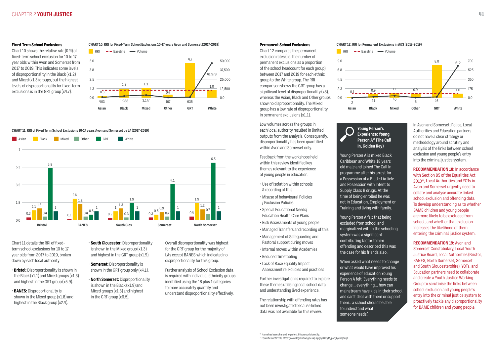#### **Fixed-Term School Exclusions**

Chart 10 shows the relative rate (RRI) of fixed-term school exclusion for 10 to 17 year olds within Avon and Somerset from 2017 to 2019. This indicates some levels of disproportionality in the Black (x1.2) and Mixed (x1.3) groups, but the highest levels of disproportionality for fixed-term exclusions is in the GRT group (x4.7).

#### **Permanent School Exclusions**

exclusion rates (i.e. the number of of the school headcount for each group) between 2017 and 2019 for each ethnic comparison shows the GRT group has a significant level of disproportionality (x8), in permanent exclusions (x1.1).

Low volumes across the groups in each local authority resulted in limited outputs from the analysis. Consequently, disproportionality has been quantified within Avon and Somerset only.

Feedback from the workshops held within this review identified key themes relevant to the experience of young people in education:

- Use of Isolation within schools & recording of this
- Misuse of behavioural Policies / Exclusion Policies
- Special Educational Needs/ Education Health Care Plans
- Risk Assessments of young people
- Managed Transfers and recording of this
- Management of Safeguarding and Pastoral support during moves
- Internal moves within Academies
- Reduced Timetabling
- Lack of Race Equality Impact Assessment re. Policies and practices
- **Bristol:** Disproportionality is shown in the Black  $(x1.1)$  and Mixed groups  $(x1.3)$ and highest in the GRT group (x5.9).
- **BANES:** Disproportionality is shown in the Mixed group (x1.8) and highest in the Black group (x2.4).
- **South Gloucester:** Disproportionality is shown in the Mixed group (x1.3) and highest in the GRT group (x1.9).
- **Somerset:** Disproportionality is shown in the GRT group only (x4.1).
- **North Somerset:** Disproportionality is shown in the Black (x1.9) and Mixed groups (x1.3) and highest in the GRT group (x6.5).

Further investigation is required to explore these themes utilising local school data and understanding lived experience.

The relationship with offending rates has not been investigated because linked data was not available for this review.

In Avon and Somerset; Police, Local Authorities and Education partners do not have a clear strategy or methodology around scrutiny and analysis of the links between school exclusion and young people's entry into the criminal justice system.

**RECOMMENDATION 18:** In accordance with Section 85 of the Equalities Act 201077, Local Authorities and YOTs in Avon and Somerset urgently need to collate and analyse accurate linked school exclusion and offending data. To develop understanding as to whether BAME children and young people are more likely to be excluded from school, and whether that exclusion increases the likelihood of them entering the criminal justice system.

![](_page_20_Figure_4.jpeg)

**RECOMMENDATION 19:** Avon and Somerset Constabulary, Local Youth Justice Board, Local Authorities (Bristol, BANES, North Somerset, Somerset and South Gloucestershire), YOTs, and Education partners need to collaborate and create a Youth Justice Working Group to scrutinise the links between school exclusion and young people's entry into the criminal justice system to proactively tackle any disproportionality for BAME children and young people.

Chart 11 details the RRI of fixedterm school exclusions for 10 to 17 year olds from 2017 to 2019, broken down by each local authority:

Overall disproportionality was highest for the GRT group for the majority of LAs except BANES which indicated no disproportionality for this group.

Further analysis of School Exclusion data is required with individual ethnicity groups identified using the 18 plus 1 categories to more accurately quantify and understand disproportionality effectively.

#### **CHART 10: RRI for Fixed-Term School Exclusions 10-17 years Avon and Somerset (2017-2019) CHART 12: RRI for Permanent Exclusions in A&S (2017-2019)**

#### **CHART 11: RRI of Fixed Term School Exclusions 10-17 years Avon and Somerset by LA (2017-2019)**

![](_page_20_Figure_6.jpeg)

![](_page_20_Figure_31.jpeg)

# **Young Person's Experience: Young In, Golden Key)**

# **Person A76 (The Call**

Young Person A is mixed Black Caribbean and White 18 years old male and joined The Call In programme after his arrest for a Possession of a Bladed Article and Possession with Intent to Supply Class B drugs. At the time of being enrolled he was not in Education, Employment or Training and living with family.

Young Person A felt that being excluded from school and marginalized within the schooling system was a significant contributing factor to him offending and described this was the case for his friends also.

When asked what needs to change or what would have improved his experience of education Young Person A felt 'Everything needs to change… everything… how can mainstream have kids in their school and can't deal with them or support them.. a school should be able to understand what someone needs.'

![](_page_20_Figure_39.jpeg)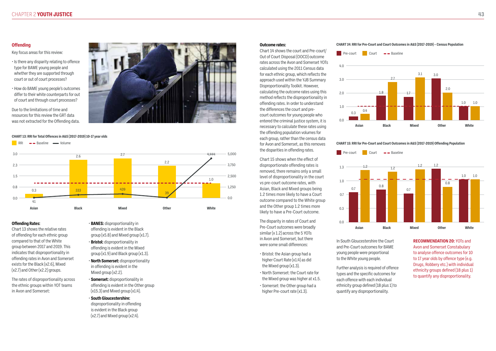### **Offending**

Key focus areas for this review:

- Is there any disparity relating to offence type for BAME young people and whether they are supported through court or out of court processes?
- How do BAME young people's outcomes differ to their white counterparts for out of court and through court processes?

Due to the limitations of time and resources for this review the GRT data was not extracted for the Offending data.

![](_page_21_Picture_6.jpeg)

#### **Offending Rates:**

Chart 13 shows the relative rates of offending for each ethnic group compared to that of the White group between 2017 and 2019. This indicates that disproportionality in offending rates in Avon and Somerset exists for the Black (x2.6), Mixed (x2.7) and Other (x2.2) groups.

> disproportionality in offending is evident in the Black group  $(x2.7)$  and Mixed group  $(x2.4)$ .

The rates of disproportionality across the ethnic groups within YOT teams in Avon and Somerset:

- **BANES:** disproportionality in offending is evident in the Black group  $(x5.8)$  and Mixed group  $(x1.7)$ .
- **Bristol:** disproportionality in offending is evident in the Mixed  $q$ roup (x1.9) and Black group (x1.3).
- **North Somerset:** disproportionality in offending is evident in the Mixed group (x2.2).
- **Somerset:** disproportionality in offending is evident in the Other group  $(x15.3)$  and Mixed group  $(x1.4)$ .
- **South Gloucestershire:**
- Bristol: the Asian group had a higher Court Rate (x1.4) as did the Mixed group (x1.3).
- North Somerset: the Court rate for the Mixed group was higher at x1.5.
- Somerset: the Other group had a higher Pre-court rate (x1.3).

#### **Outcome rates:**

Chart 14 shows the court and Pre-court/ Out of Court Disposal (OOCD) outcome rates across the Avon and Somerset YOTs calculated using the 2011 Census data for each ethnic group, which reflects the approach used within the YJB Summary Disproportionality Toolkit. However, calculating the outcome rates using this method reflects the disproportionality in offending rates. In order to understand the differences the court and precourt outcomes for young people who entered the criminal justice system, it is necessary to calculate these rates using the offending population volumes for each group, rather than the census data for Avon and Somerset, as this removes the disparities in offending rates.

Chart 15 shows when the effect of disproportionate offending rates is removed, there remains only a small level of disproportionality in the court vs pre-court outcome rates, with Asian, Black and Mixed groups being 1.2 times more likely to have a Court outcome compared to the White group and the Other group 1.2 times more likely to have a Pre-Court outcome.

The disparity in rates of Court and Pre-Court outcomes were broadly similar (x 1.2) across the 5 YOTs in Avon and Somerset, but there were some small differences:

In South Gloucestershire the Court and Pre-Court outcomes for BAME young people were proportional to the White young people.

Further analysis is required of offence types and the specific outcomes for each offence with each individual ethnicity group defined (18 plus 1) to quantify any disproportionality.

**RECOMMENDATION 20:** YOTs and Avon and Somerset Constabulary to analyse offence outcomes for 10 to 17 year olds by offence type (e.g. Drugs, Robbery etc.) with individual ethnicity groups defined (18 plus 1) to quantify any disproportionality.

#### **CHART 14: RRI for Pre-Court and Court Outcomes in A&S (2017-2019) – Census Population**

![](_page_21_Figure_26.jpeg)

![](_page_21_Figure_27.jpeg)

**CHART 15: RRI for Pre-Court and Court Outcomes in A&S (2017-2019) Offending Population** 

![](_page_21_Figure_28.jpeg)

![](_page_21_Figure_29.jpeg)

![](_page_21_Figure_33.jpeg)

![](_page_21_Figure_8.jpeg)

#### **CHART 13: RRI for Total Offences in A&S (2017-2019) 10-17 year olds**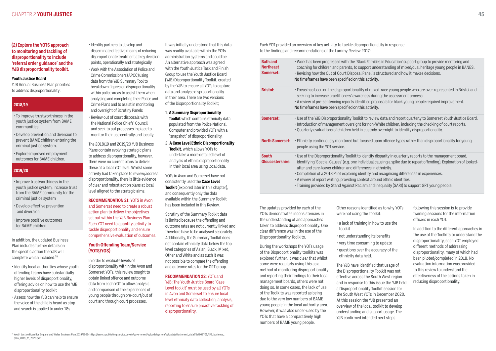### **(2) Explore the YOTS approach to monitoring and tackling of disproportionality to include 'referral order guidance' and the YJB disproportionality toolkit.**

#### **Youth Justice Board**

YJB Annual Business Plan priorities to address disproportionality:

In addition, the updated Business Plan includes further details on the specific action the YJB will complete which included:78

- Identify local authorities whose youth offending teams have substantially higher levels of disproportionality, offering advice on how to use the YJB disproportionality toolkit
- Assess how the YJB can help to ensure the voice of the child is heard as stop and search is applied to under 18s

Each YOT provided an overview of key activity to tackle disproportionality in response to the findings and recommendations of the Lammy Review 2017:

The updates provided by each of the YOTs demonstrates inconsistencies in the understanding of and approaches taken to address disproportionality. One clear difference was in the use of the Disproportionality Toolkits.

During the workshops the YOTs usage of the Disproportionality toolkits was explored further, it was clear that whilst some were regularly using this as a method of monitoring disproportionality and reporting their findings to their local management boards, others were not doing so. In some cases, the lack of use of the Toolkits was reported as being due to the very low numbers of BAME young people in the local authority area. However, it was also under-used by the YOTs that have a comparatively high numbers of BAME young people.

Other reasons identified as to why YOTs were not using the Toolkit:

lies in Education' support group to provide mentoring and nderstanding of mixed/dual heritage young people in BANES. structured and how it makes decisions.

red-race young people who are over-represented in Bristol and ring the assessment process.

oposals for black young people required improvement.

ew data and report quarterly to Somerset Youth Justice Board. White children, including the checking of court reports. y overnight to identify disproportionality.

- a lack of training in how to use the toolkit
- not understanding its benefits
- very time consuming to update
- questions over the accuracy of the ethnicity data held.

The YJB have identified that usage of the Disproportionality Toolkit was not effective across the South West region and in response to this issue the YJB held a Disproportionality Toolkit session for the South West YOTs in December 2020. At this session the YJB presented an overview of the local toolkit to develop understanding and support usage. The YJB confirmed intended next steps

following this session is to provide training sessions for the information officers in each YOT.

In addition to the different approaches in the use of the Toolkits to understand the disproportionality, each YOT employed different methods of addressing disproportionality, many of which had been piloted/completed in 2018. No evaluation information was provided to this review to understand the effectiveness of the actions taken in reducing disproportionality.

### **2018/19**

- To improve trustworthiness in the youth justice system from BAME communities.
- Develop prevention and diversion to prevent BAME children entering the criminal justice system.
- Explore improved employment outcomes for BAME children.

### **2019/20**

- Improve trustworthiness in the youth justice system, increase trust from the BAME community for the criminal justice system
- Develop effective prevention and diversion
- Improve positive outcomes for BAME children
- Identify partners to develop and disseminate effective means of reducing disproportionate treatment at key decision points, operationally and strategically
- Work with the Association of Police and Crime Commissioners (APCC) using data from the YJB Summary Tool to breakdown figures on disproportionality within police areas to assist them when analysing and completing their Police and Crime Plans and to assist in monitoring and oversight of Scrutiny Panels
- Review out of court disposals with the National Police Chiefs' Council and seek to put processes in place to monitor their use centrally and locally.

The 2018/19 and 2019/20 YJB Business Plans contain evolving strategic plans to address disproportionality, however, there were no current plans to deliver these at a local YOT level. Whilst some activity had taken place to review/address disproportionality, there is little evidence of clear and robust action plans at local level aligned to the strategic aims.

#### **RECOMMENDATION 21:** YOTS in Avon

and Somerset need to create a robust action plan to deliver the objectives set out within the YJB Business Plan. Each YOT need to quantify activity to tackle disproportionality and ensure comprehensive evaluation of outcomes.

### **Youth Offending Team/Service (YOTS/YOS)**

In order to evaluate levels of disproportionality within the Avon and Somerset YOTs, this review sought to obtain linked offence and outcome data from each YOT to allow analysis and comparison of the experiences of young people through pre-court/out of court and through court processes.

It was initially understood that this data was readily available within the YOTs administration systems and could be An alternative approach was agreed with the Youth Justice Task and Finish Group to use the Youth Justice Board (YJB) Disproportionality Toolkit, created by the YJB to ensure all YOTs to capture data and analyse disproportionality in their area. There are two versions of the Disproportionality Toolkit;

- 1. **A Summary Disproportionality Toolkit** which contains ethnicity data populated from the Police National Computer and provided YOTs with a "snapshot" of disproportionality,
- 2. **A Case Level Ethnic Disproportionality Toolkit**, which allows YOTs to undertake a more detailed level of analysis of ethnic disproportionality in their local area using local data.

YOTs in Avon and Somerset have not consistently used the **Case Level Toolkit** (explored later in this chapter), and consequently only the data available within the Summary Toolkit has been included in this Review.

Scrutiny of the Summary Toolkit data is limited because the offending and outcome rates are not currently linked and therefore have to be analysed separately. Additionally, the Summary Toolkit does not contain ethnicity data below the top level categories of Asian, Black, Mixed, Other and White and as such it was not possible to compare the offending and outcome rates for the GRT group.

#### **RECOMMENDATION 22:** YOTs and

YJB: The Youth Justice Board 'Case Level toolkit' must be used by all YOTs in Avon and Somerset to ensure local level ethnicity data collection, analysis, reporting to ensure proactive tackling of disproportionality.

| <b>Bath and</b><br><b>Northeast</b><br>Somerset: | . Work has been progressed with the 'Black Families<br>coaching for children and parents, to support unde<br>. Revising how the Out of Court Disposal Panel is st<br>No timeframes have been specified on this activity.                                                                                                                          |
|--------------------------------------------------|---------------------------------------------------------------------------------------------------------------------------------------------------------------------------------------------------------------------------------------------------------------------------------------------------------------------------------------------------|
| <b>Bristol:</b>                                  | • Focus has been on the disproportionality of mixed<br>seeking to increase practitioners' awareness durin<br>• A review of pre-sentencing reports identified prope<br>No timeframes have been specified on this activity.                                                                                                                         |
| Somerset:                                        | • Use of the YJB Disproportionality Toolkit to review<br>· Introduction of management oversight for non-WI<br>· Quarterly evaluations of children held in custody o                                                                                                                                                                               |
| <b>North Somerset:</b>                           | • Ethnicity continuously monitored but focused upo<br>people using the YOT service.                                                                                                                                                                                                                                                               |
| <b>South</b><br><b>Gloucestershire:</b>          | • Use of the Disproportionality Toolkit to identify dis<br>identifying 'Special Causes' (e.g. one individual cau<br>after and care-leaver children and differences in et<br>• Completion of a 2018 Pilot exploring identity and r<br>• A review of report writing, providing context aroun<br>· Training provided by Stand Against Racism and Ine |

**North Somerset:** • Ethnicity continuously monitored but focused upon offence types rather than disproportionality for young

disparity in quarterly reports to the management board, causing a spike due to repeat offending). Exploration of lookedethnicity.

d recognising differences in experiences.

ound ethnic identities.

Inequality (SARI) to support GRT young people.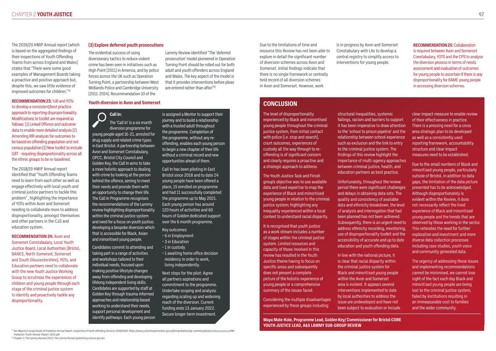The 2019/20 HMIP Annual report (which is based on the aggregated findings of their inspections of Youth Offending Teams from across England and Wales) states that "There were some good examples of Management Boards taking a proactive and positive approach but, despite this, we saw little evidence of improved outcomes for children."79

to develop a consistent/best practice approach to reporting disproportionality. Modifications to toolkit are required as follows: (1) Linked Offence and outcome data to enable more detailed analysis (2) Amending RRI analysis for outcomes to be based on offending population and not census population (3) New toolkit to include GRT - requiring disproportionality across all the ethnic groups to be re-baselined.

### **RECOMMENDATION 23:** YJB and YOTs

The 2018/19 HMIP Annual report identified that "Youth Offending Teams need to learn from each other as well as engage effectively with local youth and criminal justice partners to tackle this problem" , highlighting the importance of YOTs within Avon and Somerset needing to collaborate more to address disproportionality, amongst themselves and other partners in the CJS and education system.

**RECOMMENDATION 24:** Avon and Somerset Constabulary, Local Youth Justice Board, Local Authorities (Bristol, BANES, North Somerset, Somerset and South Gloucestershire), YOTs, and Education partners need to collaborate with the new Youth Justice Working Group to scrutinise the experiences of children and young people through each stage of the criminal justice system to identify and proactively tackle any disproportionality.

Due to the limitations of time and resource this Review has not been able to explore in detail the significant number of diversion schemes across Avon and Somerset. Initial findings indicate that there is no single framework or centrally held record of all diversion schemes in Avon and Somerset. However, work

is in progress by Avon and Somerset Constabulary with LAs to develop a central registry to simplify access to interventions for young people.

**RECOMMENDATION 25:** Collaboration is required between Avon and Somerset Constabulary, YOTS and the CPS to analyse the diversion process in terms of needs assessment and evaluation of outcomes for young people to ascertain if there is any disproportionality for BAME young people in accessing diversion schemes.

The evidential success of using diversionary tactics to reduce violent crime has been seen in initiatives such as High Point (2011) in America, and by police forces across the UK such as Operation Turning Point, a partnership between West Midlands Police and Cambridge University (2011-2014). Recommendation 10 of the

Lammy Review identified "The 'deferred prosecution' model pioneered in Operation Turning Point should be rolled out for both adult and youth offenders across England and Wales. The key aspect of the model is that it provides interventions before pleas

#### **Youth diversion in Avon and Somerset**

#### **(3) Explore deferred youth prosecutions**

<sup>79</sup> Her Majesty's Inspectorate of Probation Annual Report, Inspection of Youth offending Services 2019/2020: https://www.justiceinspectorates.gov.uk/hmiprobation/wp-content/uploads/sites/5/2020/11/HMI-Probation-Youth-Annual-Report-2020.pdf

[1] Chapter 3: The Lammy Review (2017): The Lammy Review (publishing.service.gov.uk)

**Call In:**  The 'Call In' is a six month diversion programme for young people aged 16-21, arrested for drug supply and related crime types in East Bristol. A partnership between Avon and Somerset Constabulary, OPCC, Bristol City Council and Golden Key, the Call In aims to take a more holistic approach to dealing with crime by looking at the person behind the offence, aiming to meet their needs and provide them with an opportunity to change their life. The Call In Programme recognises the recommendations of the Lammy review highlighting disproportionality within the criminal justice system and need for a focus on youth justice; developing a bespoke diversion which that is accessible for Black, Asian and minoritised young people.

Candidates commit to attending and taking part in a range of activities and workshops tailored to their individual needs, focused upon making positive lifestyle changes away from offending and developing lifelong independent living skills. Candidates are supported by staff at Golden Key through trauma informed approaches and relationship based working to understand their needs, support personal development and identify pathways. Each young person is assigned a Mentor to support their journey and to build a relationship with a trusted adult throughout the programme. Completion of the programme, without any reoffending, enables each young person to begin a new chapter of their life without a criminal record and new opportunities ahead of them.

are entered rather than after."[1]

Call In has been piloting in East Bristol since 2018 and to date 24 young people have been offered a place, 15 enrolled on programme and had 11 successfully completed the programme up to May 2021. Each young person has around 120 hours of activities and 60 hours of Golden dedicated support over the 6 month programme.

Key outcomes:

- 6 in Employment
- 3 in Education
- 1 in custody
- 1 awaiting home office decision residency in order to work, living independently.

Next steps for the pilot: Agree all partners aspirations and commitment to the programme. Undertake scoping and analysis regarding scaling up and widening reach of the diversion. Current funding ends 13 January 2022. Secure longer-term investment.

**CONCLUSION** 

The level of disproportionality experienced by Black and minoritised young people throughout the criminal justice system, from initial contact with police (i.e. stop and search), court outcomes, experiences of custody all the way through to reoffending is of significant concern and clearly requires a proactive and a strategic approach to address.

The Youth Justice Task and Finish group's objective was to use available data and lived expertise to map the experience of Black and minoritised young people in relation to the criminal justice system; highlighting any inequality experienced within a local context to understand racial disparity.

It is recognised that youth justice as a work stream includes a number of stages within the criminal justice system. Limited resources and capacity of those involved in this review has resulted in the Youth Justice theme having to focus on specific areas and subsequently does not present a complete picture of the holistic experience of young people or a comprehensive summary of the issues faced.

Considering the multiple disadvantages experienced by these groups including

structural inequalities, systemic failings, racism and barriers to support it has been imperative to draw attention to the 'school to prison pipeline' and the relationship between school experience such as exclusion and the link to entry to the criminal justice system. The findings of this review highlight the importance of multi-agency approaches between criminal justice, health, and education partners as best practice.

Unfortunately, throughout the review period there were significant challenges and delays in obtaining data sets. The quality and consistency of available data and ethnicity breakdown, the level of analysis and interrogation that had been planned has not been achieved. Subsequently, there is an urgent need to address ethnicity recording, monitoring, use of disproportionality toolkit and the accessibility of accurate and up to date education and youth offending data.

In line with the national picture, it is clear that racial disparity within the criminal justice system for Black and minoritised young people within the Avon and Somerset area is evident. It appears several interventions implemented to date by local authorities to address the issue are undeveloped and have not been subject to evaluation or include clear impact measure to enable review

of their effectiveness in practice. There is a pressing need for a cross area strategic plan to be developed as well as a consistently used reporting framework, accountability structure and clear impact measures need to be established.

Due to the small numbers of Black and minoritised young people, particularly outside of Bristol, in addition to data gaps, the limitation of the data picture presented has to be acknowledged. Although disproportionately is evident within the Review, it does not necessarily reflect the lived experience of Black and minoritised young people and the trends that are observed by those working in the sector. This reiterates the need for further exploration and investment and more diverse data collection processes including case studies, youth voice and community generated data.

The urgency of addressing these issues and implementing recommendations cannot be minimised, we cannot lose sight of the fact each day Black and minoritised young people are being lost to the criminal justice system. failed by institutions resulting in an immeasurable cost to families and the wider community.

**Maya Mate-Kole, Programme Lead, Golden Key/ Commissioner for Bristol CORE YOUTH JUSTICE LEAD, A&S LAMMY SUB-GROUP REVIEW**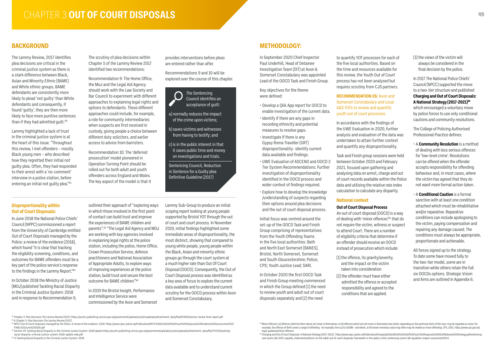# **CHAPTER 3 OUT OF COURT DISPOSALS**

## **BACKGROUND**

The Lammy Review, 2017 identifies plea decisions are critical in the criminal justice system as there is a stark difference between Black, Asian and Minority Ethnic (BAME) and White ethnic groups. BAME defendants are consistently more likely to plead 'not guilty' than White defendants and consequently, if found 'guilty', they are then more likely to face more punitive sentences than if they had admitted quilt.<sup>80</sup>

Lammy highlighted a lack of trust in the criminal justice system is at the heart of this issue. "Throughout this review, I met offenders – mostly Black young men – who described how they regretted their initial not guilty plea. Often, they had responded to their arrest with a 'no-comment' interview in a police station, before entering an initial not guilty plea."81

The scrutiny of plea decisions within Chapter 5 of the Lammy Review 2017 identified two recommendations:

Recommendation 9: The Home Office, the MoJ and the Legal Aid Agency should work with the Law Society and Bar Council to experiment with different approaches to explaining legal rights and options to defendants. These different approaches could include, for example, a role for community intermediaries when suspects are first received in custody, giving people a choice between different duty solicitors, and earlier access to advice from barristers.

outlined their approach of "exploring ways in which those involved in the first point of contact can build trust and improve the experiences of BAME children and parents".83 "The Legal Aid Agency and MOJ are working with key agencies involved in explaining legal rights at the police station, including the police, Home Office, Crown Prosecution Service, defence practitioners and National Association of Appropriate Adults, to explore ways of improving experiences at the police station, build trust and secure the best outcome for BAME children"<sup>84</sup>

Recommendation 10: The 'deferred prosecution' model pioneered in Operation Turning Point should be rolled out for both adult and youth offenders across England and Wales. The key aspect of the model is that it provides interventions before pleas are entered rather than after.

Recommendations 9 and 10 will be explored over the course of this chapter.

![](_page_24_Picture_9.jpeg)

a) normally reduces the impact of the crime upon victims;

b) saves victims and witnesses from having to testify; and

c) is in the public interest in that it saves public time and money on investigations and trials.

Sentencing Council, Reduction in Sentence for a Guilty plea Definitive Guideline (2017)

#### **Disproportionality within Out of Court Disposals:**

In June 2018 the National Police Chiefs' Council (NPPC) commissioned a report from the University of Cambridge entitled Out of Court Disposals managed by the Police: a review of the evidence (2018), which found "it is clear that tracking the eligibility screening, conditions, and outcomes for BAME offenders must be a key part of the police service's response to the findings in the Lammy Report."82

In October 2018 the Ministry of Justice (MOJ) published Tackling Racial Disparity in the Criminal Justice System: 2018 and in response to Recommendation 9,

In 2019 the Bristol Insight, Performance and Intelligence Service were commissioned by the Avon and Somerset Lammy Sub-Group to produce an initial scoping report looking at young people supported by Bristol YOT through the out of court and court process. In November 2019, initial findings highlighted some immediate areas of disproportionality, the most distinct, showing that compared to young white people, young people within the Black, Asian and minority ethnic groups go through the court system at a much higher rate than Out Of Court Disposal (OOCD). Consequently, the Out of Court Disposal process was identified as a key area of focus to explore the current data available and to understand current scrutiny for the OOCD process within Avon and Somerset Constabulary.

All forces signed up to the strategy. To date some have moved fully to the two-tier model, some are in transition while others retain the full six OOCDs options. Strategic Vision and Aims are outlined in Appendix 6.

# **METHODOLOGY:**

In September 2020 Chief Inspector Paul Underhill, Head of Detainee Investigation Team (DIT) at Avon & Somerset Constabulary was appointed Lead of the OOCD Task and Finish Group.

Key objectives for the theme were defined:

- Develop a Qlik App report for OOCD to enable investigation of the current data.
- Identify if there are any gaps in recording ethnicity and potential measures to resolve gaps.
- Investigate if there is any Gypsy Roma Traveller (GRT) disproportionality- identify current data available and findings.
- UWE Evaluation of ASCEND and OOCD 2 Tier System Recommendations: Further investigation of disproportionality identified in the OOCD process and wider context of findings required.
- Explore how to develop the knowledge /understanding of suspects regarding their options around plea decisions and the out of court disposal process.

Initial focus was centred around the set-up of the OOCD Task and Finish Group comprising of representatives from the Youth Offending Teams in the five local authorities: Bath and North East Somerset (BANES), Bristol, North Somerset, Somerset and South Gloucestershire; Police; CPS; Youth Justice Lead; SARI.

In October 2020 the first OOCD Task and Finish Group meeting commenced in which the Group defined (1) the need to review youth and adult out of court disposals separately and (2) the need

to quantify YOT processes for each of the five local authorities. Based on the time and resources available for this review, the Youth Out of Court process has not been analysed but requires scrutiny from CJS partners.

#### **RECOMMENDATION 26:** Avon and Somerset Constabulary and Local A&S YOTs to review and quantify youth out of court processes.

In accordance with the findings of the UWE Evaluation in 2020, further analysis and evaluation of the data was undertaken to attain further context and quantify any disproportionality.

Task and Finish group sessions were held between October 2020 and February 2021, focused upon gathering and analysing data on arrest, charge and out of court records available within the Police data and utilising the relative rate index calculation to calculate any disparity.

### **National context**

### **Out of Court Disposal Process**

An out of court disposal (OOCD) is a way of dealing with 'minor offences'85 that do not require the victim, witness or suspect to attend Court. There are a number of eligibility criteria that determine if an offender should receive an OOCD instead of prosecution which include:

- (1) the offence, its gravity/severity, and the impact on the victim taken into consideration (2) the offender must have either
- admitted the offence or accepted responsibility and agreed to the conditions that are applied.

80 Chapter 3: Plea Decisions The Lammy Review (2017): https://assets.publishing.service.gov.uk/government/uploads/system/uploads/attachment\_data/file/643001/lammy-review-final-report.pdf 81 6 Chapter 3: Plea Decisions The Lammy Review (2017)

- 82 NPCC Out of Court Disposals managed by the Police: A review of the evidence. 2018: https://www.npcc.police.uk/Publication/NPCC%20Out%20of%20Court%20Disposals%20Evidence%20assessment%20 FINAL%20June%202018.pdf
- 83 Section 34: Tackling Racial Disparity in the Criminal Justice System: 2018 Update https://assets.publishing.service.gov.uk/government/uploads/system/uploads/attachment\_data/file/747335/tacklingracial-disparity-criminal-justice-system-2018-update-web.pdf
- <sup>84</sup> 17 Tackling Racial Disparity in the Criminal Justice System: 2018

(3) the views of the victim will always be considered in the final decision by the police.

In 2017 The National Police Chiefs' Council (NPCC) supported the move to a two-tier structure and published **Charging and Out of Court Disposals: A National Strategy (2017-2021)86** which encouraged a voluntary move by police forces to use only conditional cautions and community resolutions.

The College of Policing Authorised Professional Practice defines:

- A **Community Resolution** is a method of dealing with less serious offences for 'low-level crime'. Resolutions can be offered when the offender accepts responsibility for offending behaviour and, in most cases, where the victim has agreed that they do not want more formal action taken.
- A **Conditional Caution** is a formal sanction with at least one condition attached which must be rehabilitative and/or reparative. Reparative conditions can include apologising to the victim, paying compensation and repairing any damage caused. The conditions must always be appropriate, proportionate and achievable.

<sup>&</sup>lt;sup>85</sup> Minor offences: (a) offences which by their nature are minor in themselves; or (b) offences which are not minor in themselves but which, depending on the particular facts of the case, may be regarded as minor: for example, the offence of theft covers a range of offending - for example, from 1p to £100M - and which, at the lower monetary value may often may be viewed as minor offending. CPS, 2021. https://www.cps.gov.uk/ legal-guidance/minor-offences

<sup>86</sup> Charging and Out of Court Disposals: A National Strategy (2017-2021) : https://www.npcc.police.uk/Publication/Charging%20and%20Out%20of%20Court%20Disposals%20A%20National%20Strategy.pdfsentencingand-courts-bill-2021-equality-statements/reforms-to-the-adult-out-of-court-disposals-framework-in-the-police-crime-sentencing-courts-bill-equalities-impact-assessment#fn:6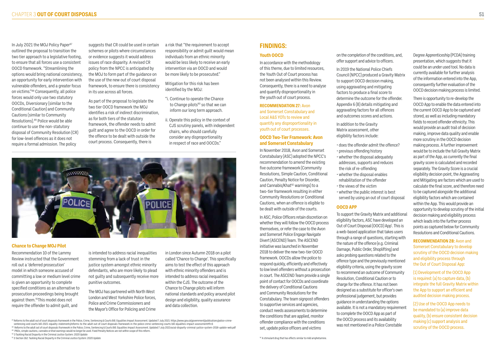In July 2021 the MOJ Policy Paper<sup>87</sup> outlined the proposal to transition the two tier approach to a legislative footing, to ensure that all forces use a consistent OOCD framework. "Streamlining the options would bring national consistency, an opportunity for early intervention with vulnerable offenders, and a greater focus on victims."88 Consequently, all police forces would only use two statutory OOCDs, Diversionary (similar to the Conditional Caution) and Community Cautions (similar to Community Resolutions).89 Police would be able continue to use the non-statutory disposal of Community Resolution (CR) for low-level offences as it does not require a formal admission. The policy

suggests that CR could be used in certain schemes or pilots where circumstances or evidence suggests it would address issues of race disparity. A revised CR policy from the NPCC is anticipated by the MOJ to form part of the guidance on the use of the new out of court disposal framework, to ensure there is consistency in its use across all forces.

As part of the proposal to legislate the two tier OOCD framework the MOJ identifies a risk of indirect discrimination, as for both tiers of the statutory framework, the offender needs to admit guilt and agree to the OOCD in order for the offence to be dealt with outside the court process. Consequently, there is

a risk that "the requirement to accept responsibility or admit guilt would mean individuals from an ethnic minority would be less likely to receive an early intervention via an OOCD and would be more likely to be prosecuted."

Mitigation for this risk has been identified by the MOJ:

- "i. Continue to operate the Chance to Change pilots<sup>90</sup> so that we can inform our long term approach.
- ii. Operate this policy in the context of CJS scrutiny panels, with independent chairs, who should carefully consider any disproportionality in respect of race and OOCDs."

![](_page_25_Picture_8.jpeg)

### **FINDINGS:**

#### **Youth OOCD**

In accordance with the methodology of this theme, due to limited resources, the Youth Out of Court process has not been analysed within this Review. Consequently, there is a need to analyse and quantify disproportionality in the youth out of court process.

#### **RECOMMENDATION 27:** Avon

and Somerset Constabulary and Local A&S YOTs to review and quantify any disproportionality in youth out of court processes.

#### **OOCD Two-Tier Framework: Avon and Somerset Constabulary**

In November 2018, Avon and Somerset Constabulary (ASC) adopted the NPCC's recommendation to amend the existing five outcome framework (Community Resolutions, Simple Caution, Conditional Caution, Penalty Notice for Disorder, and Cannabis/Khat<sup>92</sup> warnings) to a two-tier framework resulting in either Community Resolutions or Conditional Cautions, when an offence is eligible to be dealt with outside of the courts.

In ASC, Police Officers retain discretion on whether they will follow the OOCD process themselves, or refer the case to the Avon and Somerset Police Engage Navigate Divert (ASCEND) Team. The ASCEND initiative was launched in November 2018 to deliver the new two-tier OOCD framework. OOCDs allow the police to respond quickly, efficiently and effectively to low level offenders without a prosecution in court. The ASCEND Team provide a single point of contact for OOCDs and coordinate the delivery of Conditional Cautions and Community Resolutions for the Constabulary. The team signpost offenders to supportive services and agencies, conduct needs assessments to determine the conditions that are applied, monitor offender compliance with the conditions set, update police officers and victims

on the completion of the conditions, and, offer support and advice to officers.

In 2019 the National Police Chiefs Council (NPCC) produced a Gravity Matrix to support OOCD decision making, using aggravating and mitigating factors to produce a final score to determine the outcome for the offender. Appendix 6 (B) details mitigating and aggravating factors for all offences and outcomes scores and actions.

In addition to the Gravity Matrix assessment, other eligibility factors include:

- does the offender admit the offence?
- previous offending history • whether the disposal adequately addresses, supports and reduces the risk of re-offending
- whether the disposal enables rehabilitation of the offender
- the views of the victim
- whether the public interest is best served by using an out of court disposal

#### **OOCD APP**

To support the Gravity Matrix and additional eligibility factors, ASC have developed an Out of Court Disposal (OOCD) App'. This is a web-based application that takes users through a range of questions, starting with the nature of the offence (e.g. Criminal Damage, Public Order, Shoplifting) and asks probing questions related to the offence type and the previously mentioned eligibility criteria, using the gravity score to recommend an outcome of Community Resolution, Conditional Caution or to charge for the offence. It has not been designed as a substitute for officer's own professional judgement, but provides guidance in understanding the options available. It is not a mandatory requirement to complete the OOCD App as part of the OOCD process and its availability was not mentioned in a Police Constable

Degree Apprenticeship (PCDA) training presentation, which suggests that it could be an under used tool. No data is currently available for further analysis of the information entered into the App, consequently further evaluation of the OOCD decision making process is limited.

There is opportunity to re-develop the OOCD App to enable the data entered into the current OOCD App to be captured and stored, as well as including mandatory fields to record offender ethnicity. This would provide an audit trail of decision making, improve data quality and enable more scrutiny in the OOCD decision making process. A further improvement would be to include the full Gravity Matrix as part of the App, as currently the final gravity score is calculated and recorded separately. The Gravity Score is a crucial eligibility decision point, the Aggravating and Mitigating are factors which are used to calculate the final score, and therefore need to be captured alongside the additional eligibility factors which are contained within the App. This would provide an opportunity to develop scrutiny of the initial decision making and eligibility process which leads into the further process points as captured below for Community Resolutions and Conditional Cautions.

**RECOMMENDATION 28:** Avon and Somerset Constabulary to develop scrutiny of the OOCD decision making and eligibility process through the Out of Court Disposal App:

(1) Development of the OOCD App is required: (a) to capture data, (b) integrate the full Gravity Matrix within the App to support an efficient and audited decision making process.

(2) Use of the OOCD App needs to be mandated to (a) improve data quality, (b) ensure consistent decision making (c) support analysis and scrutiny of the OOCD process.

#### **Chance to Change MOJ Pilot**

Recommendation 10 of the Lammy Review instructed that the Government roll out a 'deferred prosecution' model in which someone accused of committing a low or medium level crime is given an opportunity to complete specified conditions as an alternative to prosecution proceedings being brought against them.91This model does not require the offender to admit guilt, and

is intended to address racial inequalities stemming from a lack of trust in the justice system amongst ethnic minority defendants, who are more likely to plead not guilty and subsequently receive more punitive outcomes.

The MOJ has partnered with North West London and West Yorkshire Police forces, Police and Crime Commissioners and the Mayor's Office for Policing and Crime

in London since Autumn 2018 on a pilot called 'Chance to Change'. This specifically aims to test the effect of this approach with ethnic minority offenders and is intended to address racial inequalities within the CJS. The outcome of the Chance to Change pilots will inform national standards and policy around pilot design and eligibility, quality assurance and data collection.

<sup>&</sup>lt;sup>87</sup> Reforms to the adult out of court disposals framework in the Police, Crime, Sentencing & Courts Bill: Equalities Impact Assessment. Updated 7 July 2021: https://www.gov.uk/government/publications/police-crimesentencing-and-courts-bill-2021-equality-statements/reforms-to-the-adult-out-of-court-disposals-framework-in-the-police-crime-sentencing-courts-bill-equalities-impact-assessment#fn:6

<sup>88</sup> Reforms to the adult out of court disposals framework in the Police, Crime, Sentencing & Courts Bill: Equalities Impact Assessment. Updated 7 July 2021racial-disparity-criminal-justice-system-2018-update-web.pdf 89 PNDs, simple cautions, cannabis or khat warnings would no longer be used. Fixed Penalty Notices are not within scope of this reform.

<sup>90 3</sup> Tackling Racial Disparity in the Criminal Justice System: 2020 Update

<sup>&</sup>lt;sup>91</sup> 3 Section 162: Tackling Racial Disparity in the Criminal Justice System: 2020 Update externion of the Criminal Justice System: 2020 Update externion and amphetamine.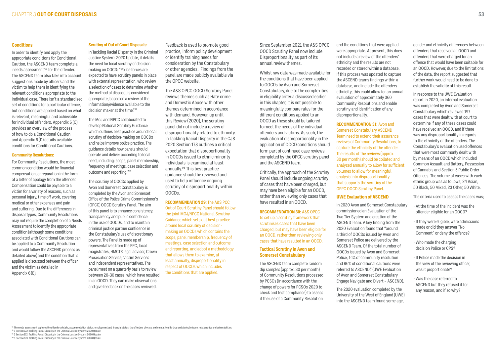#### **Conditions**

In order to identify and apply the appropriate conditions for Conditional Caution, the ASCEND team complete a 'needs assessment'93 for the offender. The ASCEND team also take into account suggestions made by officers and the victim to help them in identifying the relevant conditions appropriate to the individual case. There isn't a standardised set of conditions for a particular offence, but conditions are applied based on what is relevant, meaningful and achievable for individual offenders. Appendix 6 (C) provides an overview of the process of how to do a Conditional Caution and Appendix 6 (D) details available conditions for Conditional Cautions.

#### **Community Resolutions:**

In Tackling Racial Disparity in the Criminal Justice System: 2020 Update, it details the need for local scrutiny of decision making on OOCD: "Police forces are expected to have scrutiny panels in place with external representation, who review a selection of cases to determine whether the method of disposal is considered appropriate, based on a review of the information/evidence available to the decision maker at the time."<sup>94</sup>

For Community Resolutions, the most common condition would be financial compensation, or reparation in the form of a letter of apology from the offender. Compensation could be payable to a victim for a variety of reasons, such as personal injury, time off work, covering medical or other expenses and pain and suffering. Due to the differences in disposal types, Community Resolutions may not require the completion of a Needs Assessment to identify the appropriate condition (although some conditions associated with Conditional Cautions can be applied to a Community Resolution and would follow the ASCEND process as detailed above) and the condition that is applied is discussed between the officer and the victim as detailed in Appendix 6 (E).

#### **Scrutiny of Out of Court Disposals:**

The MoJ and NPCC collaborated to develop National Scrutiny Guidance which outlines best practice around local scrutiny of decision-making on OOCDs and helps improve police practice. The guidance details how panels should operate and deliver according to local need, including: scope, panel membership, frequency of meetings, case selection and outcome and reporting."95

The scrutiny of OOCDs applied by Avon and Somerset Constabulary is completed by the Avon and Somerset Office of the Police Crime Commissioner's (OPCC) OOCD Scrutiny Panel. The aim of this panel is to enhance consistency, transparency and public confidence in the use of OOCDs, and to maintain criminal justice partner confidence in the Constabulary's use of discretionary powers. The Panel is made up of representatives from the PPC, local magistrates, HMCTS legal advisor, Crown Prosecution Service, Victim Services and independent representatives. The panel meet on a quarterly basis to review between 20-30 cases, which have resulted in an OOCD. They can make observations and give feedback on the cases reviewed.

Feedback is used to promote good practice, inform policy development or identify training needs for consideration by the Constabulary or other agencies. Findings from the panel are made publicly available via the OPCC website.

The A&S OPCC OOCD Scrutiny Panel reviews themes such as Hate crime and Domestic Abuse with other themes determined in accordance with demand. However, up until this Review (2020), the scrutiny panel did not include a review of disproportionality related to ethnicity. In Tackling Racial Disparity in the CJS 2020 Section 173 outlines a critical expectation that disproportionality in OOCDs issued to ethnic minority individuals is examined at least annually.96 This best practice guidance should be reviewed and used to help influence ongoing scrutiny of disproportionality within OOCDs.

**RECOMMENDATION 29:** The A&S PCC Out of Court Scrutiny Panel should follow the joint MOJ/NPCC National Scrutiny Guidance which sets out best practice around local scrutiny of decisionmaking on OOCDs which contains the scope, panel membership, frequency of meetings, case selection and outcome and reporting, and adopt a methodology that allows them to examine, at least annually, disproportionality in respect of OOCDs which includes the conditions that are applied.

Since September 2021 the A&S OPCC OOCD Scrutiny Panel now include Disproportionality as part of its annual review themes.

Whilst raw data was made available for the conditions that have been applied to OOCDs by Avon and Somerset Constabulary, due to the complexities in eligibility criteria discussed earlier in this chapter, it is not possible to meaningfully compare rates for the different conditions applied to an OOCD as these should be tailored to meet the needs of the individual offenders and victims. As such, the evaluation of disproportionality in the application of OOCD conditions should form part of continued case reviews completed by the OPCC scrutiny panel and the ASCEND team.

Critically, the approach of the Scrutiny Panel should include ongoing scrutiny of cases that have been charged, but may have been eligible for an OOCD, rather than reviewing only cases that have resulted in an OOCD.

**RECOMMENDATION 30:** A&S OPCC to set up a scrutiny framework that scrutinises cases that have been charged, but may have been eligible for an OOCD, rather than reviewing only cases that have resulted in an OOCD.

#### **Tactical Scrutiny in Avon and Somerset Constabulary**

The ASCEND team complete random dip samples (approx. 30 per month) of Community Resolutions processed by PCSOs (in accordance with the change of powers for PCSOs 2020 to check and test compliance) to assess if the use of a Community Resolution

and the conditions that were applied were appropriate. At present, this does not include a review of the offenders' ethnicity and the results are not recorded or stored within a database. If this process was updated to capture the ASCEND teams findings within a database, and include the offenders ethnicity, this could allow for an annual evaluation of approximately 360 Community Resolutions and enable scrutiny and identification of any disproportionality.

**RECOMMENDATION 31:** Avon and Somerset Constabulary ASCEND Team need to extend their assurance reviews of Community Resolutions, to capture the ethnicity of the offender. The results of the reviews (approx. 30 per month) should be collated and analysed annually to allow for sufficient volumes to allow for meaningful analysis into disproportionality that supports the scrutiny of the OPPC OOCD Scrutiny Panel.

#### **UWE Evaluation of ASCEND**

In 2020 Avon and Somerset Constabulary commissioned an Evaluation of the Two Tier System and creation of the ASCEND Team. A key finding from the 2020 Evaluation found that "around a third of OOCDs issued by Avon and Somerset Police are delivered by the ASCEND Team. Of the total number of OOCDs issued by Avon and Somerset Police, 14% of community resolution and 86% of conditional cautions were referred to ASCEND." (UWE Evaluation of Avon and Somerset Constabulary Engage Navigate and Divert – ASCEND).

The 2020 evaluation completed by the University of the West of England (UWE) into the ASCEND team found some age,

The needs assessment captures the offenders details, accommodation status, employment and financial status, the offenders physical and mental health, drug and alcohol misuse, relationships and vulnerabilities

gender and ethnicity differences between offenders that received an OOCD and offenders that were charged for an offence that would have been suitable for an OOCD. However, due to the limitations of the data, the report suggested that further work would need to be done to establish the validity of this result.

In response to the UWE Evaluation report in 2020, an internal evaluation was completed by Avon and Somerset Constabulary which reviewed 197 cases that were dealt with at court to determine if any of these cases could have received an OOCD, and if there was any disproportionality in regards to the ethnicity of the offenders. The Constabulary's evaluation used offences that were most commonly dealt with by means of an OOCD which included Common Assault and Battery, Possession of Cannabis and Section 5 Public Order Offences. The volume of cases with each ethnic group was as follows; 24 Asian, 50 Black, 50 Mixed, 23 Other, 50 White.

The criteria used to assess the cases was;

- At the time of the incident was the offender eligible for an OOCD?
- If they were eligible, were admissions made or did they answer "No Comment" or deny the offence?
- Who made the charging decision Police or CPS?
- If Police made the decision in the view of the reviewing officer, was it proportionate?
- Was the case referred to ASCEND but they refused it for any reason, and if so why?

<sup>95</sup> 3 Section 172: Tackling Racial Disparity in the Criminal Justice System: 2020 Update

96 3 Section 173: Tackling Racial Disparity in the Criminal Justice System: 2020 Update

<sup>94 3</sup> Section 172: Tackling Racial Disparity in the Criminal Justice System: 2020 Update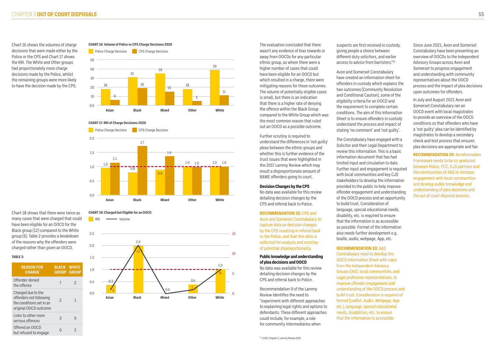Chart 16 shows the volumes of charge decisions that were made either by the Police or the CPS and Chart 17 shows the RRI. The White and Other groups had proportionately more charge decisions made by the Police, whilst the remaining groups were more likely to have the decision made by the CPS.

The evaluation concluded that there wasn't any evidence of bias towards or away from OOCDs for any particular ethnic group, as where there were a higher number of cases that could have been eligible for an OOCD but which resulted in a charge, there were mitigating reasons for these outcomes. The volume of potentially eligible cases is small, but there is an indication that there is a higher rate of denying the offence within the Black Group compared to the White Group which was the most common reason that ruled out an OOCD as a possible outcome.

Further scrutiny is required to understand the differences in 'not guilty' pleas between the ethnic groups and whether this is further evidence of the trust issues that were highlighted in the 2017 Lammy Review which may result a disproportionate amount of BAME offenders going to court.

#### **Decision Changes by the CPS**

No data was available for this review detailing decision changes by the CPS and referral back to Police.

#### **RECOMMENDATION 32:** CPS and

Avon and Somerset Constabulary to capture data on decision changes by the CPS resulting in referral back to the Police, and that this data is collected for analysis and scrutiny of potential disproportionality.

#### **Public knowledge and understanding of plea decisions and OOCD**

No data was available for this review detailing decision changes by the CPS and referral back to Police.

Recommendation 9 of the Lammy Review identifies the need to "experiment with different approaches to explaining legal rights and options to defendants. These different approaches could include, for example, a role for community intermediaries when

suspects are first received in custody, giving people a choice between different duty solicitors, and earlier access to advice from barristers."97

Avon and Somerset Constabulary have created an information sheet for offenders in custody which explains the two outcomes (Community Resolution and Conditional Caution), some of the eligibility criteria for an OOCD and the requirement to complete certain conditions. The aim of this Information Sheet is to ensure offenders in custody understand the process and impact of stating 'no comment' and 'not guilty'.

The Constabulary have engaged with a Solicitor and their Legal Department to review this information. This is a basic information document that has had limited input and circulation to date. Further input and engagement is required with local communities and key CJS stakeholders to develop the information provided to the public to help improve offender engagement and understanding of the OOCD process and an opportunity to build trust. Consideration of language, special educational needs, disability, etc. is required to ensure that the information is as accessible as possible. Format of the information also needs further development e.g. braille, audio, webpage, App, etc.

**RECOMMENDATION 33:** A&S Constabulary need to develop the OOCD Information Sheet with input from the Independent Advisory Groups (IAG), local communities, and Legal profession representatives, to improve offender engagement and understanding of the OOCD process and build trust. Consideration is required of format (Leaflet, Audio, Webpage, App etc.), language, special educational needs, disabilities, etc. to ensure that the information is accessible.

Since June 2021, Avon and Somerset Constabulary have been presenting an overview of OOCDs to the Independent Advisory Groups across Avon and Somerset to progress engagement and understanding with community representatives about the OOCD process and the impact of plea decisions upon outcomes for offenders.

In July and August 2021 Avon and Somerset Constabulary ran an OOCD event with local magistrates to provide an overview of the OOCD conditions so that offenders who have a 'not guilty' plea can be identified by magistrates to develop a secondary check and test process that ensures plea decisions are appropriate and fair.

**RECOMMENDATION 34:** An Information Framework needs to be co-produced between Police, PCC, CJS partners and the communities of A&S to increase engagement with local communities and develop public knowledge and understanding of plea decisions and the out of court disposal process.

#### **TABLE 2:**

| <b>REASON FOR</b><br><b>CHARGE</b>                                                                 | <b>BLACK</b><br><b>GROUP</b> | <b>WHITE</b><br><b>GROUP</b> |
|----------------------------------------------------------------------------------------------------|------------------------------|------------------------------|
| Offender denied<br>the offence                                                                     |                              | 2                            |
| Charged due to the<br>offenders not following<br>the conditions set in an<br>original OOCD outcome | $\mathcal{P}$                | 1                            |
| Links to other more<br>serious offences                                                            | 3                            |                              |
| Offered an OOCD<br>but refused to engage                                                           | N                            | 3                            |
|                                                                                                    |                              |                              |

![](_page_27_Figure_25.jpeg)

#### **CHART 16: Volume of Police vs CPS Charge Decisions 2020**

Chart 18 shows that there were twice as many cases that were charged that could have been eligible for an OOCD for the Black group (12) compared to the White group (6). Table 2 provides a breakdown of the reasons why the offenders were charged rather than given an OOCD.

![](_page_27_Figure_3.jpeg)

**CHART 17: RRI of Charge Decisions 2020**

**CHART 18: Charged but Eligible for an OOCD**

![](_page_27_Figure_7.jpeg)

![](_page_27_Figure_5.jpeg)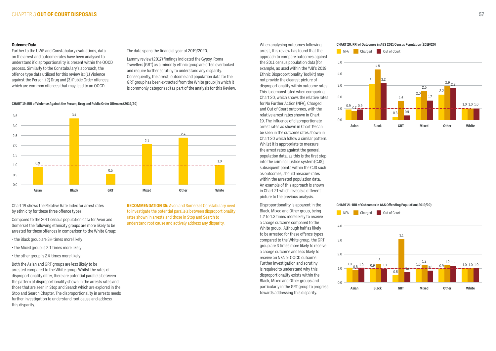#### **Outcome Data**

Further to the UWE and Constabulary evaluations, data on the arrest and outcome rates have been analysed to understand if disproportionality is present within the OOCD process. Similarly to the Constabulary's approach, the offence type data utilised for this review is: (1) Violence against the Person, (2) Drug and (3) Public Order offences, which are common offences that may lead to an OOCD.

#### The data spans the financial year of 2019/2020.

Lammy review (2017) findings indicated the Gypsy, Roma Travellers (GRT) as a minority ethnic group are often overlooked and require further scrutiny to understand any disparity. Consequently, the arrest, outcome and population data for the GRT group has been extracted from the White group (in which it is commonly categorised) as part of the analysis for this Review.

When analysing outcomes following arrest, this review has found that the approach to compare outcomes against the 2011 census population data (for example, as used within the YJB's 2019 Ethnic Disproportionality Toolkit) may not provide the clearest picture of disproportionality within outcome rates. This is demonstrated when comparing Chart 20, which shows the relative rates for No Further Action (NFA), Charged and Out of Court outcomes, with the relative arrest rates shown in Chart 19. The influence of disproportionate arrest rates as shown in Chart 19 can be seen in the outcome rates shown in Chart 20 which follow a similar pattern. Whilst it is appropriate to measure the arrest rates against the general population data, as this is the first step into the criminal justice system (CJS), subsequent points within the CJS such as outcomes, should measure rates within the arrested population data. An example of this approach is shown in Chart 21 which reveals a different picture to the previous analysis.

#### **CHART 20: RRI of Outcomes in A&S 2011 Census Population (2019/20)** NFA Charged Out of Court

Disproportionality is apparent in the Black, Mixed and Other group, being 1.2 to 1.3 times more likely to receive a charge outcome compared to the White group. Although half as likely to be arrested for these offence types compared to the White group, the GRT group are 3 times more likely to receive a charge outcome and less likely to receive an NFA or OOCD outcome. Further investigation and scrutiny is required to understand why this disproportionality exists within the Black, Mixed and Other groups and particularly in the GRT group to progress towards addressing this disparity.

Chart 19 shows the Relative Rate Index for arrest rates by ethnicity for these three offence types.

Compared to the 2011 census population data for Avon and Somerset the following ethnicity groups are more likely to be arrested for these offences in comparison to the White Group:

- the Black group are 3.4 times more likely
- the Mixed group is 2.1 times more likely
- the other group is 2.4 times more likely

Both the Asian and GRT groups are less likely to be arrested compared to the White group. Whilst the rates of disproportionality differ, there are potential parallels between the pattern of disproportionality shown in the arrests rates and those that are seen in Stop and Search which are explored in the Stop and Search Chapter. The disproportionality in arrests needs further investigation to understand root cause and address this disparity.

**RECOMMENDATION 35:** Avon and Somerset Constabulary need to investigate the potential parallels between disproportionality rates shown in arrests and those in Stop and Search to understand root cause and actively address any disparity.

![](_page_28_Figure_16.jpeg)

### **CHART 21: RRI of Outcomes in A&S Offending Population (2019/20)**

![](_page_28_Figure_18.jpeg)

![](_page_28_Figure_19.jpeg)

**CHART 19: RRI of Violence Against the Person, Drug and Public Order Offences (2019/20)**

![](_page_28_Figure_5.jpeg)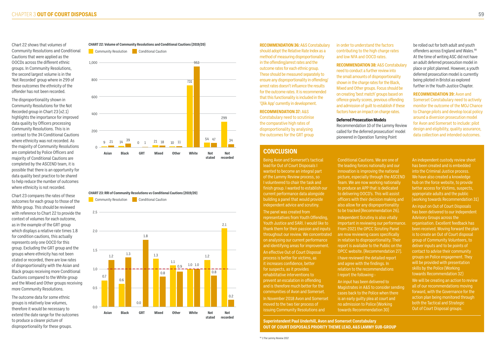Chart 22 shows that volumes of Community Resolutions and Conditional Cautions that were applied as the OOCDs across the different ethnic groups. In Community Resolutions, the second largest volume is in the 'Not Recorded' group where in 299 of these outcomes the ethnicity of the offender has not been recorded.

The disproportionality shown in Community Resolutions for the Not Recorded group in Chart 23 (x2.1) highlights the importance for improved data quality by Officers processing Community Resolutions. This is in contrast to the 34 Conditional Cautions where ethnicity was not recorded. As the majority of Community Resolutions are completed by Police Officers and majority of Conditional Cautions are completed by the ASCEND team, it is possible that there is an opportunity for data quality best practice to be shared to help reduce the number of outcomes where ethnicity is not recorded.

Chart 23 compares the rates of these outcomes for each group to those of the White group. This should be reviewed with reference to Chart 22 to provide the context of volumes for each outcome, as in the example of the GRT group which displays a relative rate times 1.8 for condition cautions, this actually represents only one OOCD for this group. Excluding the GRT group and the groups where ethnicity has not been stated or recorded, there are low rates of disproportionality with the Asian and Black groups receiving more Conditional Cautions compared to the White group and the Mixed and Other groups receiving more Community Resolutions.

The outcome data for some ethnic groups is relatively low volumes, therefore it would be necessary to extend the date range for the outcomes to produce a clearer picture of disproportionality for these groups.

#### **RECOMMENDATION 36:** A&S Constabulary should adopt the Relative Rate Index as a method of measuring disproportionality in the offending/arrest rates and the outcome rates for each ethnic group. These should be measured separately to ensure any disproportionality in offending/ arrest rates doesn't influence the results for the outcome rates. It is recommended that this functionality is included in the 'Qlik App' currently in development.

### **RECOMMENDATION 37:** A&S

Constabulary need to scrutinise the comparative high rates of disproportionality by analysing the outcomes for the GRT group

in order to understand the factors contributing to the high charge rates and low NFA and OOCD rates.

**RECOMMENDATION 38:** A&S Constabulary need to conduct a further review into the small amounts of disproportionality shown in the charge rates for the Black, Mixed and Other groups. Focus should be on creating 'best match' groups based on offence gravity scores, previous offending and admission of guilt to establish if these factors have an impact on charge rates.

#### **Deferred Prosecution Models**

Recommendation 10 of the Lammy Review called for the deferred prosecution' model pioneered in Operation Turning Point

be rolled out for both adult and youth offenders across England and Wales.<sup>98</sup> At the time of writing ASC did not have an adult deferred prosecution model in place or pilot planned. However, a youth deferred prosecution model is currently being piloted in Bristol as explored further in the Youth Justice Chapter.

**RECOMMENDATION 39:** Avon and Somerset Constabulary need to actively monitor the outcome of the MOJ Chance to Change pilots and develop local policy around a diversion prosecution model for Avon and Somerset to include: pilot design and eligibility, quality assurance, data collection and intended outcomes.

#### **CHART 22: Volume of Community Resolutions and Conditional Cautions (2019/20)**

#### **CHART 23: RRI of Community Resolutions vs Conditional Cautions (2019/20)**

![](_page_29_Figure_6.jpeg)

![](_page_29_Figure_9.jpeg)

![](_page_29_Figure_7.jpeg)

### **CONCLUSION**

Being Avon and Somerset's tactical lead for Out of Court Disposals I wanted to become an integral part of the Lammy Review process, so I volunteered to chair the task and finish group. I wanted to establish our current performance data alongside building a panel that would provide independent advice and scrutiny.

The panel was created from representatives from Youth Offending, Youth Justice and SARI. I would like to thank them for their passion and inputs throughout our review. We concentrated on analysing our current performance and identifying areas for improvement. An effective Out of Court Disposal process is better for victims, as it increases confidence, better for suspects, as it provides rehabilitative interventions to prevent an escalation in offending and is therefore much better for the communities of Avon and Somerset. In November 2018 Avon and Somerset moved to the two tier process of issuing Community Resolutions and

Conditional Cautions. We are one of the leading forces nationally and our innovation is improving the national picture, especially through the ASCEND Team. We are now working nationally to produce an APP that is dedicated to delivering OOCD's. This will assist officers with their decision making and also allow for any disproportionality to be tracked (Recommendation 26). Independent Scrutiny is also vitally important in reviewing our performance. From 2021 the OPCC Scrutiny Panel are now reviewing cases specifically in relation to disproportionality. Their report is available to the Public on the OPCC website. (Recommendation 27).

I have reviewed the detailed report and agree with the findings. In relation to the recommendations I report the following:- An input has been delivered to Magistrates in A&S to consider sending cases back to the Police when there is an early guilty plea at court and no admission to Police (Working towards Recommendation 30)

An independent custody review sheet has been created and is embedded into the Criminal Justice process. We have also created a knowledge hub on the force website, to provide better access for Victims, suspects, appropriate adults and the public (working towards Recommendation 31) An input on Out of Court Disposals has been delivered to our Independent Advisory Groups across the organisation. Excellent feedback has been received. Moving forward the plan is to create an Out of Court disposal group of Community Volunteers, to deliver inputs and to be points of contact to advise their community groups on Police engagement. They will be provided with presentation skills by the Police (Working towards Recommendation 32)

We will be creating an action to review all of our recommendations moving forward, with the Governance for the action plan being monitored through both the Tactical and Strategic Out of Court Disposal groups.

**Superintendent Paul Underhill, Avon and Somerset Constabulary OUT OF COURT DISPOSALS PRIORITY THEME LEAD, A&S LAMMY SUB-GROUP**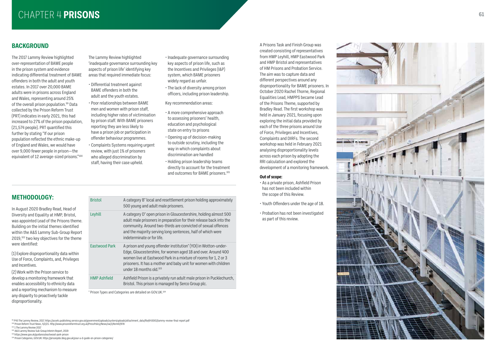# CHAPTER 4 **PRISONS** *CHAPTER 4 PRISONS*

# **BACKGROUND**

The 2017 Lammy Review highlighted over-representation of BAME people in the prison system and evidence indicating differential treatment of BAME offenders in both the adult and youth estates. In 2017 over 20,000 BAME adults were in prisons across England and Wales, representing around 25% of the overall prison population.<sup>99</sup> Data collected by the Prison Reform Trust (PRT) indicates in early 2021, this had increased to 27% of the prison population, (21,574 people). PRT quantified this further by stating "If our prison population reflected the ethnic make-up of England and Wales, we would have over 9,000 fewer people in prison—the equivalent of 12 average-sized prisons."100

- Inadequate governance surrounding key aspects of prison life, such as the Incentives and Privileges (I&P) system, which BAME prisoners widely regard as unfair.
- The lack of diversity among prison officers, including prison leadership.
- Key recommendation areas:
- A more comprehensive approach to assessing prisoners' health, education and psychological state on entry to prisons
- Opening up of decision-making to outside scrutiny, including the way in which complaints about discrimination are handled
- Holding prison leadership teams directly to account for the treatment and outcomes for BAME prisoners.<sup>101</sup>

The Lammy Review highlighted 'inadequate governance surrounding key aspects of prison life' identifying key areas that required immediate focus:

- Differential treatment against BAME offenders in both the adult and the youth estates.
- Poor relationships between BAME men and women with prison staff, including higher rates of victimisation by prison staff. With BAME prisoners reporting they are less likely to have a prison job or participation in offender behaviour programmes.
- Complaints Systems requiring urgent review, with just 1% of prisoners who alleged discrimination by staff, having their case upheld.

A Prisons Task and Finish Group was created consisting of representatives from HMP Leyhill, HMP Eastwood Park and HMP Bristol and representatives of HM Prisons and Probation Service. The aim was to capture data and different perspectives around any disproportionality for BAME prisoners. In October 2020 Rachel Thorne, Regional Equalities Lead, HMPPS became Lead of the Prisons Theme, supported by Bradley Read. The first workshop was held in January 2021, focusing upon exploring the initial data provided by each of the three prisons around Use of Force, Privileges and Incentives, Complaints and DIRFs. The second workshop was held in February 2021 analysing disproportionality levels across each prison by adopting the RRI calculation and explored the development of a monitoring framework.

#### **Out of scope:**

• As a private prison, Ashfield Prison has not been included within the scope of this Review.

ш

- Youth Offenders under the age of 18.
- Probation has not been investigated as part of this review.

99 P45 The Lammy Review, 2017. https://assets.publishing.service.gov.uk/government/uploads/system/uploads/attachment\_data/file/643001/lammy-review-final-report.pdf

<sup>100</sup> Prison Reform Trust News, 4/2/21. http://www.prisonreformtrust.org.uk/PressPolicy/News/vw/1/ItemID/978

<sup>101</sup> 1 The Lammy Review 2017

<sup>102</sup> A&S Lammy Review Sub-Group Interim Report, 2019

103 https://www.gov.uk/guidance/eastwood-park-prison

104 Prison Categories, GOV.UK: https://prisonjobs.blog.gov.uk/your-a-d-guide-on-prison-categories/

![](_page_30_Picture_29.jpeg)

**METHODOLOGY:**

| In August 2020 Bradley Read, Head of                  |
|-------------------------------------------------------|
| Diversity and Equality at HMP, Bristol,               |
| was appointed Lead of the Prisons theme.              |
| Building on the initial themes identified             |
| within the A&S Lammy Sub-Group Report                 |
| 2019, <sup>102</sup> two key objectives for the theme |
| were identified:                                      |

(1) Explore disproportionality data within Use of Force, Complaints, and, Privileges and Incentives.

(2) Work with the Prison service to develop a monitoring framework that enables accessibility to ethnicity data and a reporting mechanism to measure any disparity to proactively tackle disproportionality.

| <b>Bristol</b>      | A category B <sup>*</sup> local and resettlement prison holding approximately<br>500 young and adult male prisoners.                                                                                                                                                                                                       |
|---------------------|----------------------------------------------------------------------------------------------------------------------------------------------------------------------------------------------------------------------------------------------------------------------------------------------------------------------------|
| Leyhill             | A category D* open prison in Gloucestershire, holding almost 500<br>adult male prisoners in preparation for their release back into the<br>community. Around two-thirds are convicted of sexual offences<br>and the majority serving long sentences, half of which were<br>indeterminate or for life.                      |
| Eastwood Park       | A prison and young offender institution <sup>*</sup> (YOI) in Wotton-under-<br>Edge, Gloucestershire, for women aged 18 and over. Around 400<br>women live at Eastwood Park in a mixture of rooms for 1, 2 or 3<br>prisoners. It has a mother and baby unit for women with children<br>under 18 months old. <sup>103</sup> |
| <b>HMP Ashfield</b> | Ashfield Prison is a privately run adult male prison in Pucklechurch,<br>Bristol. This prison is managed by Serco Group plc.                                                                                                                                                                                               |

\* Prison Types and Categories are detailed on GOV.UK.104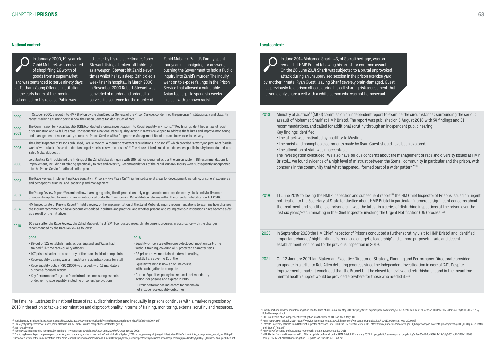<sup>107</sup> 106 Parallel Worlds

109 The Young Review Report: Improving outcomes for young black and/or Muslim men in the Criminal Justice System, 2014: https://www.equalcjs.org.uk/sites/default/files/articles/clinks\_young-review\_report\_dec2014.pdf 110 Report of a review of the implementation of the Zahid Mubarek Inquiry recommendations, June 2014: https://www.justiceinspectorates.gov.uk/hmiprisons/wp-content/uploads/sites/4/2014/07/Mubarek-final-published.pdf

#### **National context:**

In January 2000, 19-year-old Zahid Mubarek was convicted of shoplifting £6 worth of goods from a supermarket and was sentenced to serve ninety days week later in hospital, in March 2000. at Feltham Young Offender Institution. In the early hours of the morning scheduled for his release, Zahid was

attacked by his racist cellmate, Robert Stewart. Using a broken-off table leg as a weapon, Stewart hit Zahid eleven times whilst he lay asleep. Zahid died a In November 2000 Robert Stewart was convicted of murder and ordered to serve a life sentence for the murder of

Zahid Mubarek. Zahid's Family spent four years campaigning for answers, pushing the Government to hold a Public Inquiry into Zahid's murder. The Inquiry went on to expose failings in the Prison Service that allowed a vulnerable Asian teenager to spend six weeks in a cell with a known racist.

In June 2014 Mohamed Sharif, 43, of Somali heritage, was on remand at HMP Bristol following his arrest for common assault. On the 26 June 2014 Sharif was subjected to a brutal unprovoked attack during an unsupervised session in the prison exercise yard by another inmate, Ryan Guest, leaving Sharif severely brain-damaged. Guest had previously told prison officers during his cell sharing risk assessment that he would only share a cell with a white person who was not homosexual.

2018 10 years after the Race Review, the Zahid Mubarek Trust (ZMT) conducted research into current progress in accordance with the changes recommended by the Race Review as follows:

| 2000             | In October 2000, a report into HMP Brixton by the then Director General of the Prison Service, condemned the prison as 'institutionally and blatantly<br>racist' marking a turning point in how the Prison Service tackled issues of race.                                                                                                                                                                                                                 |
|------------------|------------------------------------------------------------------------------------------------------------------------------------------------------------------------------------------------------------------------------------------------------------------------------------------------------------------------------------------------------------------------------------------------------------------------------------------------------------|
| $2000 -$<br>2003 | The Commission for Racial Equality (CRE) conducted a formal investigation into Racial Equality in Prisons. <sup>105</sup> Key findings identified unlawful racial<br>discrimination and 14 failure areas. Consequently, a national Race Equality Action Plan was developed to address the failures and improve monitoring<br>and management of race equality across the Prison Service with a Programme Management Board in place to oversee its delivery. |
| 2005             | The Chief Inspector of Prisons published, Parallel Worlds: A thematic review of race relations in prisons <sup>106</sup> which provided "a worrying picture of 'parallel<br>worlds' with a lack of shared understanding of race issues within prisons". <sup>107</sup> The House of Lords ruled an independent public inquiry be conducted into<br>Zahid Mubarek's death.                                                                                  |
| 2006             | Lord Justice Keith published the findings of the Zahid Mubarek inquiry with 186 failings identified across the prison system, 88 recommendations for<br>improvement, including 10 relating specifically to race and diversity. Recommendations of the Zahid Mubarek Inquiry were subsequently incorporated<br>into the Prison Service's national action plan.                                                                                              |
| 2008             | The Race Review: Implementing Race Equality in Prisons – Five Years On <sup>108</sup> highlighted several areas for development, including: prisoners' experience<br>and perceptions; training; and leadership and management.                                                                                                                                                                                                                             |
| 2013             | The Young Review Report <sup>109</sup> examined how learning regarding the disproportionately negative outcomes experienced by black and Muslim male<br>offenders be applied following changes introduced under the Transforming Rehabilitation reforms within the Offender Rehabilitation Act 2014.                                                                                                                                                       |
| 2014             | HM Inspectorate of Prisons Report <sup>110</sup> held a review of the implementation of the Zahid Mubarek Inquiry recommendations to examine how changes<br>the Inquiry recommended have become embedded in culture and practice, and whether prisons and young offender institutions have become safer<br>as a result of the initiatives.                                                                                                                 |

- 2019 11 June 2019 following the HMIP inspection and subsequent report<sup>113</sup> the HM Chief Inspector of Prisons issued an urgent last six years,"<sup>114</sup> culminating in the Chief Inspector invoking the Urgent Notification (UN) process.<sup>115</sup>
- 2020 In September 2020 the HM Chief Inspector of Prisons conducted a further scrutiny visit to HMP Bristol and identified 'important changes' highlighting a 'strong and energetic leadership' and a 'more purposeful, safe and decent establishment' compared to the previous inspection in 2019.
- 2021 On 22 January 2021 Ian Blakeman, Executive Director of Strategy, Planning and Performance Directorate provided an update in a letter to Rob Allen detailing progress since the Independent investigation in case of 'AD'. Despite improvements made, it concluded that the Brunel Unit be closed for review and refurbishment and in the meantime mental health support would be provided elsewhere for those who needed it.116

#### 2008

- 89 out of 127 establishments across England and Wales had trained full-time race equality officers
- 107 prisons had external scrutiny of their race incident complaints
- Race equality training was a mandatory residential course for staff
- Race Equality policy (PSO 2800) was issued, with 12 mandatory outcome-focused actions
- Key Performance Target on Race introduced measuring aspects of delivering race equality, including prisoners' perceptions

#### 2018

- Equality Officers are often cross-deployed, most on part-time without training, covering all 9 protected characteristics
- 28 prisons have maintained external scrutiny, and ZMT are covering 11 of them
- Equality training is now an online course, with no obligation to complete
- Current Equalities policy has reduced to 4 mandatory actions for prisons and expired in 2015
- Current performance indicators for prisons do not include race equality outcomes

The timeline illustrates the national issue of racial discrimination and inequality in prisons continues with a marked regression by 2018 in the action to tackle discrimination and disproportionality in terms of training, monitoring, external scrutiny and resources.

<sup>105</sup> Racial Equality in Prisons: https://assets.publishing.service.gov.uk/government/uploads/system/uploads/attachment\_data/file/273458/0044.pdf<br><sup>106</sup> Her Maiesty's Inspectorate of Prisons. Parallel Worlds. 2005: Parallel

#### **Local context:**

- 2018 Ministry of Justice111 (MOJ) commission an independent report to examine the circumstances surrounding the serious assault of Mohamed Sharif at HMP Bristol. The report was published on 5 August 2018 with 54 findings and 31 recommendations, and called for additional scrutiny through an independent public hearing. Key findings identified:
	- the attack was motivated by hostility to Muslims.
	- the racist and homophobic comments made by Ryan Guest should have been explored.
	- the allocation of staff was unacceptable.

The investigation concluded "We also have serious concerns about the management of race and diversity issues at HMP Bristol... we found evidence of a high level of mistrust between the Somali community in particular and the prison, with concerns in the community that what happened…formed part of a wider pattern."112

notification to the Secretary of State for Justice about HMP Bristol in particular "numerous significant concerns about the treatment and conditions of prisoners. It was the latest in a series of disturbing inspections at the prison over the

- 113 HMIP Report HMP Bristol, 2019. https://www.justiceinspectorates.gov.uk/hmiprisons/wp-content/uploads/sites/4/2019/09/Bristol-Web-2019.pdf <sup>114</sup> Letter to Secretary of State from HM Chief Inspector of Prisons Peter Clarke re HMP Bristol, June 2019. https://www.justiceinspectorates.gov.uk/hmiprisons/wp-content/uploads/sites/4/2019/06/11jun-UN-letterand-debrief-final.pdf
- 115 HMPPS: Performance and Assurance Framework: Enabling Accountability, 2018.
- <sup>116</sup> MPPS Letter from Ian Blakeman to Rob Allen re update on Brunel Unit at HMP Bristol. 22 January 2021: https://static1.squarespace.com/static/5c5ae65ed86cc93b6c1e19a3/t/6051bdff4768bf1df808 bd40/1615969792917/AD+investigation+-+update+on+the+Brunel+Unit.pdf

<sup>108</sup> Race Review: Implementing Race Equality in Prisons – Five years on, 2008: https://thezmt.org/2020/07/04/race-review-2008/

<sup>111</sup> Final Report of an Independent Investigation into the Case of AD. Rob Allen, May 2018: https://static1.squarespace.com/static/5c5ae65ed86cc93b6c1e19a3/t/5f2a6f8cee8e5078b252c61f/1596616591207/ Rob+Allen+report.pdf

<sup>112 111</sup> Final Report of an Independent Investigation into the Case of AD. Rob Allen, May 2018.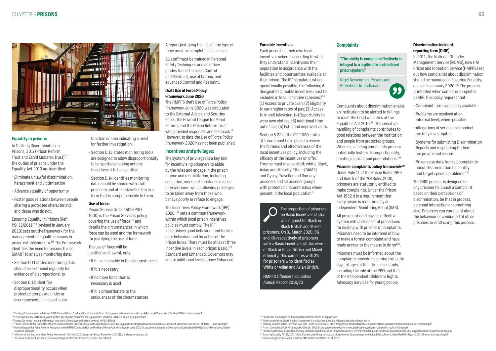<sup>117</sup> Tackling Discrimination in Prisons, 2017 (Prison Reform Trust and Zahid Mubarek Trust): http://www.prisonreformtrust.org.uk/Portals/0/Documents/Tackling%20discrimination.pdf 118 Ensuring Equality, 2011. http://www.justice.gov.uk/downloads/offenders/psipso/psi-2011/psi-2011-32-ensuring-equality.doc

119 Except for issues relating to the equal treatment of employees which are covered in PSI 33/2011

<sup>120</sup> Prison Service Order 1600: Use of Force, 2005 amended 2015: https://assets.publishing.service.gov.uk/government/uploads/system/uploads/attachment\_data/file/933347/use\_of\_force\_-\_pso-1600.pdf

121 Howard League for Penal Reform: Response to the HMPPS Consultation on the Use of Force Policy Framework June 2020. https://howardleague.org/wp-content/uploads/2020/06/Use-of-Force-consultationresponse-final.pdf

122 Ministry of Justice, Incentives Policy Framework, 08 July 2020: [Incentives Policy Framework 2020] (publishing.service.gov.uk)

<sup>123</sup> The Basic level must include as a minimum legal entitlement to which prisoners are entitled

124 Prisons are encouraged to develop additional incentives as appropriate

#### **Equality in prisons**

In Tackling Discrimination in Prisons, 2017 (Prison Reform Trust and Zahid Mubarek Trust)<sup>117</sup> the duties of prisons under the Equality Act 2010 are identified:

> Prison Service Order 1600 (PSO 1600) is the Prison Service's policy covering the use of force<sup>120</sup> and details the circumstances in which force can be used and the framework for justifying the use of force.

- Eliminate unlawful discrimination, harassment and victimisation
- Advance equality of opportunity
- Foster good relations between people sharing a protected characteristic and those who do not.

Ensuring Equality in Prisons (Ref: PSI 32/2011)<sup>118</sup> (revised in January 2020) sets out the framework for the management of equalities issues in prison establishments.<sup>119</sup> The Framework identifies the need for prisons to use SMART to analyse monitoring data:

- Section D.11 states monitoring data should be examined regularly for evidence of disproportionality.
- Section D.12 identifies disproportionality occurs when protected groups are under or over represented in a particular

function or area indicating a need for further investigation.

- Section D.13 states monitoring tools are designed to allow disproportionality to be spotted enabling actions to address it to be identified.
- Section D.14 identifies monitoring data should be shared with staff, prisoners and other stakeholders in a form that is comprehensible to them.

#### **Use of force:**

The use of force will be justified and lawful, only:

• If it is reasonable in the circumstances

- If it is necessary
- If no more force than is necessary is used
- If it is proportionate to the seriousness of the circumstances

A report justifying the use of any type of force must be completed in all cases.

> All prisons should have an effective system with a clear set of procedures for dealing with prisoners' complaints. Prisoners need to be informed of how to make a formal complaint and have ready access to the means to do  $so^{128}$ .

All staff must be trained in Personal Safety Techniques and all officer grades trained in basic Control and Restraint, use of batons, and advanced Control and Restraint.

### **Draft Use of Force Policy Framework June 2020**

The HMPPS draft Use of Force Policy Framework June 2020 was circulated to the External Advice and Scrutiny Panel, the Howard League for Penal Reform, and the Prison Reform Trust who provided responses and feedback.<sup>121</sup> However, to date the Use of Force Policy Framework 2020 has not been published.

- Complaint forms are easily available
- Problems are resolved at an informal level, where possible.
- Allegations of serious misconduct are fully investigated.
- Systems for submitting Discrimination Reports and responding to them are private and secure.
- Prisons use data from all complaints about discrimination to identify and target specific problems.<sup>130</sup>

#### **Incentives and privileges:**

The system of privileges is a key tool for incentivising prisoners to abide by the rules and engage in the prison regime and rehabilitation, including education, work and substance misuse interventions- whilst allowing privileges to be taken away from those who behave poorly or refuse to engage.

The Incentives Policy Framework (IPF) 2020,122 sets a common framework within which local prison incentives policies must comply. The IPF incentivises good behaviour and tackles poor behaviour and breaches of the Prison Rules. There must be at least three incentive levels in each prison: Basic,<sup>123</sup> Standard and Enhanced. Governors may create additional levels above Enhanced.

> 125 Eliminate unlawful discrimination, harassment and victimisation and Advance equality of opportunity 126 Tackling Discrimination in Prison, ZMT and Prison Reform Trust, 2017: http://www.prisonreformtrust.org.uk/Portals/0/Documents/Tackling%20discrimination.pdf

![](_page_32_Picture_1.jpeg)

#### **Earnable Incentives**

Each prison has their own local incentives scheme according to what they understand incentivises their population in accordance with the facilities and opportunities available at their prison. The IPF stipulates where operationally possible, the following 6 designated earnable incentives must be included in local incentive schemes:<sup>124</sup> (1) Access to private cash; (2) Eligibility to earn higher rates of pay; (3) Access to in-cell television; (4) Opportunity to wear own clothes; (5) Additional time out of cell; (6) Extra and improved visits.

Section 5.22 of the IPF 2020 states "A forum must be in place to review the fairness and effectiveness of the local incentives policy, including the efficacy of the incentives on offer. Forums must involve staff; white, Black, Asian and Minority Ethnic (BAME) and Gypsy, Traveller and Romany prisoners and all prisoner groups with protected characteristics where present in the local population."

Complaints about discrimination enable an institution to be alerted to failings to meet the first two duties of the Equalities Act  $2010^{125}$ . The sensitive handling of complaints contributes to good relations between the institution and people from protected groups. Whereas, a failing complaints process potentially fosters disproportionality, creating distrust and poor relations.126

#### **Prisoner complaints policy framework**<sup>127</sup>

Under Rule 11 of the Prison Rules 1999 and Rule 8 of the YOI Rules 2000, prisoners are statutorily entitled to make complaints. Under the Prison Act 1952 it is a requirement that every prison is monitored by an Independent Monitoring Board (IMB).

Prisoners must be informed about the complaints procedures during the 'early days' stages of their time in custody, including the role of the PPO and that of the Independent Children's Rights Advocacy Services for young people.

#### **Discrimination incident reporting form (DIRF)**

In 2011, the National Offender Management Service (NOMS), now HM Prison and Probation Service (HMPPS) set out how complaints about discrimination should be managed in Ensuring Equality, revised in January 2020.<sup>129</sup> The process is initiated when someone completes a DIRF. The policy requires that:

The DIRF process is designed for any prisoner to launch a complaint based on their perceptions of discrimination, be that in process, personal interaction or something else. Prisoners can complaint about the behaviour or conducted of other prisoners or staff using this process.

The proportion of prisoners on Basic Incentives status was highest for Black or Black British and Mixed prisoners. On 31 March 2020, 5% and 4% respectively of prisoners with a Basic Incentives status were of Black or Black British and Mixed ethnicity. This compares with 3% for prisoners who identified as White or Asian and Asian British.

HMPPS Offenders Equalities Annual Report 2019/20

127 Prison Complaints Policy Framework, GOV.UK, 2019. https://www.gov.uk/government/publications/prisoner-complaints-policy-framework <sup>128</sup> Prisoners who have disabilities, literacy and learning difficulties or for whom English is not their first language need to be given the necessary support needed to submit a complaint. 129 Ensuring Equality PSI 32/2011. https://assets.publishing.service.gov.uk/government/uploads/system/uploads/attachment\_data/file/905148/psi-2011-32-ensuring-equality.pdf 130 126 Tackling Discrimination in Prison, ZMT and Prison Reform Trust, 2017.

![](_page_32_Figure_50.jpeg)

#### **Complaints**

**"The ability to complain effectively is integral to a legitimate and civilised prison system."**

Nigel Newcomen, Prisons and Probation Ombudsman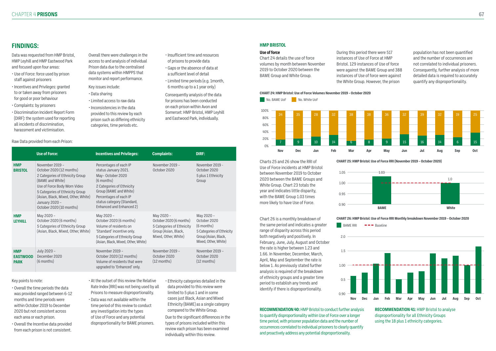# **FINDINGS:**

Data was requested from HMP Bristol, HMP Leyhill and HMP Eastwood Park and focused upon four areas:

- Use of Force: force used by prison staff against prisoners
- Incentives and Privileges: granted to or taken away from prisoners for good or poor behaviour
- Complaints: by prisoners
- Discrimination Incident Report Form (DIRF): the system used for reporting all incidents of discrimination, harassment and victimisation.

Overall there were challenges in the access to and analysis of individual Prison data due to the centralised data systems within HMPPS that monitor and report performance.

- Key issues include:
	- Data sharing
	- Limited access to raw data
	- Inconsistencies in the data provided to this review by each prison such as differing ethnicity categories, time periods etc.
- Insufficient time and resources of prisons to provide data
- Gaps or the absence of data at a sufficient level of detail
- Limited time periods (e.g. 1month, 6 months up to a 1 year only)

Consequently analysis of the data for prisons has been conducted on each prison within Avon and Somerset: HMP Bristol, HMP Leyhill and Eastwood Park, individually.

#### Key points to note:

- Overall the time periods the data was provided ranged between 6-12 months and time periods were within October 2019 to December 2020 but not consistent across each area or each prison.
- Overall the Incentive data provided from each prison is not consistent.
- At the outset of this review the Relative Rate Index (RRI) was not being used by all Prisons to measure disproportionality.
- Data was not available within the time period of this review to conduct any investigation into the types of Use of Force and any potential disproportionality for BAME prisoners.

• Ethnicity categories detailed in the data provided to this review were limited to 5 plus 1 and in some cases just Black, Asian and Mixed Ethnicity (BAME) as a single category compared to the White Group. Due to the significant differences in the

types of prisons included within this review each prison has been examined individually within this review.

#### Raw Data provided from each Prison:

**CHART 26: HMP Bristol: Use of Force RRI Monthly breakdown November 2019 – October 2020**  $B = B$ AME RRI  $\rightarrow$  Baseline

|                                              | <b>Use of Force:</b>                                                                                                                                                                                                                                       | <b>Incentives and Privileges:</b>                                                                                                                                                                                           | <b>Complaints:</b>                                                                                                 | DIRF:                                                                                                                 |
|----------------------------------------------|------------------------------------------------------------------------------------------------------------------------------------------------------------------------------------------------------------------------------------------------------------|-----------------------------------------------------------------------------------------------------------------------------------------------------------------------------------------------------------------------------|--------------------------------------------------------------------------------------------------------------------|-----------------------------------------------------------------------------------------------------------------------|
| <b>HMP</b><br><b>BRISTOL</b>                 | November 2019 -<br>October 2020 (12 months)<br>2 Categories of Ethnicity Group<br>(BAME and White)<br>Use of Force Body Worn Video<br>5 Categories of Ethnicity Group<br>(Asian, Black, Mixed, Other, White)<br>January 2020 -<br>October 2020 (10 months) | Percentages of each IP<br>status January 2021.<br>May-October 2020<br>(6 months)<br>2 Categories of Ethnicity<br>Group (BAME and White)<br>Percentages of each IP<br>status category (Standard,<br>Enhanced and Enhanced 2) | November 2019 -<br>October 2020                                                                                    | November 2019 -<br>October 2020<br>5 plus 1 Ethnicity<br>Group                                                        |
| <b>HMP</b><br><b>LEYHILL</b>                 | May 2020 -<br>October 2020 (6 months)<br>5 Categories of Ethnicity Group<br>(Asian, Black, Mixed, Other, White)                                                                                                                                            | May 2020 -<br>October 2020 (6 months)<br>Volume of residents on<br>'Standard' incentive only.<br>5 Categories of Ethnicity Group<br>(Asian, Black, Mixed, Other, White)                                                     | May 2020 -<br>October 2020 (6 months)<br>5 Categories of Ethnicity<br>Group (Asian, Black,<br>Mixed, Other, White) | May 2020 -<br>October 2020<br>(6 months)<br>5 Categories of Ethnicity<br>Group (Asian, Black,<br>Mixed, Other, White) |
| <b>HMP</b><br><b>EASTWOOD</b><br><b>PARK</b> | July 2020 -<br>December 2020<br>(6 months)                                                                                                                                                                                                                 | November 2019 -<br>October 2020 (12 months)<br>Volume of residents that were<br>upgraded to 'Enhanced' only.                                                                                                                | November 2019 -<br>October 2020<br>$(12$ months)                                                                   | November 2019 -<br>October 2020<br>$(12$ months)                                                                      |

#### **HMP BRISTOL**

#### **Use of force**

Chart 24 details the use of force volumes by month between November 2019 to October 2020 between the BAME Group and White Group.

During this period there were 517 instances of Use of Force at HMP Bristol. 129 instances of Use of force were against the BAME Group and 388 instances of Use of force were against the White Group. However, the prison

population has not been quantified and the number of occurrences are not correlated to individual prisoners. Consequently, further analysis of more detailed data is required to accurately quantify any disproportionality.

**CHART 24: HMP Bristol: Use of Force Volumes November 2019 – October 2020**

![](_page_33_Figure_30.jpeg)

Charts 25 and 26 show the RRI of Use of Force incidents at HMP Bristol between November 2019 to October 2020 between the BAME Groups and White Group. Chart 23 totals the year and indicates little disparity, with the BAME Group 1.03 times more likely to have Use of Force.

**CHART 25: HMP Bristol: Use of Force RRI (November 2019 – October 2020)**

![](_page_33_Figure_36.jpeg)

Chart 26 is a monthly breakdown of the same period and indicates a greater range of disparity across this period both negatively and positively. In February, June, July, August and October the rate is higher between 1.23 and 1.66. In November, December, March, April, May and September the rate is below 1. As previously stated further analysis is required of the breakdown of ethnicity groups and a greater time period to establish any trends and identify if there is disproportionality.

![](_page_33_Figure_33.jpeg)

2.0

**RECOMMENDATION 40:** HMP Bristol to conduct further analysis to quantify disproportionality within Use of Force over a longer time period, with prisoner population data and the number of occurrences correlated to individual prisoners to clearly quantify and proactively address any potential disproportionality.

**RECOMMENDATION 41:** HMP Bristol to analyse disproportionality for all Ethnicity Groups using the 18 plus 1 ethnicity categories.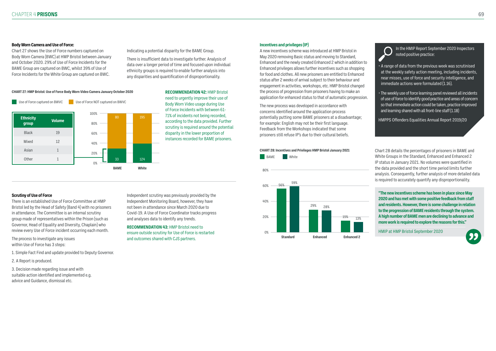#### **Body Worn Camera and Use of Force:**

Chart 27 shows the Use of Force numbers captured on Body Worn Camera (BWC) at HMP Bristol between January and October 2020. 29% of Use of Force Incidents for the BAME Group are captured on BWC, whilst 39% of Use of Force Incidents for the White Group are captured on BWC.

Indicating a potential disparity for the BAME Group.

There is insufficient data to investigate further. Analysis of data over a longer period of time and focused upon individual ethnicity groups is required to enable further analysis into any disparities and quantification of disproportionality.

#### **Scrutiny of Use of Force**

There is an established Use of Force Committee at HMP Bristol led by the Head of Safety (Band 4) with no prisoners in attendance. The Committee is an internal scrutiny group made of representatives within the Prison (such as Governor, Head of Equality and Diversity, Chaplain) who review every Use of Force incident occurring each month.

The process to investigate any issues within Use of Force has 3 steps:

- 1. Simple Fact Find and update provided to Deputy Governor.
- 2. A Report is produced.

3. Decision made regarding issue and with suitable action identified and implemented e.g. advice and Guidance, dismissal etc.

Independent scrutiny was previously provided by the Independent Monitoring Board, however, they have not been in attendance since March 2020 due to Covid-19. A Use of Force Coordinator tracks progress and analyses data to identify any trends.

**RECOMMENDATION 43:** HMP Bristol need to ensure outside scrutiny for Use of Force is restarted and outcomes shared with CJS partners.

![](_page_34_Picture_21.jpeg)

**RECOMMENDATION 42:** HMP Bristol need to urgently improve their use of Body Worn Video usage during Use of Force Incidents with between 61- 71% of incidents not being recorded, according to the data provided. Further scrutiny is required around the potential disparity in the lower proportion of instances recorded for BAME prisoners.

**CHART 27: HMP Bristol: Use of Force Body Worn Video Camera January October 2020**

![](_page_34_Figure_6.jpeg)

#### **Incentives and privileges (IP)**

A new incentives scheme was introduced at HMP Bristol in May 2020 removing Basic status and moving to Standard, Enhanced and the newly created Enhanced 2 which in addition to Enhanced privileges allows further incentives such as shopping for food and clothes. All new prisoners are entitled to Enhanced status after 2 weeks of arrival subject to their behaviour and engagement in activities, workshops, etc. HMP Bristol changed the process of progression from prisoners having to make an application for enhanced status to that of automatic progression.

The new process was developed in accordance with concerns identified around the application process potentially putting some BAME prisoners at a disadvantage; for example: English may not be their first language. Feedback from the Workshops indicated that some prisoners still refuse IP's due to their cultural beliefs.

In the HMIP Report September 2020 Inspectors noted positive practice:

- A range of data from the previous week was scrutinised at the weekly safety action meeting, including incidents, near misses, use of force and security intelligence, and immediate actions were formulated (1.16).
- The weekly use of force learning panel reviewed all incidents of use of force to identify good practice and areas of concern so that immediate action could be taken, practice improved and learning shared with all front-line staff (1.18)

HMPPS Offenders Equalities Annual Report 2019/20

**"The new incentives scheme has been in place since May 2020 and has met with some positive feedback from staff and residents. However, there is some challenge in relation to the progression of BAME residents through the system. A high number of BAME men are declining to advance and more work is required to explore the reasons for this."**

HMIP at HMP Bristol September 2020

![](_page_34_Picture_29.jpeg)

Chart 28 details the percentages of prisoners in BAME and White Groups in the Standard, Enhanced and Enhanced 2 IP status in January 2021. No volumes were quantified in the data provided and the short time period limits further analysis. Consequently, further analysis of more detailed data is required to accurately quantify any disproportionality.

#### **CHART 28: Incentives and Privileges HMP Bristol January 2021**

BAME White

![](_page_34_Figure_12.jpeg)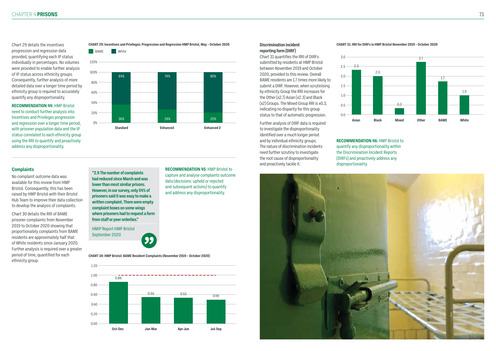Chart 29 details the incentives progression and regression data provided, quantifying each IP status individually in percentages. No volumes were provided to enable further analysis of IP status across ethnicity groups. Consequently, further analysis of more detailed data over a longer time period by ethnicity group is required to accurately quantify any disproportionality.

#### **RECOMMENDATION 44:** HMP Bristol need to conduct further analysis into Incentives and Privileges progression and regression over a longer time period, with prisoner population data and the IP status correlated to each ethnicity group using the RRI to quantify and proactively address any disproportionality.

**CHART 29: Incentives and Privileges: Progression and Regression HMP Bristol, May – October 2020**

![](_page_35_Figure_4.jpeg)

![](_page_35_Figure_5.jpeg)

**"2.9 The number of complaints had reduced since March and was lower than most similar prisons. However, in our survey, only 54% of prisoners said it was easy to make a written complaint. There were empty complaint boxes on some wings where prisoners had to request a form from staff or peer orderlies."**

HMIP Report HMP Bristol September 2020

![](_page_35_Picture_11.jpeg)

No complaint outcome data was available for this review from HMP Bristol. Consequently, this has been raised by HMP Bristol with their Bristol Hub Team to improve their data collection to develop the analysis of complaints.

Chart 30 details the RRI of BAME prisoner complaints from November 2019 to October 2020 showing that proportionately complaints from BAME residents are approximately half that of White residents since January 2020. Further analysis is required over a greater period of time, quantified for each ethnicity group.

**RECOMMENDATION 45:** HMP Bristol to capture and analyse complaints outcome

data (decisions: upheld or rejected and subsequent actions) to quantify and address any disproportionality.

### **Complaints**

**CHART 30: HMP Bristol: BAME Resident Complaints (November 2019 – October 2020)**

![](_page_35_Figure_13.jpeg)

#### **Discrimination incident reporting form (DIRF)**

Chart 31 quantifies the RRI of DIRFs submitted by residents at HMP Bristol between November 2019 and October 2020, provided to this review. Overall BAME residents are 1.7 times more likely to submit a DIRF. However, when scrutinising by ethnicity Group the RRI increases for the Other (x2.7) Asian (x2.3) and Black (x2) Groups. The Mixed Group RRI is x0.3, indicating no disparity for this group status to that of automatic progression.

Further analysis of DIRF data is required to investigate the disproportionality identified over a much longer period and by individual ethnicity groups. The nature of discrimination incidents need further scrutiny to investigate the root cause of disproportionality and proactively tackle it.

**RECOMMENDATION 46:** HMP Bristol to quantify any disproportionality within the Discrimination Incident Reports (DIRFs) and proactively address any disproportionality.

![](_page_35_Picture_21.jpeg)

#### **CHART 31: RRI for DIRFs in HMP Bristol November 2019 – October 2020**

![](_page_35_Figure_18.jpeg)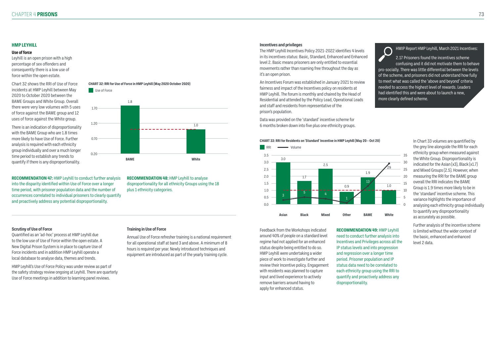#### **Scrutiny of Use of Force**

Quantified as an 'ad-hoc' process at HMP Leyhill due to the low use of Use of Force within the open estate. A New Digital Prison System is in place to capture Use of Force incidents and in addition HMP Leyhill operate a local database to analyse data, themes and trends.

Annual Use of Force refresher training is a national requirement for all operational staff at band 3 and above. A minimum of 8 hours is required per year. Newly introduced techniques and equipment are introduced as part of the yearly training cycle.

HMP Leyhill's Use of Force Policy was under review as part of the safety strategy review ongoing at Leyhill. There are quarterly Use of Force meetings in addition to learning panel reviews.

#### **Training in Use of Force**

**RECOMMENDATION 47:** HMP Leyhill to conduct further analysis into the disparity identified within Use of Force over a longer time period, with prisoner population data and the number of occurrences correlated to individual prisoners to clearly quantify and proactively address any potential disproportionality.

**RECOMMENDATION 48:** HMP Leyhill to analyse disproportionality for all ethnicity Groups using the 18 plus 1 ethnicity categories.

#### **HMP LEYHILL**

#### **Use of force**

Leyhill is an open prison with a high percentage of sex offenders and consequently there is a low use of force within the open estate.

Chart 32 shows the RRI of Use of Force incidents at HMP Leyhill between May 2020 to October 2020 between the BAME Groups and White Group. Overall there were very low volumes with 5 uses of force against the BAME group and 12 uses of force against the White group.

There is an indication of disproportionality with the BAME Group who are 1.8 times more likely to have Use of Force. Further analysis is required with each ethnicity group individually and over a much longer time period to establish any trends to quantify if there is any disproportionality.

![](_page_36_Figure_7.jpeg)

![](_page_36_Figure_8.jpeg)

#### **Incentives and privileges**

The HMP Leyhill Incentives Policy 2021-2022 identifies 4 levels in its incentives status: Basic, Standard, Enhanced and Enhanced level 2. Basic means prisoners are only entitled to essential movements rather than roaming free throughout the day as it's an open prison.

An Incentives Forum was established in January 2021 to review fairness and impact of the Incentives policy on residents at HMP Leyhill. The forum is monthly and chaired by the Head of Residential and attended by the Policy Lead, Operational Leads and staff and residents from representative of the prison's population.

Data was provided on the 'standard' incentive scheme for 6 months broken down into five plus one ethnicity groups. HMIP Report HMP Leyhill, March 2021 Incentives:

2.17 Prisoners found the incentives scheme confusing and it did not motivate them to behave pro-socially. There was little differential between the levels of the scheme, and prisoners did not understand how fully to meet what was called the 'above and beyond' criteria needed to access the highest level of rewards. Leaders had identified this and were about to launch a new, more clearly defined scheme.

![](_page_36_Figure_26.jpeg)

 $\bigcap$ 

Feedback from the Workshops indicated around 40% of people on a standard level regime had not applied for an enhanced status despite being entitled to do so. HMP Leyhill were undertaking a wider piece of work to investigate further and review their Incentive policy. Engagement with residents was planned to capture input and lived experience to actively remove barriers around having to apply for enhanced status.

**RECOMMENDATION 49:** HMP Leyhill need to conduct further analysis into Incentives and Privileges across all the IP status levels and into progression and regression over a longer time period. Prisoner population and IP status data need to be correlated to each ethnicity group using the RRI to quantify and proactively address any disproportionality.

In Chart 33 volumes are quantified by the grey line alongside the RRI for each ethnicity group when measured against the White Group. Disproportionality is indicated for the Asian  $(x3)$ , Black  $(x1.7)$ and Mixed Groups (2.5). However, when measuring the RRI for the BAME group overall the RRI indicates the BAME Group is 1.9 times more likely to be in the 'standard' incentive scheme. This variance highlights the importance of analysing each ethnicity group individually to quantify any disproportionality as accurately as possible.

Further analysis of the incentive scheme is limited without the wider context of the basic, enhanced and enhanced level 2 data.

**White**

![](_page_36_Figure_20.jpeg)

![](_page_36_Figure_19.jpeg)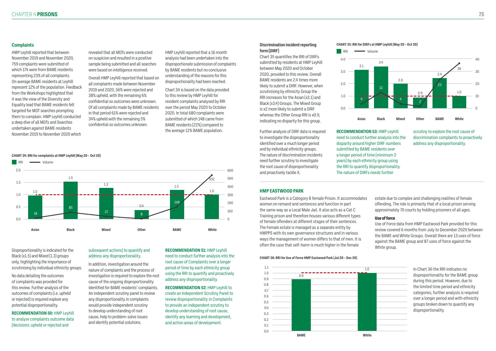Disproportionality is indicated for the Black  $(x1.5)$  and Mixed  $(1.3)$  groups only, highlighting the importance of scrutinising by individual ethnicity groups.

No data detailing the outcomes of complaints was provided for this review. Further analysis of the outcomes of complaints (i.e. upheld or rejected) is required explore any potential disproportionality.

**RECOMMENDATION 50:** HMP Leyhill to analyse complaints outcome data (decisions: upheld or rejected and

### subsequent actions) to quantify and address any disproportionality.

In addition, investigation around the nature of complaints and the process of investigation is required to explore the root cause of the ongoing disproportionality identified for BAME residents' complaints. An independent scrutiny panel to review any disproportionality in complaints would provide independent scrutiny to develop understanding of root cause, help to problem-solve issues and identify potential solutions.

**RECOMMENDATION 51:** HMP Leyhill need to conduct further analysis into the root cause of Complaints over a longer period of time by each ethnicity group using the RRI to quantify and proactively address any disproportionality.

**RECOMMENDATION 52:** HMP Leyhill to create an Independent Scrutiny Panel to review disproportionality in Complaints to provide an independent scrutiny to develop understanding of root cause, identify any learning and development, and action areas of development.

#### **Complaints**

HMP Leyhill reported that between November 2019 and November 2020, 759 complaints were submitted of which 174 were from BAME residents representing 23% of all complaints. On average BAME residents at Leyhill represent 12% of the population. Feedback from the Workshops highlighted that it was the view of the Diversity and Equality lead that BAME residents felt targeted for MDT searches prompting them to complain. HMP Leyhill conducted a deep dive of all MDTs and Searches undertaken against BAME residents November 2019 to November 2020 which

revealed that all MDTs were conducted on suspicion and resulted in a positive sample being submitted and all searches were based on intelligence received.

Overall HMP Leyhill reported that based on all complaints made between November 2019 and 2020, 56% were rejected and 38% upheld, with the remaining 6% confidential so outcomes were unknown. Of all complaints made by BAME residents in that period 61% were rejected and 34% upheld with the remaining 5% confidential so outcomes unknown.

HMP Leyhill reported that a 16 month analysis had been undertaken into the disproportionate submission of complaints by BAME residents but no conclusive understanding of the reasons for this disproportionality had been reached.

Chart 34 is based on the data provided to this review by HMP Leyhill for resident complaints analysed by RRI over the period May 2020 to October 2020. In total 680 complaints were submitted of which 148 came from BAME residents (22%) compared to the average 12% BAME population.

#### **CHART 34: RRI for complaints at HMP Leyhill (May 20 – Oct 20)**

![](_page_37_Figure_15.jpeg)

#### **Discrimination incident reporting form (DIRF)**

Chart 35 quantifies the RRI of DIRFs submitted by residents at HMP Leyhill between May 2020 and October 2020, provided to this review. Overall BAME residents are 2.4 times more likely to submit a DIRF. However, when scrutinising by ethnicity Group the RRI increases for the Asian (x3.1) and Black (x3.4) Groups. The Mixed Group is x2 more likely to submit a DIRF whereas the Other Group RRI is x0.9, indicating no disparity for this group.

Further analysis of DIRF data is required to investigate the disproportionality identified over a much longer period and by individual ethnicity groups. The nature of discrimination incidents need further scrutiny to investigate the root cause of disproportionality and proactively tackle it.

# the RRI to quantify disproportionality. The nature of DIRFs needs further

![](_page_37_Figure_11.jpeg)

#### **CHART 35: RRI for DIRFs at HMP Leyhill (May 20 – Oct 20)**

#### **HMP EASTWOOD PARK**

Eastwood Park is a Category B female Prison. It accommodates women on remand and sentences and function in part the same way as a Local Male Jail. It also acts as a Cat C Training prison and therefore houses various different types of female offenders at different stages of their sentences. The Female estate is managed as a separate entity by HMPPS with its own governance structures and in various ways the management of women differs to that of men. It is often the case that self-harm is much higher in the female

estate due to complex and challenging realities of female offending. The role is primarily that of a local prison serving approximately 70 courts by holding prisoners of all ages.

#### **Use of force**

Use of Force data from HMP Eastwood Park provided for this review covered 6 months from July to December 2020 between the BAME and White Groups. Overall there are 13 uses of force against the BAME group and 87 uses of force against the White group.

In Chart 36 the RRI indicates no disproportionality for the BAME group during this period. However, due to the limited time period and ethnicity categories, further analysis is required over a longer period and with ethnicity groups broken down to quantify any disproportionality.

#### **CHART 36: RRI for Use of Force HMP Eastwood Park (Jul 20 – Dec 20)**

![](_page_37_Figure_26.jpeg)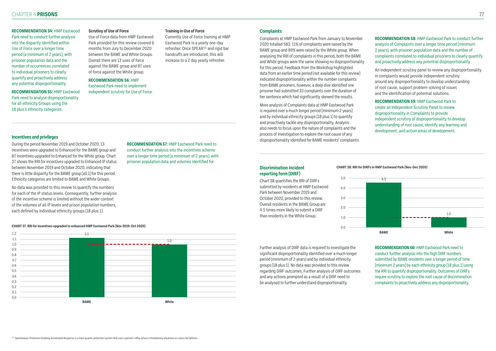#### **RECOMMENDATION 54:** HMP Eastwood

Park need to conduct further analysis into the disparity identified within Use of Force over a longer time period (a minimum of 2 years), with prisoner population data and the number of occurrences correlated to individual prisoners to clearly quantify and proactively address any potential disproportionality.

**RECOMMENDATION 55:** HMP Eastwood Park need to analyse disproportionality for all ethnicity Groups using the 18 plus 1 ethnicity categories.

#### **Scrutiny of Use of Force**

Use of Force data from HMP Eastwood Park provided for this review covered 6 months from July to December 2020 between the BAME and White Groups. Overall there are 13 uses of force against the BAME group and 87 uses of force against the White group.

#### **RECOMMENDATION 56:** HMP Eastwood Park need to implement independent scrutiny for Use of Force.

#### **Training in Use of Force**

Currently Use of Force training at HMP Eastwood Park is a yearly one-day refresher. Once SPEAR131 and rigid bar handcuffs are introduced, this will increase to a 2 day yearly refresher.

#### **Incentives and privileges**

During the period November 2019 and October 2020, 13 incentives were upgraded to Enhanced for the BAME group and 87 incentives upgraded to Enhanced for the White group. Chart 37 shows the RRI for incentives upgraded to Enhanced IP status between November 2019 and October 2020, indicating that there is little disparity for the BAME group (x0.1) for this period. Ethnicity categories are limited to BAME and White Groups.

No data was provided to this review to quantify the numbers for each of the IP status levels. Consequently, further analysis of the incentive scheme is limited without the wider context of the volumes of all IP levels and prison population numbers, each defined by individual ethnicity groups (18 plus 1).

**RECOMMENDATION 57:** HMP Eastwood Park need to conduct further analysis into the incentives scheme over a longer time period (a minimum of 2 years), with prisoner population data and volumes identified for.

#### **Complaints**

Complaints at HMP Eastwood Park from January to November 2020 totalled 583. 11% of complaints were raised by the BAME group and 89% were raised by the White group. When analysing the RRI of complaints in this period, both the BAME and White groups were the same showing no disproportionality for this period. Feedback from the Workshop highlighted data from an earlier time period (not available for this review) indicated disproportionality within the number complaints from BAME prisoners, however, a deep dive identified one prisoner had submitted 33 complaints over the duration of her sentence which had significantly skewed the results.

More analysis of Complaints data at HMP Eastwood Park is required over a much longer period (minimum 2 years) and by individual ethnicity groups (18 plus 1) to quantify and proactively tackle any disproportionality. Analysis also needs to focus upon the nature of complaints and the process of investigation to explore the root cause of any disproportionality identified for BAME residents' complaints.

**RECOMMENDATION 58:** HMP Eastwood Park to conduct further analysis of Complaints over a longer time period (minimum 2 years), with prisoner population data and the number of complaints correlated to individual prisoners to clearly quantify and proactively address any potential disproportionality.

An independent scrutiny panel to review any disproportionality in complaints would provide independent scrutiny around any disproportionality to develop understanding of root cause, support problem-solving of issues and the identification of potential solutions.

**RECOMMENDATION 59:** HMP Eastwood Park to create an Independent Scrutiny Panel to review disproportionality in Complaints to provide independent scrutiny of disproportionality to develop understanding of root cause, identify any learning and development, and action areas of development.

#### **Discrimination incident reporting form (DIRF)**

Chart 38 quantifies the RRI of DIRFs submitted by residents at HMP Eastwood Park between November 2019 and October 2020, provided to this review. Overall residents in the BAME Group are 4.5 times more likely to submit a DIRF than residents in the White Group.

Further analysis of DIRF data is required to investigate the significant disproportionality identified over a much longer period (minimum of 2 years) and by individual ethnicity groups (18 plus 1). No data was provided to this review regarding DIRF outcomes. Further analysis of DIRF outcomes and any actions prompted as a result of a DIRF need to be analysed to further understand disproportionality.

**RECOMMENDATION 60:** HMP Eastwood Park need to conduct further analysis into the high DIRF numbers submitted by BAME residents over a longer period of time (minimum 2 years) by each ethnicity group (18 plus 1) using the RRI to quantify disproportionality. Outcomes of DIRFs require scrutiny to explore the root cause of discrimination complaints to proactively address any disproportionality.

**CHART 37: RRI for incentives upgraded to enhanced HMP Eastwood Park (Nov 2019–Oct 2020)**

![](_page_38_Figure_20.jpeg)

#### **CHART 38: RRI for DIRFs in HMP Eastwood Park (Nov–Dec 2020)**

| 5.0 |  |
|-----|--|
| 4.0 |  |
| 3.0 |  |
| 2.0 |  |
| 1.0 |  |
| 0.0 |  |

![](_page_38_Figure_27.jpeg)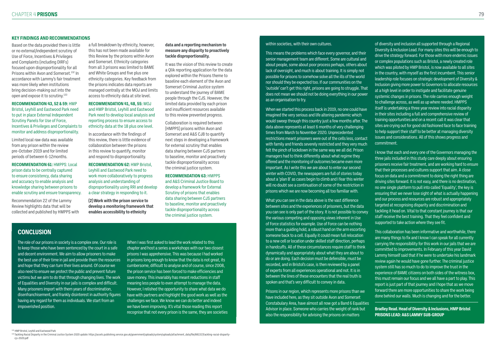#### **KEY FINDINGS AND RECOMMENDATIONS**

Based on the data provided there is little or no external/independent scrutiny of Use of Force, Incentives & Privileges and Complaints (including DIRFs) focused upon disproportionality for all Prisons within Avon and Somerset.<sup>132</sup> In accordance with Lammy's fair treatment was more likely when institutions bring decision-making out into the open and expose it to scrutiny.133

**RECOMMENDATION 43, 52 & 59:** HMP Bristol, Leyhill and Eastwood Park need to put in place External Independent Scrutiny Panels for Use of Force, Incentives & Privileges and Complaints to monitor and address disproportionality.

Limited local raw data was available from any prison within the review pre-October 2019 and for limited periods of between 6-12months.

**RECOMMENDATION 61:** HMPPS: Local prison data to be centrally captured to ensure consistency, data sharing and accuracy to enable analysis and knowledge sharing between prisons to enable scrutiny and ensure transparency.

Recommendation 22 of the Lammy Review highlights data that will be collected and published by HMPPS with a full breakdown by ethnicity, however, this has not been made available for this Review by the prisons within Avon and Somerset. Ethnicity categories from all 3 prisons was limited to BAME and White Groups and five plus one ethnicity categories. Key feedback from the prisons indicates data reports are managed centrally at the MOJ and limits access to ethnicity data at site level.

#### **RECOMMENDATION 41, 48, 55:** MOJ and HMP Bristol, Leyhill and Eastwood Park need to develop local analysis and reporting process to ensure access to ethnicity data at the 18 plus one level.

133 Tackling Racial Disparity in the Criminal Justice System 2020 update: https://assets.publishing.service.gov.uk/government/uploads/system/uploads/attachment\_data/file/881317/tackling-racial-disparity cjs-2020.pdf

In accordance with the findings of this review, there is little evidence of collaboration between the prisons in this review to quantify, monitor and respond to disproportionality.

**RECOMMENDATION 62:** HMP Bristol, Leyhill and Eastwood Park need to work more collaboratively to progress analysis and understanding of disproportionality using RRI and develop a clear strategy in responding to it.

**(2) Work with the prison service to develop a monitoring framework that enables accessibility to ethnicity** 

#### **data and a reporting mechanism to measure any disparity to proactively tackle disproportionality.**

It was the vision of this review to create a Qlik reporting application for the data explored within the Prisons theme to baseline each element of the Avon and Somerset Criminal Justice system to understand the journey of BAME people through the CJS. However, the limited data provided by each prison and insufficient resources available to this review prevented progress.

Collaboration is required between (HMPPS) prisons within Avon and Somerset and A&S CJB to quantify next steps in developing a framework for external scrutiny that enables data sharing between CJS partners to baseline, monitor and proactively tackle disproportionality across the criminal justice system.

#### **RECOMMENDATION 63:** HMPPS

and A&S Criminal Justice Board to develop a framework for External Scrutiny of prisons that enables data sharing between CJS partners to baseline, monitor and proactively tackle disproportionality across the criminal justice system.

### **CONCLUSION**

The role of our prisons in society is a complex one. Our role is to keep those who have been sentenced by the court in a safe and decent environment. We aim to allow prisoners to make the best use of their time in jail and provide them the resources and hope that they can turn their lives around. Of course we also need to ensure we protect the public and prevent future victims but we aim to do that through changing lives. The work of Equalities and Diversity in our jails is complex and difficult. Many prisoners import with them years of discrimination, disenfranchisement, and frankly disinterest in authority figures having any regard for them as individuals. We start from an impoverished position.

When I was first asked to lead the work related to this chapter and host a series a workshops with our two closest prisons I was apprehensive. This was because I had worked in prisons long enough to know that the data is not great, its cumbersome, difficult to analyse and of course, since 2008, the prison service has been forced to make efficiencies and save money. This invariably has meant reductions in staff meaning less people to even attempt to manage the data. However, I relished the opportunity to share what data we do have with partners and highlight the good work as well as the challenges we face. We know we can do better and indeed we have been improving. It's vital those reading this report recognise that not every prison is the same, they are societies

#### within societies, with their own cultures.

This means the problems which face every governor, and their senior management team are different. Some are cultural and about people, some about poor process perhaps, others about lack of oversight, and much is about training. It is simply not possible for prisons to somehow solve all the ills of the world nor should they be expected too. If our communities on the 'outside' can't get this right, prisons are going to struggle. That does not mean we should not be doing everything in our power as an organisation to try.

When we started this process back in 2019, no one could have imagined the very serious and life altering pandemic which would sweep through this country just a few months after. The data above represents at least 6 months of very challenging times from March to November 2020. Unprecedented restrictions meant prisoners were out of the cells less, contact with family and friends severely restricted and they very much felt the pinch of lockdown in the same way we all did. Prison managers had to think differently about what regime they offered and the monitoring of outcomes became even more important. As I write this we are about to enter our second winter with COVID, the newspapers are full of stories today about a 'plan B' as cases begin to climb and I fear this winter will no doubt see a continuation of some of the restriction in prisons which we are now becoming all too familiar with.

What you can see in the data above is the vast difference between sites and the experiences of prisoners, but the data you can see is only part of the story. It is not possible to convey the various competing and opposing views inherent in Use of Force statistics for example. Use of Force can be nothing more than a guiding hold, a robust hand on the arm escorting someone back to a cell. Equally it could mean full relocation to a new cell or location under skilled staff direction, perhaps in handcuffs. All of these circumstances require staff to think dynamically and appropriately about what they are about to do or are doing. Each decision must be defensible, must be recorded, and in Bristol's case, is then reviewed by a panel of experts from all experiences operational and not. It is in between the lines of these encounters that the real truth is spoken and that's very difficult to convey in data.

Prisons in our region, which represents more prisons than we have included here, as they sit outside Avon and Somerset Constabulary Area, have almost all now got a Band 6 Equalities Advisor in place. Someone who carries the weight of rank but also the responsibility for advising the prisons on matters

132 HMP Bristol, Leyhill and Eastwood Park

of diversity and inclusion all supported through a Regional Diversity & Inclusion Lead. For many sites this will be enough to drive the strategy forward. For those with more endemic issues or complex populations such as Bristol, a newly created role which was piloted by HMP Bristol, is now available to all sites in the country, with myself as the first incumbent. This senior leadership role focuses on strategic development of Diversity & Inclusion giving more power to Governors to allocate resources at a high level in order to instigate and facilitate genuine systemic changes in prisons. The role carries enough weight to challenge across, as well as up where needed. HMPPS itself is undertaking a three year review into racial disparity in their sites including a full and comprehensive review of training opportunities and on a recent call it was clear that sites are crying out for good old fashioned face to face training to help support their staff to be better at managing diversity issues and considerations. All of this shows progress and commitment.

I know that each and every one of the Governors managing the three jails included in this study care deeply about ensuring prisoners receive fair treatment, and are working hard to ensure that their processes and cultures support that aim. A close focus on data and a commitment to doing the right thing are driving sites forward. It is not easy, and there is no destination, no one single platform to pull into called 'Equality', the key is ensuring that we never lose sight of what is actually happening and our process and resources are robust and appropriately targeted at recognising disparity and discrimination and tackling it head on. Vital to that constant journey is that our staff receive the best training. That they feel confident and supported to take action where they see fit.

This collaboration has been informative and worthwhile, there are many things to fix and I know I can speak for all currently carrying the responsibility for this work in our jails that we are committed to improvements. In February of this year David Lammy himself said that if he were to undertake his landmark review again he would have gone further. The criminal justice system still has so much to do to improve the trust in the experience of BAME citizens on both sides of the witness box, this must remain our focus and we all have a part to play. This report is just part of that journey and I hope that as we move forward there are more opportunities to share the work being done behind our walls. Much is changing and for the better.

**Bradley Read. Head of Diversity & Inclusions, HMP Bristol PRISONS LEAD: A&S LAMMY SUB-GROUP**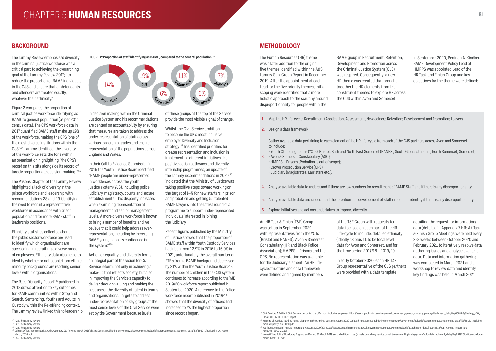# CHAPTER 5 **81 HUMAN RESOURCES**

The Lammy Review emphasised diversity in the criminal justice workforce was a critical part to achieving the overarching goal of the Lammy Review 2017; "to reduce the proportion of BAME individuals in the CJS and ensure that all defendants and offenders are treated equally, whatever their ethnicity."

### **BACKGROUND METHODOLOGY**

Figure 2 compares the proportion of criminal justice workforce identifying as BAME to general population (as per 2011 census data). The CPS workforce data in 2017 quantified BAME staff make up 19% of the workforce, making the CPS 'one of the most diverse institutions within the CJS'.134 Lammy identified, the diversity of the workforce sets the tone within an organisation highlighting "the CPS's record on this sits alongside its record of largely proportionate decision-making."135

The Race Disparity Report $137$  published in 2018 draws attention to key outcomes for BAME communities within Stop and Search, Sentencing, Youths and Adults in Custody within the Re-offending context. The Lammy review linked this to leadership

The Prisons Chapter of the Lammy Review highlighted a lack of diversity in the prison workforce and leadership with recommendations 28 and 29 identifying the need to recruit a representative workforce in accordance with prison population and for more BAME staff in leadership positions.

Ethnicity statistics collected about the public sector workforce are used to identify which organisations are succeeding in recruiting a diverse range of employees. Ethnicity data also helps to identify whether or not people from ethnic minority backgrounds are reaching senior levels within organisations.

in decision making within the Criminal Justice System and his recommendations are centred on accountability by ensuring that measures are taken to address the under-representation of staff across various leadership grades and ensure representation of the populations across England and Wales.

In their Call to Evidence Submission in 2016 the Youth Justice Board identified "BAME people are under-represented in workforces across the youth justice system (YJS), including police, judiciary, magistracy, courts and secure establishments. This disparity increases when examining representation at management and senior management levels. A more diverse workforce is known to bring a number of benefits and we believe that it could help address overrepresentation, including by increasing BAME young people's confidence in the system."138

Action on equality and diversity forms an integral part of the vision for Civil Service reform, not only in achieving a make-up that reflects society, but also in improving the Service's capacity to deliver through valuing and making the best use of the diversity of talent in teams and organisations. Targets to address under-representation of key groups at the most senior levels of the Civil Service were set by the Government because levels

of these groups at the top of the Service provide the most visible signal of change.

Whilst the Civil Service ambition to become the UK's most inclusive employer Diversity and Inclusion strategy<sup>139</sup> has identified priorities for greater representation and inclusion in implementing different initiatives like positive action pathways and diversity internship programmes, an update of the Lammy recommendations in 2020<sup>140</sup> indicated that the Ministry of Justice was taking positive steps toward working on the target of 14% for new starters in prison and probation and getting 55 talented BAME lawyers into the latest round of a programme to support under-represented individuals interested in joining the judiciary.

Recent figures published by the Ministry of Justice showed that the proportion of BAME staff within Youth Custody Services had risen from 12.9% in 2016 to 15.9% in 2021, unfortunately the overall number of FTE's from a BAME background decreased by 21% within the Youth Justice Board<sup>141</sup>. The number of children in the CJS system continues to increase according to the YJB 2019/20 workforce report published in September 2020. A reference to the Police workforce report published in 2019<sup>142</sup> showed that the diversity of officers had increased to 7% the highest proportion since records began.

The Human Resources (HR) theme was a later addition to the original five themes identified within the A&S Lammy Sub-Group Report in December 2019. After the appointment of each Lead for the five priority themes, initial scoping work identified that a more holistic approach to the scrutiny around disproportionality for people within the

BAME group in Recruitment, Retention, Development and Promotion across the Criminal Justice System (CJS) was required. Consequently, a new HR theme was created that brought together the HR elements from the constituent themes to explore HR across the CJS within Avon and Somerset.

In September 2020, Peninah A-Kindberg, BAME Development Policy Lead at HMPPS was appointed Lead of the HR Task and Finish Group and key objectives for the theme were defined:

137 Cabinet Office, Race Disparity Audit, October 2017 (revised March 2018): https://assets.publishing.service.gov.uk/government/uploads/system/uploads/attachment\_data/file/686071/Revised\_RDA\_report\_ March 2018.pdf

138 P45, The Lammy Review

FIGURE 2: Proportion of staff identifying as BAME, compared to the general population<sup>136</sup>

- 1. Map the HR life-cycle: Recruitment (Application, Assessment, New Joiner); Retention; Development and Promotion; Leavers
- 2. Design a data framework

Gather available data pertaining to each element of the HR life-cycle from each of the CJS partners across Avon and Somerset to include:

• Youth Offending Teams (YOTs): Bristol, Bath and North East Somerset (BANES), South Gloucestershire, North Somerset, Somerset;

- 
- 3. • Avon & Somerset Constabulary (ASC);
	- HMPPS Prisons (Probation is out of scope);
	- Crown Prosecution Service (CPS)
	- Judiciary (Magistrates, Barristers etc.).
- 4. Analyse available data to understand if there are low numbers for recruitment of BAME Staff and if there is any disproportionality.
- 5. Analyse available data and understand the retention and development of staff in post and identify if there is any disproportionality.
- 6. Explore initiatives and actions undertaken to improve diversity.

An HR Task & Finish (T&F) Group was set up in September 2020 with representatives from the YOTs (Bristol and BANES); Avon & Somerset Constabulary (HR and Black Police Association); HMPPS – Prisons and the CPS. No representation was available for the Judiciary element. An HR lifecycle structure and data framework were defined and agreed by members

of the T&F Group with requests for data focused on each part of the HR Life-cycle to include: detailed ethnicity (ideally 18 plus 1), to be local level data for Avon and Somerset, and for the time period 2017/18 - 2019/20.

In early October 2020, each HR T&F Group representative of the CJS partners were provided with a data template

detailing the request for information/ data (detailed in Appendix 7 HR: A). Task & Finish Group Meetings were held every 2-3 weeks between October 2020 and February 2021 to iteratively resolve data gathering issues and analyse available data. Data and information gathering was completed in March 2021 and a workshop to review data and identify key findings was held in March 2021.

![](_page_40_Figure_13.jpeg)

<sup>134</sup> P22, The Lammy Review

<sup>&</sup>lt;sup>135</sup> P22. The Lammy Review

<sup>&</sup>lt;sup>139</sup> Civil Service, A Brilliant Civil Service: becoming the UK's most inclusive employer: https://assets.publishing.service.gov.uk/government/uploads/system/uploads/attachment\_data/file/658488/Strategy\_v10\_ FINAL\_WEB6\_TEST\_021117.pdf

<sup>&</sup>lt;sup>140</sup> Ministry of Justice, Tackling Racial Disparity in the Criminal Justice System: 2020 update: https://assets.publishing.service.gov.uk/government/uploads/system/uploads/attachment\_data/file/881317/tacklingracial-disparity-cjs-2020.pdf

<sup>&</sup>lt;sup>141</sup> Youth Justice Board, Annual Report and Accounts 2019/20: https://assets.publishing.service.gov.uk/government/uploads/system/uploads/attachment\_data/file/918612/YJB\_Annual\_Report\_and\_ Accounts\_2019-20.pdf

<sup>&</sup>lt;sup>142</sup> Home Office, Police Workforce, England and Wales, 31 March 2019 second edition: https://assets.publishing.service.gov.uk/government/uploads/system/uploads/attachment\_data/file/831726/police-workforcemar19-hosh1119.pdf

<sup>136</sup> P23, The Lammy Review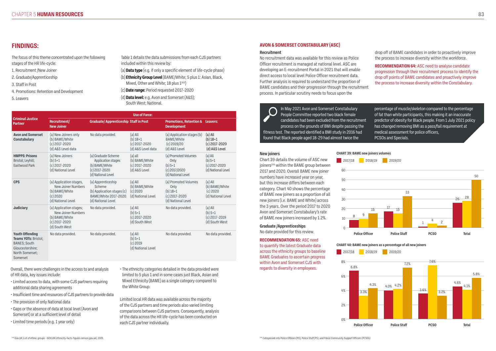The focus of this theme concentrated upon the following stages of the HR life-cycle:

- 1. Recruitment /New Joiner
- 2. Graduate/Apprenticeship
- 3. Staff in Post
- 4. Promotions: Retention and Development
- 5. Leavers

(b) **Ethnicity Group Level** (BAME/White; 5 plus 1: Asian, Black, Mixed, Other and White; 18 plus  $1^{143}$ )

Table 1 details the data submissions from each CJS partners included within this review by:

(a) **Data type** (e.g. if only a specific element of life-cycle phase)

(c) **Date range:** Period requested 2017-2020

(d) **Data level:** e.g. Avon and Somerset (A&S); South West; National.

Overall, there were challenges in the access to and analysis of HR data, key issues include:

- Limited access to data, with some CJS partners requiring additional data sharing agreements
- Insufficient time and resources of CJS partners to provide data
- The provision of only National data
- Gaps or the absence of data at local level (Avon and Somerset) or at a sufficient level of detail
- Limited time periods (e.g. 1 year only)

• The ethnicity categories detailed in the data provided were limited to 5 plus 1 and in some cases just Black, Asian and Mixed Ethnicity (BAME) as a single category compared to the White Group.

Limited local HR data was available across the majority of the CJS partners and time periods also varied limiting comparisons between CJS partners. Consequently, analysis of the data across the HR life-cycle has been conducted on each CJS partner individually.

# **FINDINGS:**

percentage of muscle/skeleton compared to the percentage of fat than white participants, this making it an inaccurate predictor of obesity for Black people. From 1 July 2021 policy has changed removing BMI as a pass/fail requirement at medical assessment for police officers, PCSOs and Specials.

### **AVON & SOMERSET CONSTABULARY (ASC)**

#### **Recruitment**

No recruitment data was available for this review as Police Officer recruitment is managed at national level. ASC are developing an E-recruitment Portal in 2021 that will enable direct access to local level Police Officer recruitment data. Further analysis is required to understand the proportion of BAME candidates and their progression through the recruitment process. In particular scrutiny needs to focus upon the

drop off of BAME candidates in order to proactively improve the process to increase diversity within the workforce.

**RECOMMENDATION 64:** ASC need to analyse candidate progression through their recruitment process to identify the drop off points of BAME candidates and proactively improve the process to increase diversity within the Constabulary.

In May 2021 Avon and Somerset Constabulary People Committee reported two black female candidates had been excluded from the recruitment process on the grounds of BMI despite passing the fitness test. The reported identified a BMI study in 2016 had found that Black people aged 18-29 had almost twice the

|                                                                                                                          | <b>Use of Force:</b>                                                                                 |                                                                                                          |                                                                 |                                                                                      |                                                                   |  |
|--------------------------------------------------------------------------------------------------------------------------|------------------------------------------------------------------------------------------------------|----------------------------------------------------------------------------------------------------------|-----------------------------------------------------------------|--------------------------------------------------------------------------------------|-------------------------------------------------------------------|--|
| <b>Criminal Justice</b><br><b>Partner</b>                                                                                | <b>Recruitment/</b><br><b>Graduate/Apprenticeship Staff in Post</b><br><b>New Joiner</b>             |                                                                                                          |                                                                 | <b>Promotions, Retention &amp; Leavers:</b><br><b>Development</b>                    |                                                                   |  |
| <b>Avon and Somerset</b><br><b>Constabulary</b>                                                                          | (a) New Joiners only<br>(b) BAME/White<br>$(c)$ 2017-2020<br>(d) A&S Level data                      | No data provided.                                                                                        | $(a)$ All<br>$(b)$ 18+1<br>(c) 2017-2020<br>(d) A&S Level data  | (a) Application stages (b)<br><b>BAME/White</b><br>$(c)$ 2019/20<br>(d) A&S Level    | $(a)$ All<br>$(b)$ 18+1<br>$(c)$ 2017-2020<br>(d) A&S Level       |  |
| <b>HMPPS: Prisons</b><br>Bristol; Leyhill;<br>Eastwood Park                                                              | (a) New Joiners<br>$(b) 5+1$<br>$(c)$ 2017-2020<br>(d) National Level                                | (a) Graduate Scheme<br>Application stages<br>(b) BAME/White<br>$(c)$ 2017-2020<br>(d) National Level     | $(a)$ all<br>(b) BAME/White<br>$(c)$ 2017-2020<br>(d) A&S Level | (a) Promoted Volumes<br>Only<br>$(b) 5 + 1$<br>$(c)$ 2017/2020<br>(d) National Level | $(a)$ All<br>$(b) 5 + 1$<br>$(c)$ 2017-2020<br>(d) National Level |  |
| <b>CPS</b>                                                                                                               | (a) Application stages,<br>New Joiner Numbers<br>(b) BAME/White<br>(c) 2020<br>(d) National Level    | (a) Apprenticeship<br>Scheme<br>(b) Application stages (c)<br>BAME/White 2017-2020<br>(d) National Level | $(a)$ All<br>(b) BAME/White<br>$(c)$ 2020<br>(d) National Level | (a) Promoted Volumes<br>Only<br>$(b)$ 18+1<br>$(c)$ 2017-2020<br>(d) National Level  | $(a)$ All<br>(b) BAME/White<br>$(c)$ 2020<br>(d) National Level   |  |
| <b>Judiciary</b>                                                                                                         | (a) Application stages;<br>New Joiner Numbers<br>(b) BAME/White<br>$(c)$ 2017-2020<br>(d) South West | No data provided.                                                                                        | $(a)$ All<br>$(b) 5+1$<br>(c) 2017-2020<br>(d) South West       | No data provided.                                                                    | $(a)$ All<br>$(b) 5+1$<br>$(c)$ 2017-2019<br>(d) South West       |  |
| <b>Youth Offending</b><br>Teams YOTs: Bristol;<br><b>BANES; South</b><br>Gloucestershire;<br>North Somerset;<br>Somerset | No data provided.                                                                                    | No data provided.                                                                                        | $(a)$ All<br>$(b) 5+1$<br>(c) 2019<br>(d) National Level        | No data provided.                                                                    | No data provided.                                                 |  |

#### **New joiners**

Chart 39 details the volume of ASC new joiners<sup>144</sup> within the BAME group between 2017 and 2020. Overall BAME new joiner numbers have increased year on year, but this increase differs between each category. Chart 40 shows the percentage of BAME new joiners as a proportion of all new joiners (i.e. BAME and White) across the 3 years. Over the period 2017 to 2020 Avon and Somerset Constabulary's rate of BAME new joiners increased by 1.2%.

### **Graduate /Apprenticeships**

No date provided for this review.

### **RECOMMENDATION 65:** ASC need

to quantify the latest Graduate data across the ethnicity groups to baseline BAME Graduates to ascertain progress within Avon and Somerset CJS with regards to diversity in employees.

![](_page_41_Figure_33.jpeg)

0% 2% 4% 6% 8%

![](_page_41_Figure_37.jpeg)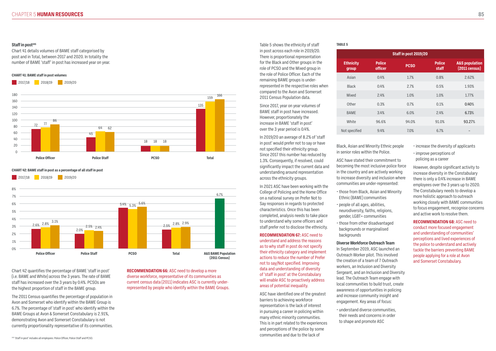#### Staff in post<sup>145</sup>

Chart 41 details volumes of BAME staff categorised by post and in Total, between 2017 and 2020. In totality the number of BAME 'staff' in post has increased year on year.

Chart 42 quantifies the percentage of BAME 'staff in post' (i.e. BAME and White) across the 3 years. The rate of BAME staff has increased over the 3 years by 0.4%. PCSOs are the highest proportion of staff in the BAME group.

The 2011 Census quantifies the percentage of population in Avon and Somerset who identify within the BAME Group is 6.7%. The percentage of 'staff in post' who identify within the BAME Groups at Avon & Somerset Constabulary is 2.91%, demonstrating Avon and Somerset Constabulary is not currently proportionality representative of its communities.

**RECOMMENDATION 66:** ASC need to develop a more diverse workforce, representative of its communities as current census data (2011) indicates ASC is currently underrepresented by people who identify within the BAME Groups. Table 5 shows the ethnicity of staff in post across each role in 2019/20. There is proportional representation for the Black and Other groups in the role of PCSO and the Mixed group in the role of Police Officer. Each of the remaining BAME groups is underrepresented in the respective roles when compared to the Avon and Somerset 2011 Census Population data.

Since 2017, year on year volumes of BAME staff in post have increased. However, proportionately the increase in BAME 'staff in post' over the 3 year period is 0.4%.

In 2019/20 an average of 8.2% of 'staff in post' would prefer not to say or have not specified their ethnicity group. Since 2017 this number has reduced by 1.3%. Consequently, if resolved, could significantly impact the current data and understanding around representation across the ethnicity groups.

In 2021 ASC have been working with the College of Policing and the Home Office on a national survey on Prefer Not to Say responses in regards to protected characteristics. Once this has been completed, analysis needs to take place to understand why some officers and staff prefer not to disclose the ethnicity.

**RECOMMENDATION 67:** ASC need to understand and address the reasons as to why staff in post do not specify their ethnicity category and implement actions to reduce the number of Prefer not to say/Not specified. Improving data and understanding of diversity of 'staff in post' at the Constabulary will enable ASC to proactively address areas of potential inequality.

ASC have identified one of the greatest barriers to achieving workforce representation is the lack of interest in pursuing a career in policing within many ethnic minority communities. This is in part related to the experiences and perceptions of the police by some

Black, Asian and Minority Ethnic people in senior roles within the Police.

ASC have stated their commitment to becoming the most inclusive police force in the country and are actively working to increase diversity and inclusion where communities are under-represented:

- those from Black, Asian and Minority Ethnic (BAME) communities
- people of all ages, abilities, neurodiversity, faiths, religions, gender, LGBT+ communities
- those from other disadvantaged backgrounds or marginalised backgrounds

#### **Diverse Workforce Outreach Team**

In September 2019, ASC launched an Outreach Worker pilot. This involved the creation of a team of 7 Outreach workers, an Inclusion and Diversity Sergeant, and an Inclusion and Diversity lead. The Outreach Team engage with local communities to build trust, create awareness of opportunities in policing and increase community insight and engagement. Key areas of focus:

• understand diverse communities, their needs and concerns in order to shape and promote ASC

- increase the diversity of applicants
- improve perceptions of policing as a career

However, despite significant activity to increase diversity in the Constabulary there is only a 0.4% increase in BAME employees over the 3 years up to 2020. The Constabulary needs to develop a more holistic approach to outreach working closely with BAME communities to focus engagement, recognise concerns and active work to resolve them.

**RECOMMENDATION 68:** ASC need to conduct more focused engagement and understanding of communities' perceptions and lived experiences of the police to understand and actively tackle the barriers preventing BAME people applying for a role at Avon and Somerset Constabulary.

|                   |                                 | Staff in post 2019/20 |                        |                                              |
|-------------------|---------------------------------|-----------------------|------------------------|----------------------------------------------|
| thnicity<br>group | <b>Police</b><br><b>officer</b> | <b>PCSO</b>           | <b>Police</b><br>staff | <b>A&amp;S population</b><br>$(2011$ census) |
| Asian             | 0.4%                            | 1.7%                  | 0.8%                   | 2.62%                                        |
| <b>Black</b>      | 0.4%                            | 2.7%                  | 0.5%                   | 1.93%                                        |
| <b>Mixed</b>      | 2.4%                            | 1.0%                  | 1.0%                   | 1.77%                                        |
| Other             | 0.3%                            | 0.7%                  | 0.1%                   | 0.40%                                        |
| <b>BAME</b>       | 3.4%                            | 6.0%                  | 2.4%                   | 6.73%                                        |
| White             | 96.6%                           | 94.0%                 | 91.0%                  | 93.27%                                       |
| specified         | 9.4%                            | 7.0%                  | 6.7%                   |                                              |

- 
- 
- 
- 
- 

| <b>Ethnicity</b><br>group |  |
|---------------------------|--|
| Asian                     |  |
| <b>Black</b>              |  |
| Mixed                     |  |
| Other                     |  |
| <b>BAMF</b>               |  |
| <b>White</b>              |  |
| Not specified             |  |

#### **TABLE 5**

#### **CHART 41: BAME staff in post volumes**

![](_page_42_Figure_4.jpeg)

**CHART 42: BAME staff in post as a percentage of all staff in post**

2017/18 2018/19 2019/20

![](_page_42_Figure_7.jpeg)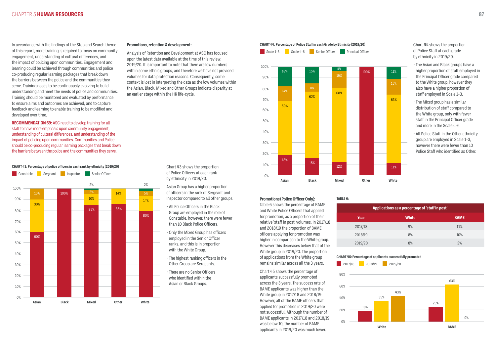In accordance with the findings of the Stop and Search theme of this report, more training is required to focus on community engagement, understanding of cultural differences, and the impact of policing upon communities. Engagement and learning could be achieved through communities and police co-producing regular learning packages that break down the barriers between the police and the communities they serve. Training needs to be continuously evolving to build understanding and meet the needs of police and communities. Training should be monitored and evaluated by performance to ensure aims and outcomes are achieved, and to capture feedback and learning to enable training to be modified and developed over time.

**RECOMMENDATION 69:** ASC need to develop training for all staff to have more emphasis upon community engagement, understanding of cultural differences, and understanding of the impact of policing upon communities. Communities and Police should be co-producing regular learning packages that break down the barriers between the police and the communities they serve.

#### **Promotions, retention & development:**

Analysis of Retention and Development at ASC has focused upon the latest data available at the time of this review, 2019/20. It is important to note that there are low numbers within some ethnic groups, and therefore we have not provided volumes for data protection reasons. Consequently, some context is lost in interpreting the data as the low volumes within the Asian, Black, Mixed and Other Groups indicate disparity at an earlier stage within the HR life-cycle.

Chart 44 shows the proportion of Police Staff at each grade by ethnicity in 2019/20.

- The Asian and Black groups have a higher proportion of staff employed in the Principal Officer grade compared to the White group, however they also have a higher proportion of staff employed in Scale 1-3.
- The Mixed group has a similar distribution of staff compared to the White group, only with fewer staff in the Principal Officer grade and more in the Scale 4-6.
- All Police Staff in the Other ethnicity group are employed in Scale 1-3, however there were fewer than 10 Police Staff who identified as Other.

#### **CHART 44: Percentage of Police Staff in each Grade by Ethnicity (2019/20)**

0%

10%

20%

30%

**Asian Black Mixed Other White**

Chart 43 shows the proportion of Police Officers at each rank by ethnicity in 2019/20.

Asian Group has a higher proportion of officers in the rank of Sergeant and Inspector compared to all other groups.

- All Police Officers in the Black Group are employed in the role of Constable, however, there were fewer than 10 Black Police Officers.
- Only the Mixed Group has officers employed in the Senior Officer ranks, and this is in proportion with the White Group.
- The highest ranking officers in the Other Group are Sergeants.
- There are no Senior Officers who identified within the Asian or Black Groups.

#### **CHART 43: Percentage of police officers in each rank by ethnicity (2019/20)**

![](_page_43_Figure_3.jpeg)

**Promotions (Police Officer Only):**

![](_page_43_Figure_21.jpeg)

![](_page_43_Figure_14.jpeg)

![](_page_43_Figure_22.jpeg)

![](_page_43_Figure_30.jpeg)

Table 6 shows the percentage of BAME and White Police Officers that applied for promotion, as a proportion of their relative 'staff in post' volumes. In 2017/18 and 2018/19 the proportion of BAME officers applying for promotion was higher in comparison to the White group. However this decreases below that of the White group in 2019/20. The proportion of applications from the White group remains similar across all the 3 years.

Chart 45 shows the percentage of applicants successfully promoted across the 3 years. The success rate of BAME applicants was higher than the White group in 2017/18 and 2018/19. However, all of the BAME officers that applied for promotion in 2019/20 were not successful. Although the number of BAME applicants in 2017/18 and 2018/19 was below 10, the number of BAME applicants in 2019/20 was much lower.

#### **CHART 45: Percentage of applicants successfully promoted**

#### **TABLE 6:**

| Applications as a percentage of 'staff in post' |              |             |  |  |
|-------------------------------------------------|--------------|-------------|--|--|
| Year                                            | <b>White</b> | <b>BAME</b> |  |  |
| 2017/18                                         | 9%           | 11%         |  |  |
| 2018/19                                         | 8%           | 10%         |  |  |
| 2019/20                                         | 8%           | 2%          |  |  |

18%

15%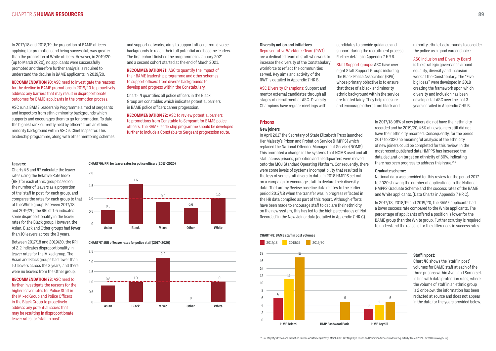#### **Prisons**

#### **New joiners**

In April 2017 the Secretary of State Elizabeth Truss launched Her Majesty's Prison and Probation Service (HMPPS) which replaced the National Offender Management Service (NOMS). This prompted a change in the systems that NOMS used and all staff across prisons, probation and headquarters were moved onto the MOJ Standard Operating Platform. Consequently, there were some levels of systems incompatibility that resulted in the loss of some staff diversity data. In 2018 HMPPS set out on a campaign to encourage staff to declare their diversity data. The Lammy Review baseline data relates to the earlier period 2017/18 when the transfer was in progress reflected in the HR data compiled as part of this report. Although efforts have been made to encourage staff to declare their ethnicity on the new system, this has led to the high percentages of 'Not Recorded' in the New Joiner data (detailed in Appendix 7 HR C). 2017 to 2020 no meaningful analysis of the ethnicity of new joiners could be completed for this review. In the most recent published data HMPPS has increased the data declaration target on ethnicity of 80%, indicating there has been progress to address this issue.<sup>146</sup> **Graduate scheme:** National data was provided for this review for the period 2017 to 2020 showing the number of applications to the National HMPPS Graduate Scheme and the success rates of the BAME and White applicants. (Data Charts in Appendix 7 HR C). In 2017/18, 2018/19 and 2019/20, the BAME applicants had a lower success rate compared to the White applicants. The percentage of applicants offered a position is lower for the BAME group than the White group. Further scrutiny is required to understand the reasons for the differences in success rates.

In 2017/18 98% of new joiners did not have their ethnicity recorded and by 2019/20, 45% of new joiners still did not have their ethnicity recorded. Consequently, for the period

# **Diversity action and initiatives**

Representative Workforce Team (RWT) are a dedicated team of staff who work to increase the diversity of the Constabulary workforce to reflect the communities served. Key aims and activity of the RWT is detailed in Appendix 7 HR B.

ASC Diversity Champions: Support and mentor external candidates through all stages of recruitment at ASC. Diversity Champions have regular meetings with candidates to provide guidance and support during the recruitment process. Further details in Appendix 7 HR B.

#### Staff Support groups: ASC have over eight Staff Support Groups including the Black Police Association (BPA) whose primary objective is to ensure that those of a black and minority ethnic background within the service are treated fairly. They help reassure and encourage others from black and

minority ethnic backgrounds to consider the police as a good career choice.

ASC Inclusion and Diversity Board is the strategic governance around equality, diversity and inclusion work at the Constabulary. The "Five big ideas" were developed in 2018 creating the framework upon which diversity and inclusion has been developed at ASC over the last 3 years detailed in Appendix 7 HR B.

#### **Leavers:**

Charts 46 and 47 calculate the leaver rates using the Relative Rate Index (RRI) for each ethnic group based on the number of leavers as a proportion of the 'staff in post' for each group, and compares the rates for each group to that of the White group. Between 2017/18 and 2019/20, the RRI of 1.6 indicates some disproportionality in the leaver rates for the Black group. However, the Asian, Black and Other groups had fewer than 10 leavers across the 3 years.

Between 2017/18 and 2019/20, the RRI of 2.2 indicates disproportionality in leaver rates for the Mixed group. The Asian and Black groups had fewer than 10 leavers across the 3 years, and there were no leavers from the Other group.

**RECOMMENDATION 73:** ASC need to further investigate the reasons for the higher leaver rates for Police Staff in the Mixed Group and Police Officers in the Black Group to proactively address any potential issues that may be resulting in disproportionate leaver rates for 'staff in post'.

#### **CHART 46: RRI for leaver rates for police officers (2017–2020)**

![](_page_44_Figure_21.jpeg)

#### **CHART 47: RRI of leaver rates for police staff (2017–2020)**

![](_page_44_Figure_23.jpeg)

#### **CHART 48: BAME staff in post volumes**

![](_page_44_Figure_25.jpeg)

146 Her Majesty's Prison and Probation Service workforce quarterly: March 2021 Her Majesty's Prison and Probation Service workforce quarterly: March 2021 - GOV.UK (www.gov.uk)

#### **Staff in post:**

Chart 48 shows the 'staff in post' volumes for BAME staff at each of the three prisons within Avon and Somerset. In line with data protection rules, where the volume of staff in an ethnic group is 2 or below, the information has been redacted at source and does not appear in the data for the years provided below.

In 2017/18 and 2018/19 the proportion of BAME officers applying for promotion, and being successful, was greater than the proportion of White officers. However, in 2019/20 (up to March 2020), no applicants were successfully promoted and therefore further analysis is required to understand the decline in BAME applicants in 2019/20.

#### **RECOMMENDATION 70:** ASC need to investigate the reasons for the decline in BAME promotions in 2019/20 to proactively address any barriers that may result in disproportionate outcomes for BAME applicants in the promotion process.

ASC run a BAME Leadership Programme aimed at sergeants and inspectors from ethnic minority backgrounds which supports and encourages them to go for promotion. To date the highest rank currently held by officers from an ethnic minority background within ASC is Chief Inspector. This leadership programme, along with other mentoring schemes

and support networks, aims to support officers from diverse backgrounds to reach their full potential and become leaders. The first cohort finished the programme in January 2021 and a second cohort started at the end of March 2021.

#### **RECOMMENDATION 71:** ASC to quantify the impact of their BAME leadership programme and other schemes to support officers from diverse backgrounds to develop and progress within the Constabulary.

Chart 44 quantifies all police officers in the Black Group are constables which indicates potential barriers in BAME police officers career progression.

**RECOMMENDATION 72:** ASC to review potential barriers to promotions from Constable to Sergeant for BAME police officers. The BAME leadership programme should be developed further to include a Constable to Sergeant progression route.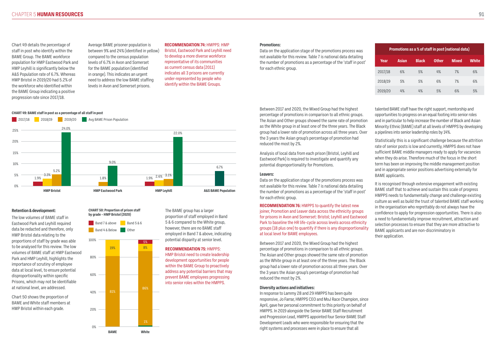Chart 49 details the percentage of staff in post who identify within the BAME Group. The BAME workforce population for HMP Eastwood Park and HMP Leyhill is significantly below the A&S Population rate of 6.7%. Whereas HMP Bristol in 2019/20 had 5.2% of the workforce who identified within the BAME Group indicating a positive progression rate since 2017/18.

Average BAME prisoner population is between 9% and 24% (identified in yellow) compared to the census population levels of 6.7% in Avon and Somerset for the BAME population (identified in orange). This indicates an urgent need to address the low BAME staffing levels in Avon and Somerset prisons.

#### **RECOMMENDATION 74:** HMPPS: HMP Bristol, Eastwood Park and Leyhill need to develop a more diverse workforce representative of its communities as current census data (2011) indicates all 3 prisons are currently under-represented by people who identify within the BAME Groups.

#### **Promotions:**

Data on the application stage of the promotions process was not available for this review. Table 7 is national data detailing the number of promotions as a percentage of the 'staff in post' for each ethnic group.

Between 2017 and 2020, the Mixed Group had the highest percentage of promotions in comparison to all ethnic groups. The Asian and Other groups showed the same rate of promotion as the White group in at least one of the three years. The Black group had a lower rate of promotion across all three years. Over the 3 years the Asian group's percentage of promotion had reduced the most by 2%.

Analysis of local data from each prison (Bristol, Leyhill and Eastwood Park) is required to investigate and quantify any potential disproportionality for Promotions.

#### **Leavers:**

Data on the application stage of the promotions process was not available for this review. Table 7 is national data detailing the number of promotions as a percentage of the 'staff in post' for each ethnic group.

**RECOMMENDATION 76:** HMPPS to quantify the latest new joiner, Promotion and Leaver data across the ethnicity groups for prisons in Avon and Somerset: Bristol; Leyhill and Eastwood Park to baseline the HR life-cycle across levels across ethnicity groups (18 plus one) to quantify if there is any disproportionality at local level for BAME employees.

Between 2017 and 2020, the Mixed Group had the highest percentage of promotions in comparison to all ethnic groups. The Asian and Other groups showed the same rate of promotion as the White group in at least one of the three years. The Black group had a lower rate of promotion across all three years. Over the 3 years the Asian group's percentage of promotion had reduced the most by 2%.

#### **Diversity actions and initiatives:**

In response to Lammy 28 and 29 HMPPS has been quite responsive, Jo Farrar, HMPPS CEO and MoJ Race Champion, since April, gave her personal commitment to this priority on behalf of HMPPS. In 2019 alongside the Senior BAME Staff Recruitment and Progression Lead, HMPPS appointed four Senior BAME Staff Development Leads who were responsible for ensuring that the right systems and processes were in place to ensure that all

talented BAME staff have the right support, mentorship and opportunities to progress on an equal footing into senior roles and in particular to help increase the number of Black and Asian Minority Ethnic (BAME) staff at all levels of HMPPS by developing a pipelines into senior leadership roles by 14%.

Statistically this is a significant challenge because the attrition rate of senior posts is low and currently, HMPPS does not have sufficient BAME middle managers ready to apply for vacancies when they do arise. Therefore much of the focus in the short term has been on improving the middle management position and in appropriate senior positions advertising externally for BAME applicants.

It is recognised through extensive engagement with existing BAME staff that to achieve and sustain this scale of progress HMPPS needs to fundamentally change and challenge existing culture as well as build the trust of talented BAME staff working in the organisation who regrettably do not always have the confidence to apply for progression opportunities. There is also a need to fundamentally improve recruitment, attraction and selection processes to ensure that they are more attractive to BAME applicants and are non-discriminatory in their application.

#### **Retention & development:**

The low volumes of BAME staff in Eastwood Park and Leyhill required data be redacted and therefore, only HMP Bristol data relating to the proportions of staff by grade was able to be analysed for this review. The low volumes of BAME staff at HMP Eastwood Park and HMP Leyhill, highlights the importance of scrutiny of employee data at local level, to ensure potential disproportionality within specific Prisons, which may not be identifiable at national level, are addressed.

Chart 50 shows the proportion of BAME and White staff members at HMP Bristol within each grade.

### The BAME group has a larger proportion of staff employed in Band 5 & 6 compared to the White group, however, there are no BAME staff employed in Band 7 & above, indicating potential disparity at senior level.

**RECOMMENDATION 75:** HMPPS: HMP Bristol need to create leadership development opportunities for people within the BAME Group to proactively address any potential barriers that may prevent BAME employees progressing into senior roles within the HMPPS.

| Promotions as a % of staff in post (national data) |              |              |              |              |              |
|----------------------------------------------------|--------------|--------------|--------------|--------------|--------------|
| Year                                               | <b>Asian</b> | <b>Black</b> | <b>Other</b> | <b>Mixed</b> | <b>White</b> |
| 2017/18                                            | 6%           | 5%           | 4%           | 7%           | 6%           |
| 2018/19                                            | 5%           | 5%           | 6%           | 7%           | 6%           |
| 2019/20                                            | 4%           | 4%           | 5%           | 6%           | 5%           |

#### **CHART 49: BAME staff in post as a percentage of all staff in post**

![](_page_45_Figure_7.jpeg)

#### **CHART 50: Proportion of prison staff by grade – HMP Bristol (2020)**

![](_page_45_Figure_12.jpeg)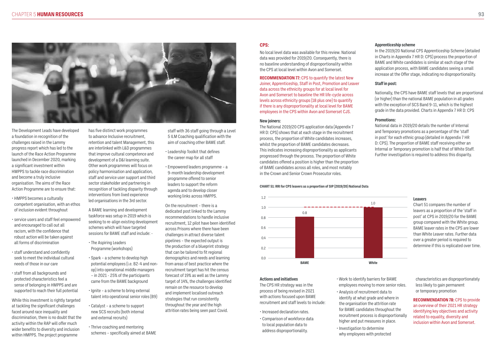![](_page_46_Picture_1.jpeg)

The Development Leads have developed a foundation in recognition of the challenges raised in the Lammy progress report which has led to the launch of the Race Action Programme launched in December 2020, marking a significant investment within HMPPS to tackle race discrimination and become a truly inclusive organisation. The aims of the Race Action Programme are to ensure that:

- HMPPS becomes a culturally competent organisation, with an ethos of inclusion evident throughout
- service users and staff feel empowered and encouraged to call out all racism, with the confidence that robust action will be taken against all forms of discrimination
- staff understand and confidently seek to meet the individual cultural needs of those in our care
- staff from all backgrounds and protected characteristics feel a sense of belonging in HMPPS and are supported to reach their full potential

While this investment is rightly targeted at tackling the significant challenges faced around race inequality and discrimination, there is no doubt that the activity within the RAP will offer much wider benefits to diversity and inclusion within HMPPS. The project programme

has five distinct work programmes to advance Inclusive recruitment, retention and talent Management, this are interlinked with L&D programmes that improve cultural competence and development of a D&I learning suite. Other work programmes will focus on policy harmonisation and application, staff and service user support and third sector stakeholder and partnering in recognition of tackling disparity through interventions from lived experience led organisations in the 3rd sector.

A BAME learning and development taskforce was setup in 2019 which is seeking to re-align existing development schemes which will have targeted sessions for BAME staff and include: -

- The Aspiring Leaders Programme (workshops)
- Spark a scheme to develop high potential employees (i.e. B2-4 and nonop) into operational middle managers – in 2021 - 25% of the participants came from the BAME background
- Ignite a scheme to bring external talent into operational senior roles (B9)
- Catalyst a scheme to support new SCS recruits (both internal and external recruits)
- Thrive coaching and mentoring schemes – specifically aimed at BAME

staff with 36 staff going through a Level 5 ILM Coaching qualification with the aim of coaching other BAME staff.

- Leadership Toolkit that defines the career map for all staff
- Empowered leaders programme a 9-month leadership development programme offered to senior leaders to support the reform agenda and to develop closer working links across HMPPS.

On the recruitment – there is a dedicated post linked to the Lammy recommendations to handle inclusive recruitment, 12 pilot have been identified across Prisons where there have been challenges in attract diverse talent pipelines – the expected output is the production of a blueprint strategy that can be tailored to fit regional demographics and needs and learning from areas of best practice where the recruitment target has hit the census forecast of 19% as well as the Lammy target of 14%, the challenges identified remain on the resource to develop and implement localised outreach strategies that run consistently throughout the year and the high attrition rates being seen past Covid.

### **CPS:**

No local level data was available for this review. National data was provided for 2019/20. Consequently, there is no baseline understanding of disproportionality within the CPS at local level within Avon and Somerset.

**RECOMMENDATION 77:** CPS to quantify the latest New Joiner, Apprenticeship, Staff in Post, Promotion and Leaver data across the ethnicity groups for at local level for Avon and Somerset to baseline the HR life-cycle across levels across ethnicity groups (18 plus one) to quantify if there is any disproportionality at local level for BAME employees in the CPS within Avon and Somerset CJS.

#### **New joiners:**

The National 2019/20 CPS application data (Appendix 7 HR D: CPS) shows that at each stage in the recruitment process, the proportion of White candidates increases, whilst the proportion of BAME candidates decreases. This indicates increasing disproportionality as applicants progressed through the process. The proportion of White candidates offered a position is higher than the proportion of BAME candidates across all roles, and most notably in the Crown and Senior Crown Prosecutor roles.

#### **Apprenticeship scheme**

In the 2019/20 National CPS Apprenticeship Scheme (detailed in Charts in Appendix 7 HR D: CPS) process the proportion of BAME and White candidates is similar at each stage of the application process, with BAME candidates seeing a small increase at the Offer stage, indicating no disproportionality.

#### **Staff in post:**

Nationally, the CPS have BAME staff levels that are proportional (or higher) than the national BAME population in all grades with the exception of SCS Band 9-11, which is the highest grade in the data provided. Charts in Appendix 7 HR D: CPS

#### **Promotions:**

National data in 2019/20 details the number of Internal and Temporary promotions as a percentage of the 'staff in post' for each ethnic group (detailed in Appendix 7 HR D: CPS). The proportion of BAME staff receiving either an Internal or Temporary promotion is half that of White Staff. Further investigation is required to address this disparity.

- 
- 
- 
- 
- 
- 
- 

#### **Leavers**

Chart 51 compares the number of leavers as a proportion of the 'staff in post' at CPS in 2019/20 for the BAME group compared with the White group. BAME leaver rates in the CPS are lower than White Leaver rates. Further data over a greater period is required to determine if this is replicated over time.

#### **CHART 51: RRI for CPS leavers as a proportion of SIP (2019/20) National Data**

![](_page_46_Figure_25.jpeg)

#### **Actions and initiatives**

The CPS HR strategy was in the process of being revised in 2021 with actions focused upon BAME recruitment and staff levels to include:

- Increased declaration rates.
- Comparison of workforce data to local population data to address disproportionality.

• Work to identify barriers for BAME employees moving to more senior roles.

• Analysis of recruitment data to identify at what grade and where in the organisation the attrition rate for BAME candidates throughout the recruitment process is disproportionally higher and put measures in place.

• Investigation to determine why employees with protected characteristics are disproportionately less likely to gain permanent or temporary promotion

**RECOMMENDATION 78:** CPS to provide an overview of their 2021 HR strategy identifying key objectives and activity related to equality, diversity and inclusion within Avon and Somerset.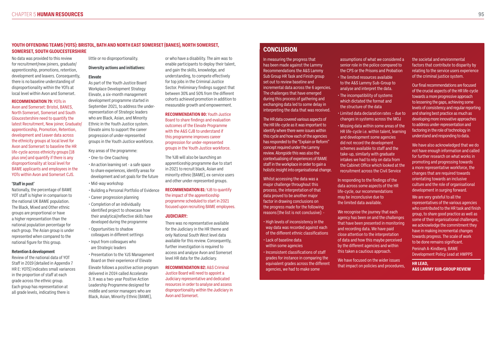### **YOUTH OFFENDING TEAMS (YOTS): BRISTOL, BATH AND NORTH EAST SOMERSET (BANES), NORTH SOMERSET, SOMERSET, SOUTH GLOUCESTERSHIRE**

No data was provided to this review for recruitment/new joiners, graduate/ apprenticeship, promotions, retention, development and leavers. Consequently, there is no baseline understanding of disproportionality within the YOTs at local level within Avon and Somerset.

#### **RECOMMENDATION 79:** YOTs in

Avon and Somerset: Bristol, BANES, North Somerset, Somerset and South Gloucestershire need to quantify the latest Recruitment, New joiner, Graduate/ apprenticeship, Promotion, Retention, development and Leaver data across the ethnicity groups at local level for Avon and Somerset to baseline the HR life-cycle across ethnicity groups (18 plus one) and quantify if there is any disproportionality at local level for BAME applicants and employees in the YOTs within Avon and Somerset CJS.

#### **'Staff in post'**

Nationally, the percentage of BAME YOT staff is higher in comparison to the national UK BAME population. The Black, Mixed and Other ethnic groups are proportional or have a higher representation than the national population percentage for each group. The Asian group is under represented when compared to the national figure for this group.

#### **Retention & development**

Review of the national data of YOT Staff in 2019 (detailed in Appendix 7 HR E: YOTS) indicates small variances in the proportion of staff at each grade across the ethnic group. Each group has representation at all grade levels, indicating there is

little or no disproportionality.

#### **Diversity actions and initiatives:**

#### **Elevate**

As part of the Youth Justice Board Workplace Development Strategy Elevate, a six-month management development programme started in September 2021, to address the underrepresentation of Strategic leaders who are Black, Asian, and Minority Ethnic in the Youth Justice system. Elevate aims to support the career progression of under-represented groups in the Youth Justice workforce.

Key areas of the programme:

- One-to-One Coaching
- An action learning set a safe space to share experiences, identify areas for development and set goals for the future • Mid-way workshop
- Building a Personal Portfolio of Evidence
- Career progression planning
- Completion of an individually identified project to showcase how their analytical/reflective skills have developed during the programme
- Opportunities to shadow colleagues in different settings
- Input from colleagues who are Strategic leaders
- Presentation to the YJS Management Board on their experience of Elevate
- Elevate follows a positive action program delivered in 2014 called Accelerate 3. It was a two-year Positive Action Leadership Programme designed for middle and senior managers who are Black, Asian, Minority Ethnic (BAME),
- High levels of inconsistency in the way data was recorded against each of the different ethnic classifications
- Lack of baseline data within some agencies
- Inconsistent classifications of staff grades for instance in comparing the equivalent grades across the different agencies, we had to make some

or who have a disability. The aim was to enable participants to deploy their talent, and gain the skills, knowledge, and understanding, to compete effectively for top jobs in the Criminal Justice Sector. Preliminary findings suggest that between 30% and 50% from the different cohorts achieved promotion in addition to measurable growth and empowerment.

#### **RECOMMENDATION 80:** Youth Justice

Board to share findings and evaluation outcomes of the Elevate Programme with the A&S CJB to understand if this programme improves career progression for under-represented groups in the Youth Justice workforce.

The YJB will also be launching an apprenticeship programme due to start in 2021 to recruit black, Asian and minority ethnic (BAME), ex-service users and other under-represented groups.

#### **RECOMMENDATION 81:** YJB to quantify the impact of the apprenticeship programme scheduled to start in 2021 focused upon recruiting BAME employees.

#### **JUDICIARY:**

There was no representative available for the Judiciary in the HR theme and only National South West level data available for this review. Consequently, further investigation is required to access and analyse Avon and Somerset level HR data for the Judiciary.

**RECOMMENDATION 82:** A&S Criminal Justice Board will need to appoint a Judiciary representative and dedicated resources in order to analyse and assess disproportionality within the Judiciary in Avon and Somerset.

# **CONCLUSION**

In measuring the progress that has been made against the Lammy Recommendations the A&S Lammy Sub Group HR Task and Finish group set out to review baseline and incremental data across the 6 agencies. The challenges that have emerged during this process of gathering and exchanging data led to some delay in interpreting the data that was received.

The HR data covered various aspects of the HR life-cycle as it was important to identify where there were issues within this cycle and how each of the agencies has responded to the "Explain or Reform" concept required under the Lammy review. Alongside this was also the contextualising of experiences of BAME staff in the workplace in order to gain a holistic insight into organisational change.

Whilst accessing the data was a major challenge throughout this process, the interpretation of that data proved to be another major factor in drawing conclusions on the progress made for the following reasons (the list is not conclusive): -

assumptions of what we considered a senior role in the police compared to the CPS or the Prisons and Probation

- The limited resources available to the A&S Lammy Sub-Group to analyse and interpret the data.
- The incompatibility of systems which dictated the format and the structure of the data • Limited data declaration rates – due to
	- Missing data within some areas of the HR life-cycle i.e. within talent, learning and development some agencies did not record the development schemes available to staff and the

changes in systems across the MOJ

take-up, similarly with graduate intakes we had to rely on data from the Cabinet Office which looked at the recruitment across the Civil Service

In responding to the findings of the data across some aspects of the HR life-cycle, our recommendations may be inconclusive due to the limited data available.

We recognise the journey that each agency has been on and the challenges that have been presented in monitoring and recording data. We have paid close attention to the interpretation of data and how this maybe perceived by the different agencies and within this taken a cautious approach.

We have focused on the wider issues that impact on policies and procedures,

the societal and environmental factors that contribute to disparity by relating to the service users experience of the criminal justice system.

Our final recommendations are focused of the crucial aspects of the HR life-cycle towards a more progressive approach to lessening the gaps, achieving some levels of consistency and regular reporting and sharing best practice as much as developing more innovative approaches to address under-representation and factoring in the role of technology in understand and responding to data.

We have also acknowledged that we do not have enough information and called for further research on what works in promoting and progressing towards a more representative workforce, the changes that are required towards orientating towards an inclusive culture and the role of organisational development in surging forward. We are very grateful to all the representatives of the various agencies who contributed to the HR task and finish group, to share good practice as well as some of their organisational challenges, we acknowledge the commitment they have in making incremental changes towards progress. The scale of work to be done remains significant.

Peninah A-Kindberg, BAME Development Policy Lead at HMPPS

**HR LEAD, A&S LAMMY SUB-GROUP REVIEW**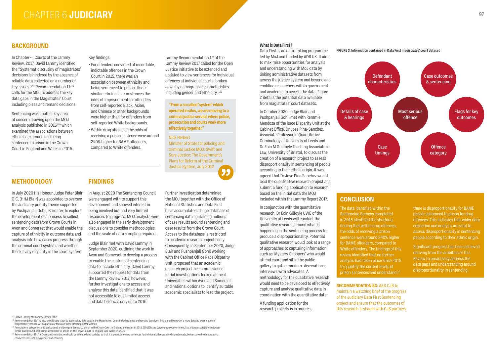# **BACKGROUND**

# **METHODOLOGY FINDINGS**

In Chapter 4: Courts of the Lammy Review, 2017, David Lammy identified the "Systematic scrutiny of magistrates' decisions is hindered by the absence of reliable data collected on a number of key issues."<sup>147</sup> Recommendation  $11^{148}$ calls for the MOJ to address the key data gaps in the Magistrates' Court including pleas and remand decisions.

Sentencing was another key area of concern drawing upon the MOJ analysis published in 2016<sup>149</sup> which examined the associations between ethnic background and being sentenced to prison in the Crown Court in England and Wales in 2015. Key findings:

- For offenders convicted of recordable, indictable offences in the Crown Court in 2015, there was an association between ethnicity and being sentenced to prison. Under similar criminal circumstances the odds of imprisonment for offenders from self-reported Black, Asian, and Chinese or other backgrounds were higher than for offenders from self-reported White backgrounds.
- Within drug offences, the odds of receiving a prison sentence were around 240% higher for BAME offenders, compared to White offenders.

Lammy Recommendation 12 of the Lammy Review 2017 called for the Open Justice initiative to be extended and updated to view sentences for individual offences at individual courts, broken down by demographic characteristics including gender and ethnicity. 150

In August 2020 The Sentencing Council were engaged with to support this development and showed interest in being involved but had very limited resources to progress. MOJ analysts were also engaged in the early development discussions to consider methodologies and the scale of data sampling required.

Judge Blair met with David Lammy in September 2020, outlining the work in Avon and Somerset to develop a process to enable the capture of sentencing data to include ethnicity. David Lammy supported the request for data from the Lammy Review 2017, however, further investigations to access and analyse this data identified that it was not accessible to due limited access and data held was only up to 2016.

Further investigation determined the MOJ together with the Office of National Statistics and Data First have accumulated a huge database of sentencing data containing millions of case results around sentencing and case results from the Crown Court. Access to the database is restricted to academic research projects only. Consequently, in September 2020, Judge Blair and Pushpanjali Gohil working with the Cabinet Office Race Disparity Unit, proposed that an academic research project be commissioned. Initial investigations looked at local Universities within Avon and Somerset and national options to identify suitable academic specialists to lead the project.

In July 2020 His Honour Judge Peter Blair Q.C. (HHJ Blair) was appointed to oversee the Judiciary priority theme supported by Pushpanjali Gohil, Barrister, to explore the development of a process to collect sentencing data from Crown Courts in Avon and Somerset that would enable the capture of ethnicity in outcome data and analysis into how cases progress through the criminal court system and whether there is any disparity in the court system.

- 148 Recommendation 11: The MoJ should take steps to address key data gaps in the Magistrates' Court including pleas and remand decisions. This should be part of a more detailed examination of magistrates' verdicts, with a particular focus on those affecting BAME women.
- 149 Associations between ethnic background and being sentenced to prison in the Crown Court in England and Wales in 2015. (2016) https://www.gov.uk/government/statistics/associations-betweenethnic-background-and-being-sentenced-to-prison-in-the-crown-court-in-england-and-wales-in-2015
- 150 Recommendation 12: The Open Justice initiative should be extended and updated so that it is possible to view sentences for individual offences at individual courts, broken down by demographic characteristics including gender and ethnicity.

#### **What is Data First?**

Data First is an data-linking programme led by MoJ and funded by ADR UK. It aims to maximise opportunities for analysis and understanding with MoJ data by linking administrative datasets from across the justice system and beyond and enabling researchers within government and academia to access the data. Figure 2 details the potential data available from magistrates' court datasets.

In October 2020 Judge Blair and Pushpanjali Gohil met with Remmie Mendoza of the Race Disparity Unit at the Cabinet Office, Dr Jose Pina-Sánchez, Associate Professor in Quantitative Criminology at University of Leeds and Dr Eoin M Guilfoyle Teaching Associate in Law, University of Bristol, to discuss the creation of a research project to assess disproportionality in sentencing of people according to their ethnic origin. It was agreed that Dr Jose Pina Sanchez would lead the quantitative research project and submit a funding application to research based on the initial data the MOJ included within the Lammy Report 2017.

In conjunction with the quantitative research, Dr Eoin Gilfoyle UWE of the University of Leeds will conduct the qualitative research around what is happening in the sentencing process to produce a disproportionality. Potential qualitative research would look at a range of approaches to capturing information such as 'Mystery Shoppers' who would attend court and sit in the public gallery to gather random observations; interviews with advocates. A methodology for the qualitative research would need to be developed to effectively capture and analyse qualitative data in coordination with the quantitative data.

A funding application for the research projects is in progress.

**RECOMMENDATION 83:** A&S CJB to maintain a watching brief of the progress of the Judiciary Data First Sentencing project and ensure that the outcomes of this research is shared with CJS partners.

147 1 David Lammy MP, Lammy Review 2017.

**"From a so called 'system' which operated in silos, we are moving to a criminal justice service where police, prosecution and courts work more effectively together."**

#### Nick Herbert

Minister of State for policing and criminal justice MOJ: Swift and Sure Justice: The Government's Plans for Reform of the Criminal Justice System, July 2012

![](_page_48_Picture_11.jpeg)

# **CONCLUSION**

The data identified within the Sentencing Surveys completed in 2015 identified the shocking finding that within drug offences, the odds of receiving a prison sentence were around 240% higher for BAME offenders, compared to White offenders. The findings of this review identified that no further analysis had taken place since 2015 to quantify the current levels of prison sentences and understand if

there is disproportionality for BAME people sentenced to prison for drug offences. This indicates that wider data collection and analysis are vital to assess disproportionality in sentencing people according to their ethnic origin.

Significant progress has been achieved deriving from the ambition of this Review to proactively address the data gaps and understanding around disproportionality in sentencing.

#### **FIGURE 3: Information contained in Data First magistrates' court dataset**

![](_page_48_Figure_23.jpeg)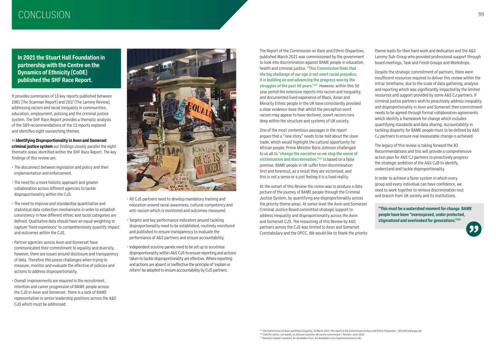# CONCLUSION **<sup>99</sup>**

The Report of the Commission on Race and Ethnic Disparities, published March 2021 was commissioned by the government to look into discrimination against BAME people in education, health and criminal justice. **"This Commission finds that the big challenge of our age is not overt racial prejudice, it is building on and advancing the progress won by the struggles of the past 50 years."151** However, within this 50 year period the extensive reports into racism and inequality, and documented lived experience of Black, Asian and Minority Ethnic people in the UK have consistently provided a clear evidence-base that whilst the perception overt racism may appear to have declined, covert racism runs deep within the structure and systems of UK society.

One of the most contentious passages in the report argues that a "new story" needs to be told about the slave trade, which would highlight the cultural opportunity for African people. Prime Minister Boris Johnson challenged to us all to **"change the narrative so we stop the sense of victimisation and discrimination,"152** is based on a false premise. BAME people in UK suffer from discrimination first and foremost, as a result they are victimised, and this is not a sense or a just feeling it is a lived reality.

At the outset of this Review the vision was to produce a data picture of the journey of BAME people through the Criminal Justice System, by quantifying any disproportionality across the priority theme areas. At senior level the Avon and Somerset Criminal Justice Board committed strategic support to address inequality and disproportionality across the Avon and Somerset CJS. The resourcing of this Review by A&S partners across the CJS was limited to Avon and Somerset Constabulary and the OPCC. We would like to thank the priority theme leads for their hard work and dedication and the A&S Lammy Sub-Group who provided professional support through board meetings, Task and Finish Groups and Workshops.

Despite the strategic commitment of partners, there were insufficient resources required to deliver this review within the initial timeframe, due to the scale of data gathering, analysis and reporting which was significantly impacted by the limited resources and support provided by some A&S CJ partners. If criminal justice partners wish to proactively address inequality and disproportionality in Avon and Somerset then commitment needs to be agreed through formal collaboration agreements which identify a framework for change which includes quantifying standards and data sharing. Accountability in tackling disparity for BAME people must to be defined by A&S CJ partners to ensure real measurable change is achieved.

The legacy of this review is taking forward the 83 Recommendations and this will provide a comprehensive action plan for A&S CJ partners to proactively progress the strategic ambition of the A&S CJB to identify, understand and tackle disproportionality.

In order to achieve a fairer system in which every group and every individual can have confidence, we need to work together to remove discrimination root and branch from UK society and its institutions.

**"This must be a watershed moment for change. BAME people have been "overexposed, under protected, stigmatised and overlooked for generations."153**

![](_page_49_Picture_22.jpeg)

**In 2021 the Stuart Hall Foundation in partnership with the Centre on the Dynamics of Ethnicity (CoDE) published the SHF Race Report.**

It provides summaries of 13 key reports published between 1981 (The Scarman Report) and 2017 (The Lammy Review), addressing racism and racial inequality in communities, education, employment, policing and the criminal justice system. The SHF Race Report provides a thematic analysis of the 589 recommendations of the 13 reports explored and identifies eight overarching themes.

In **Identifying Disproportionality in Avon and Somerset criminal justice system** our findings closely parallel the eight thematic areas identified within the SHF Race Report. The key findings of this review are:

- The disconnect between legislation and policy and their implementation and enforcement.
- The need for a more holistic approach and greater collaboration across different agencies to tackle disproportionality within the CJS.
- The need to improve and standardise quantitative and statistical data collection mechanisms in order to establish consistency in how different ethnic and racial categories are defined. Qualitative data should have an equal weighting to capture 'lived experience' to comprehensively quantify impact and outcomes within the CJS.
- Partner agencies across Avon and Somerset have communicated their commitment to equality and diversity, however, there are issues around disclosure and transparency of data. Therefore this poses challenges when trying to measure, monitor and evaluate the effective of policies and actions to address disproportionality.
- Overall improvements are required in the recruitment, retention and career progression of BAME people across the CJS in Avon and Somerset. There is a lack of BAME representation in senior leadership positions across the A&S CJS which must be addressed.

![](_page_49_Picture_9.jpeg)

- All CJS partners need to develop mandatory training and education around racial awareness, cultural competency and anti-racism which is monitored and outcomes measured.
- Targets and key performance indicators around tackling disproportionality need to be established, routinely monitored and published to ensure transparency to evaluate the performance of A&S partners and ensure accountability.
- Independent scrutiny panels need to be set up to scrutinise disproportionality within A&S CJS to ensure reporting and actions taken to tackle disproportionality are effective. Where reporting and actions are absent or ineffective the principle of 'explain or reform' be adopted to ensure accountability by CJS partners.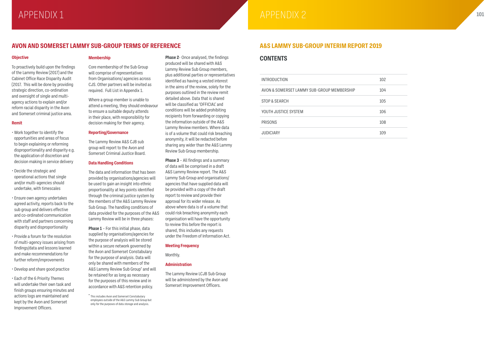### **Objective**

To proactively build upon the findings of the Lammy Review (2017) and the Cabinet Office Race Disparity Audit (2017. This will be done by providing strategic direction, co-ordination and oversight of single and multiagency actions to explain and/or reform racial disparity in the Avon and Somerset criminal justice area.

#### **Remit**

- Work together to identify the opportunities and areas of focus to begin explaining or reforming disproportionality and disparity e.g. the application of discretion and decision making in service delivery
- Decide the strategic and operational actions that single and/or multi-agencies should undertake, with timescales
- Ensure own agency undertakes agreed activity, reports back to the sub group and delivers effective and co-ordinated communication with staff and partners concerning disparity and disproportionality
- Provide a forum for the resolution of multi-agency issues arising from findings/data and lessons learned and make recommendations for further reform/improvements
- Develop and share good practice
- Each of the 6 Priority Themes will undertake their own task and finish groups ensuring minutes and actions logs are maintained and kept by the Avon and Somerset Improvement Officers.

### **Membership**

Core membership of the Sub Group will comprise of representatives from Organisations/ agencies across CJS. Other partners will be invited as required. Full List in Appendix 1.

Where a group member is unable to attend a meeting, they should endeavour to ensure a suitable deputy attends in their place, with responsibility for decision making for their agency.

#### **Reporting/Governance**

The Lammy Review A&S CJB sub group will report to the Avon and Somerset Criminal Justice Board.

#### **Data Handling Conditions**

# APPENDIX 1 **101** APPENDIX 2

# AVON AND SOMERSET LAMMY SUB-GROUP TERMS OF REFERENCE AND ASS LAMMY SUB-GROUP INTERIM REPORT 2019

The data and information that has been provided by organisations/agencies will be used to gain an insight into ethnic proportionality at key points identified through the criminal justice system by the members of the A&S Lammy Review Sub Group. The handling conditions of data provided for the purposes of the A&S Lammy Review will be in three phases:

**Phase 1** – For this initial phase, data supplied by organisations/agencies for the purpose of analysis will be stored within a secure network governed by the Avon and Somerset Constabulary for the purpose of analysis. Data will only be shared with members of the A&S Lammy Review Sub Group\* and will be retained for as long as necessary for the purposes of this review and in accordance with A&S retention policy.

**Phase 2**- Once analysed, the findings produced will be shared with A&S Lammy Review Sub Group members, plus additional parties or representatives identified as having a vested interest in the aims of the review, solely for the purposes outlined in the review remit detailed above. Data that is shared will be classified as 'OFFICIAL' and conditions will be added prohibiting recipients from forwarding or copying the information outside of the A&S Lammy Review members. Where data is of a volume that could risk breaching anonymity, it will be redacted before sharing any wider than the A&S Lammy Review Sub Group membership.

**Phase 3** – All findings and a summary of data will be comprised in a draft A&S Lammy Review report. The A&S Lammy Sub Group and organisations/ agencies that have supplied data will be provided with a copy of the draft report to review and provide their approval for its wider release. As above where data is of a volume that could risk breaching anonymity each organisation will have the opportunity to review this before the report is shared, this includes any requests under the Freedom of Information Act.

### **Meeting Frequency**

Monthly.

### **Administration**

The Lammy Review LCJB Sub Group will be administered by the Avon and Somerset Improvement Officers.

# **CONTENTS**

#### **INTRODUCTION**

AVON & SOMERSET LAMMY SUB-GROUP MEMBERSHIP

STOP & SEARCH

YOUTH JUSTICE SYSTEM

PRISONS

**JUDICIARY** 

![](_page_50_Picture_35.jpeg)

| 102 |
|-----|
| 104 |
| 105 |
| 106 |
| 108 |
| 109 |

<sup>\*</sup> This includes Avon and Somerset Constabulary employees outside of the A&S Lammy Sub Group but only for the purposes of data storage and analysis.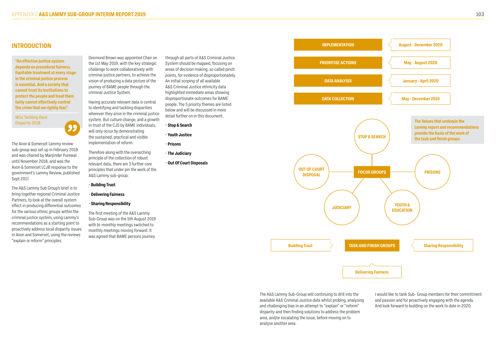### **INTRODUCTION**

The Avon & Somerset Lammy review sub-group was set up in February 2018 and was chaired by Manjinder Purewal

until November 2018, and was the Avon & Somerset LCJB response to the government's Lammy Review, published Sept 2017.

The A&S Lammy Sub Group's brief is to bring together regional Criminal Justice Partners, to look at the overall system effect in producing differential outcomes for the various ethnic groups within the criminal justice system, using Lammy's recommendations as a starting point to proactively address local disparity issues in Avon and Somerset, using the reviews "explain or reform" principles.

Desmond Brown was appointed Chair on the 1st May 2019, with the key strategic challenge to work collaboratively with criminal justice partners, to achieve the vision of producing a data picture of the journey of BAME people through the criminal Justice System.

Having accurate relevant data is central to identifying and tackling disparities wherever they arise in the criminal justice system. But culture change, and a growth in trust of the CJS by BAME individuals, will only occur by demonstrating the sustained, practical and visible implementation of reform.

Therefore along with the overarching principle of the collection of robust relevant data, there are 3 further core principles that under pin the work of the A&S Lammy sub-group:

- **Building Trust**
- **Delivering Fairness**
- **Sharing Responsibility**

The first meeting of the A&S Lammy Sub-Group was on the 5th August 2019 with bi-monthly meetings switched to monthly meetings moving forward. It was agreed that BAME persons journey

through all parts of A&S Criminal Justice System should be mapped, focusing on areas of decision making, so called pinch points, for evidence of disproportionately. An initial scoping of all available A&S Criminal Justice ethnicity data highlighted immediate areas showing disproportionate outcomes for BAME people. The 5 priority themes are listed below and will be discussed in more detail further on in this document.

- **Stop & Search**
- **Youth Justice**
- **Prisons**
- **The Judiciary**
- **Out Of Court Disposals**

The A&S Lammy Sub-Group will continuing to drill into the available A&S Criminal Justice data whilst probing, analysing and challenging bias in an attempt to "explain" or "reform" disparity and then finding solutions to address the problem area, and/or escalating the issue, before moving on to analyse another area.

I would like to tank Sub- Group members for their commitment and passion and for proactively engaging with the agenda. And look forward to building on the work to date in 2020.

**"An effective justice system depends on procedural fairness. Equitable treatment at every stage in the criminal justice process is essential. And a society that cannot trust its institutions to protect the people and treat them fairly cannot effectively control the crime that we rightly fear."**

MOJ Tackling Race

![](_page_51_Figure_20.jpeg)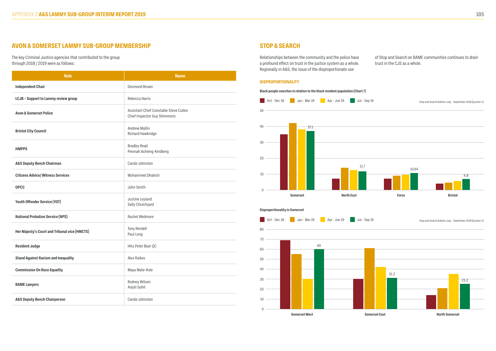# **AVON & SOMERSET LAMMY SUB-GROUP MEMBERSHIP**

The key Criminal Justice agencies that contributed to the group through 2018 / 2019 were as follows:

| <b>Role</b>                                   | <b>Name</b>                                                            |
|-----------------------------------------------|------------------------------------------------------------------------|
| <b>Independent Chair</b>                      | <b>Desmond Brown</b>                                                   |
| <b>LCJB - Support to Lammy review group</b>   | Rebecca Harris                                                         |
| <b>Avon &amp; Somerset Police</b>             | Assistant Chief Constable Steve Cullen<br>Chief Inspector Guy Shimmons |
| <b>Bristol City Council</b>                   | <b>Andrew Mallin</b><br>Richard Hawkridge                              |
| <b>HMPPS</b>                                  | <b>Bradley Read</b><br>Peninah Achieng-Kindberg                        |
| <b>A&amp;S Deputy Bench Chairman</b>          | Carole Johnston                                                        |
| <b>Citizens Advice/ Witness Services</b>      | <b>Mohammed Dhalech</b>                                                |
| <b>OPCC</b>                                   | John Smith                                                             |
| Youth Offender Service (YOT)                  | Justine Leyland<br>Sally Churchyard                                    |
| <b>National Probation Service (NPS)</b>       | Rachel Wedmore                                                         |
| Her Majesty's Court and Tribunal vice (HMCTS) | Tony Rendell<br>Paul Long                                              |
| <b>Resident Judge</b>                         | HHJ.Peter Blair QC                                                     |
| <b>Stand Against Racism and Inequality</b>    | <b>Alex Raikes</b>                                                     |
| <b>Commission On Race Equality</b>            | Maya Mate-Kole                                                         |
| <b>BAME Lawyers</b>                           | Rodney Wilson<br>Anjoli Gohil                                          |
| <b>A&amp;S Deputy Bench Chairperson</b>       | Carole Johnston                                                        |

# **STOP & SEARCH**

#### **DISPROPORTIONALITY**

Relationships between the community and the police have a profound effect on trust in the justice system as a whole. Regionally in A&S, the issue of the disproportionate use

### of Stop and Search on BAME communities continues to drain trust in the CJS as a whole.

![](_page_52_Figure_13.jpeg)

**Black people searches in relation to the black resident population (Chart 7)**

![](_page_52_Figure_9.jpeg)

![](_page_52_Figure_8.jpeg)

![](_page_52_Figure_10.jpeg)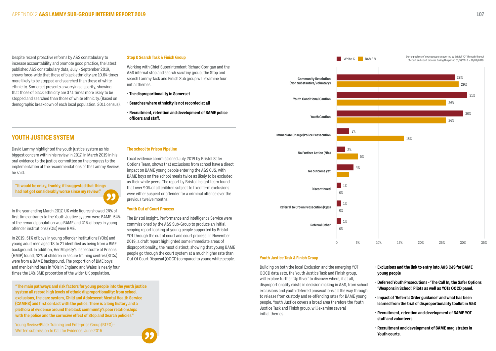Despite recent proactive reforms by A&S constabulary to increase accountability and promote good practice, the latest published A&S constabulary data, July - September 2019, shows force-wide that those of black ethnicity are 10.64 times more likely to be stopped and searched than those of white ethnicity. Somerset presents a worrying disparity, showing that those of black ethnicity are 37.1 times more likely to be stopped and searched than those of white ethnicity. (Based on demographic breakdown of each local population. 2011 census).

#### **Stop & Search Task & Finish Group**

Working with Chief Superintendent Richard Corrigan and the A&S internal stop and search scrutiny group, the Stop and search Lammy Task and Finish Sub group will examine four initial themes.

- **The disproportionality in Somerset**
- **Searches where ethnicity is not recorded at all**
- **Recruitment, retention and development of BAME police officers and staff.**

#### **Youth Justice Task & Finish Group**

Building on both the local Exclusion and the emerging YOT OOCD data sets, the Youth Justice Task and Finish group, will explore further 'Up River' to discover where, if at all, disproportionality exists in decision making in A&S, from school exclusions and youth deferred prosecutions all the way through to release from custody and re-offending rates for BAME young people. Youth Justice covers a broad area therefore the Youth Justice Task and Finish group, will examine several initial themes.

- **Exclusions and the link to entry into A&S CJS for BAME young people**
- **Deferred Youth Prosecutions 'The Call In, the Safer Options 'Weapons in School' Pilots as well as YOTs OOCD panel.**
- **Impact of 'Referral Order guidance' and what has been learned from the trial of disproportionality toolkit in A&S**
- **Recruitment, retention and development of BAME YOT staff and volunteers**
- **Recruitment and development of BAME magistrates in Youth courts.**

![](_page_53_Figure_7.jpeg)

David Lammy highlighted the youth justice system as his biggest concern within his review in 2017. In March 2019 in his oral evidence to the justice committee on the progress to the implementation of the recommendations of the Lammy Review, he said:

Demographics of young people supported by Bristol YOT through the out<br>Court and court process during the period 01/10/2018 - 30/09/2019 of court and court process during the period 01/10/2018 – 30/09/2019.

In the year ending March 2017, UK wide figures showed 24% of first time entrants to the Youth Justice system were BAME, 54% of the remand population was BAME and 41% of boys in young offender institutions (YOIs) were BME.

In 2019, 51% of boys in young offender institutions (YOIs) and young adult men aged 18 to 21 identified as being from a BME background. In addition, Her Majesty's Inspectorate of Prisons (HMIP) found, 42% of children in secure training centres (STCs) were from a BAME background. The proportion of BME boys and men behind bars in YOIs in England and Wales is nearly four times the 14% BME proportion of the wider UK population.

#### **The school to Prison Pipeline**

Local evidence commissioned July 2019 by Bristol Safer Options Team, shows that exclusions from school have a direct impact on BAME young people entering the A&S CJS, with BAME boys on free school meals twice as likely to be excluded as their white peers. The report by Bristol Insight team found that over 90% of all children subject to fixed term exclusions were either suspect or offender for a criminal offence over the previous twelve months.

#### **Youth Out of Court Process**

The Bristol Insight, Performance and Intelligence Service were commissioned by the A&S Sub-Group to produce an initial scoping report looking at young people supported by Bristol YOT through the out of court and court process. In November 2019, a draft report highlighted some immediate areas of disproportionality, the most distinct, showing that young BAME people go through the court system at a much higher rate than Out Of Court Disposal (OOCD) compared to young white people.

**"The main pathways and risk factors for young people into the youth justice system all record high levels of ethnic disproportionality: from school exclusions, the care system, Child and Adolescent Mental Health Service (CAMHS) and first contact with the police. There is a long history and a plethora of evidence around the black community's poor relationships with the police and the corrosive effect of Stop and Search policies."**

Young Review/Black Training and Enterprise Group (BTEG) – Written submission to Call for Evidence: June 2016

![](_page_53_Figure_18.jpeg)

**"It would be crazy, frankly, if I suggested that things had not got considerably worse since my review."**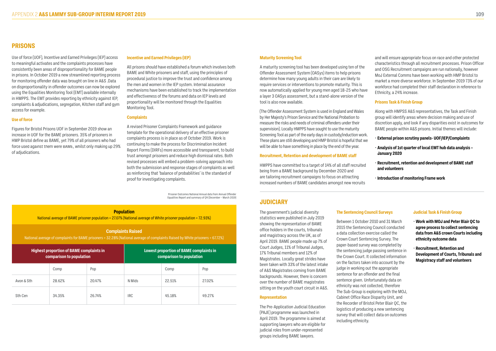Use of force (UOF), Incentive and Earned Privileges (IEP) access to meaningful activates and the complaints processes have consistently been areas of disproportionality for BAME people in prisons. In October 2019 a new streamlined reporting process for monitoring offender data was brought on line in A&S .Data on disproportionality in offender outcomes can now be explored using the Equalities Monitoring Tool (EMT) available internally in HMPPS. The EMT provides reporting by ethnicity against IEP, complaints & adjudications, segregation, Kitchen staff and gym access for example.

#### **Use of force**

Figures for Bristol Prisons UOF in September 2019 show an increase in UOF for the BAME prisoners. 35% of prisoners in HMP Bristol define as BAME, yet 79% of all prisoners who had force used against them were BAME, whilst only making up 29% of adjudications.

#### **Incentive and Earned Privileges (IEP)**

All prisons should have established a forum which involves both BAME and White prisoners and staff, using the principles of procedural justice to improve the trust and confidence among the men and women in the IEP system. Internal assurance mechanisms have been established to track the implementation and effectiveness of the forums and data on IEP levels and proportionality will be monitored through the Equalities Monitoring Tool.

#### **Complaints**

A revised Prisoner Complaints Framework and guidance template for the operational delivery of an effective prisoner complaints process is in place as of October 2019. Work is continuing to make the process for Discrimination Incident Report Forms (DIRFs) more accessible and transparent, to build trust amongst prisoners and reduce high dismissal rates. Both revised processes will embed a problem-solving approach into both the submission and response stages of complaints as well as reinforcing that 'balance of probabilities' is the standard of proof for investigating complaints.

#### **Maturity Screening Tool**

A maturity screening tool has been developed using ten of the Offender Assessment System (OASys) items to help prisons determine how many young adults in their care are likely to require services or interventions to promote maturity. This is now automatically applied for young men aged 18-25 who have a layer 3 OASys assessment, but a stand-alone version of the tool is also now available.

(The Offender Assessment System is used in England and Wales by Her Majesty's Prison Service and the National Probation to measure the risks and needs of criminal offenders under their supervision). Locally HMPPS have sought to use the maturity Screening Tool as part of the early days in custody/induction work. These plans are still developing and HMP Bristol is hopeful that we will be able to have something in place by the end of the year.

#### **Recruitment, Retention and development of BAME staff**

HMPPS have committed to a target of 14% of all staff recruited being from a BAME background by December 2020 and are tailoring recruitment campaigns to focus on attracting increased numbers of BAME candidates amongst new recruits

and will ensure appropriate focus on race and other protected characteristics through all recruitment processes. Prison Officer and OSG Recruitment campaigns are run nationally, however MoJ External Comms have been working with HMP Bristol to market a more diverse workforce. In September 2019 73% of our workforce had completed their staff declaration in reference to Ethnicity, a 24% increase.

### **Prisons Task & Finish Group**

Along with HMPSS A&S representatives, the Task and Finish group will identify areas where decision making and use of discretion apply, and look if any disparities exist in outcomes for BAME people within A&S prisons. Initial themes will include:

- **External prison scrutiny panels- UOF/IEP/Complaints**
- **Analysis of 1st quarter of local EMT hub data analysis January 2020**
- **Recruitment, retention and development of BAME staff and volunteers**
- **Introduction of monitoring Frame work**

### **PRISONS**

The government's judicial diversity statistics were published in July 2019 showing the representation of BAME office holders in the courts, tribunals and magistracy across the UK, as of April 2019. BAME people made up 7% of Court Judges, 11% of Tribunal Judges, 17% Tribunal members and 12% of Magistrates. Locally great strides have been taken with 33% of the latest intake of A&S Magistrates coming from BAME backgrounds. However, there is concern over the number of BAME magistrates sitting on the youth court circuit in A&S.

#### **Representation**

The Pre-Application Judicial Education (PAJE) programme was launched in April 2019. The programme is aimed at supporting lawyers who are eligible for judicial roles from under-represented groups including BAME lawyers.

#### **The Sentencing Council Surveys**

Between 1 October 2010 and 31 March 2015 the Sentencing Council conducted a data collection exercise called the Crown Court Sentencing Survey. The paper-based survey was completed by the sentencing judge passing sentence in the Crown Court. It collected information on the factors taken into account by the judge in working out the appropriate sentence for an offender and the final sentence given. Unfortunately data on ethnicity was not collected, therefore The Sub-Group is exploring with the MOJ, Cabinet Office Race Disparity Unit, and the Recorder of Bristol Peter Blair QC, the logistics of producing a new sentencing survey that will collect data on outcomes including ethnicity.

### **Judicial Task & Finish Group**

- **Work with MOJ and Peter Blair QC to agree process to collect sentencing data from A&S crown Courts including ethnicity outcome data**
- **Recruitment, Retention and Development of Courts, Tribunals and Magistracy staff and volunteers**

### **JUDICIARY**

Prisoner Outcomes National Annual data from Annual Offender Equalities Report and summary of Q4 (December – March 2019)

#### **Population**

National average of BAME prisoner population = 27.07% (National average of White prisoner population = 72.93%)

#### **Complaints Raised**

National average of complaints for BAME prisoners = 32.28% (National average of complaints Raised by White prisoners = 67.72%)

| <b>Highest proportion of BAME complaints in</b><br>comparison to population |        | <b>Lowest proportion of BAME complaints in</b><br>comparison to population |            |        |        |
|-----------------------------------------------------------------------------|--------|----------------------------------------------------------------------------|------------|--------|--------|
|                                                                             | Comp   | Pop                                                                        |            | Comp   | Pop    |
| Avon & Sth                                                                  | 28.62% | 20.47%                                                                     | N Mids     | 22.51% | 27.02% |
| Sth Cen                                                                     | 34.35% | 26.74%                                                                     | <b>IRC</b> | 45.18% | 49.27% |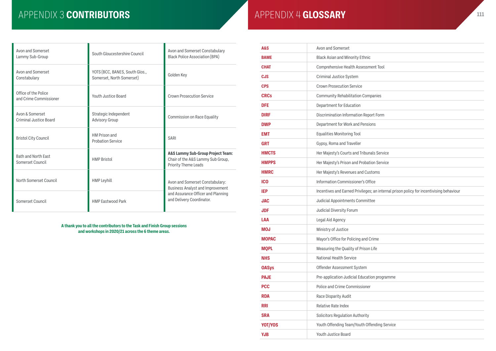| <b>A&amp;S</b> | Avon and Somerset                                                                       |
|----------------|-----------------------------------------------------------------------------------------|
| <b>BAME</b>    | <b>Black Asian and Minority Ethnic</b>                                                  |
| <b>CHAT</b>    | Comprehensive Health Assessment Tool                                                    |
| <b>CJS</b>     | Criminal Justice System                                                                 |
| <b>CPS</b>     | <b>Crown Prosecution Service</b>                                                        |
| <b>CRCs</b>    | <b>Community Rehabilitation Companies</b>                                               |
| <b>DFE</b>     | Department for Education                                                                |
| <b>DIRF</b>    | Discrimination Information Report Form                                                  |
| <b>DWP</b>     | Department for Work and Pensions                                                        |
| <b>EMT</b>     | <b>Equalities Monitoring Tool</b>                                                       |
| <b>GRT</b>     | Gypsy, Roma and Traveller                                                               |
| <b>HMCTS</b>   | Her Majesty's Courts and Tribunals Service                                              |
| <b>HMPPS</b>   | Her Majesty's Prison and Probation Service                                              |
| <b>HMRC</b>    | Her Majesty's Revenues and Customs                                                      |
| <b>ICO</b>     | Information Commissioner's Office                                                       |
| <b>IEP</b>     | Incentives and Earned Privileges; an internal prison policy for incentivising behaviour |
| <b>JAC</b>     | Judicial Appointments Committee                                                         |
| <b>JDF</b>     | Judicial Diversity Forum                                                                |
| LAA            | Legal Aid Agency                                                                        |
| MOJ            | Ministry of Justice                                                                     |
| <b>MOPAC</b>   | Mayor's Office for Policing and Crime                                                   |
| <b>MQPL</b>    | Measuring the Quality of Prison Life                                                    |
| <b>NHS</b>     | National Health Service                                                                 |
| <b>OASys</b>   | Offender Assessment System                                                              |
| <b>PAJE</b>    | Pre-application Judicial Education programme                                            |
| <b>PCC</b>     | Police and Crime Commissioner                                                           |
| <b>RDA</b>     | Race Disparity Audit                                                                    |
| <b>RRI</b>     | Relative Rate Index                                                                     |
| <b>SRA</b>     | <b>Solicitors Regulation Authority</b>                                                  |
| <b>YOT/YOS</b> | Youth Offending Team/Youth Offending Service                                            |
| <b>YJB</b>     | Youth Justice Board                                                                     |

| ٠ | ×. | ٠ |
|---|----|---|
|   |    |   |

| nt Tool                                               |
|-------------------------------------------------------|
|                                                       |
|                                                       |
| nies                                                  |
|                                                       |
| : Form                                                |
| S                                                     |
|                                                       |
|                                                       |
| s Service                                             |
| n Service                                             |
| ms                                                    |
| $\ddot{ }$                                            |
| an internal prison policy for incentivising behaviour |
| $\mathbf{e}$                                          |
|                                                       |
|                                                       |
|                                                       |
| me                                                    |
| fe                                                    |
|                                                       |
|                                                       |
| i programme                                           |
|                                                       |
|                                                       |
|                                                       |
|                                                       |
| ding Service                                          |
|                                                       |

# APPENDIX 3 CONTRIBUTORS **APPENDIX 4 GLOSSARY**

| Avon and Somerset<br>Lammy Sub-Group             | South Gloucestershire Council                               | Avon and Somerset Constabulary<br><b>Black Police Association (BPA)</b>                                   |
|--------------------------------------------------|-------------------------------------------------------------|-----------------------------------------------------------------------------------------------------------|
| Avon and Somerset<br>Constabulary                | YOTS (BCC, BANES, South Glos.,<br>Somerset, North Somerset) | Golden Key                                                                                                |
| Office of the Police<br>and Crime Commissioner   | Youth Justice Board                                         | <b>Crown Prosecution Service</b>                                                                          |
| Avon & Somerset<br><b>Criminal Justice Board</b> | Strategic Independent<br><b>Advisory Group</b>              | Commission on Race Equality                                                                               |
| <b>Bristol City Council</b>                      | <b>HM Prison and</b><br><b>Probation Service</b>            | <b>SARI</b>                                                                                               |
| <b>Bath and North East</b><br>Somerset Council   | <b>HMP Bristol</b>                                          | <b>A&amp;S Lammy Sub-Group Project Team:</b><br>Chair of the A&S Lammy Sub Group,<br>Priority Theme Leads |
| North Somerset Council                           | <b>HMP Leyhill</b>                                          | Avon and Somerset Constabulary:<br><b>Business Analyst and Improvement</b>                                |
| Somerset Council                                 | <b>HMP Eastwood Park</b>                                    | and Assurance Officer and Planning<br>and Delivery Coordinator.                                           |

#### **A thank you to all the contributors to the Task and Finish Group sessions and workshops in 2020/21 across the 6 theme areas.**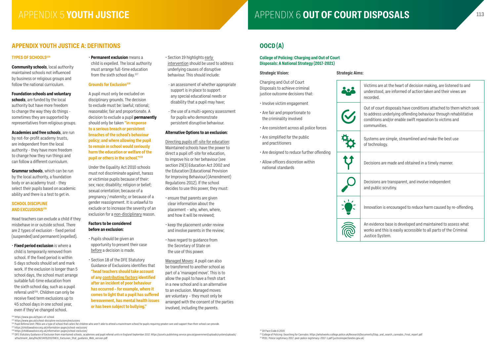# **APPENDIX YOUTH JUSTICE A: DEFINITIONS OOCD (A)**

#### **TYPES OF SCHOOLS154**

**Community schools**, local authority maintained schools not influenced by business or religious groups and follow the national curriculum.

**Foundation schools and voluntary schools**, are funded by the local authority but have more freedom to change the way they do things sometimes they are supported by representatives from religious groups.

**Academies and free schools**, are run by not-for-profit academy trusts, are independent from the local authority - they have more freedom to change how they run things and can follow a different curriculum.

#### **Grounds for Exclusion**<sup>158</sup>

**Grammar schools**, which can be run by the local authority, a foundation body or an academy trust - they select their pupils based on academic ability and there is a test to get in.

#### **SCHOOL DISCIPLINE AND EXCLUSIONS155**

Head teachers can exclude a child if they misbehave in or outside school. There are 2 types of exclusion - fixed period (suspended) and permanent (expelled).

• **Fixed period exclusion** is where a child is temporarily removed from school. If the fixed period is within 5 days schools should set and mark work. If the exclusion is longer than 5 school days, the school must arrange suitable full-time education from the sixth school day, such as a pupil referral unit<sup>156</sup>. Children can only be receive fixed term exclusions up to 45 school days in one school year, even if they've changed school.

A pupil must only be excluded on disciplinary grounds. The decision to exclude must be: lawful; rational; reasonable; fair and proportionate. A decision to exclude a pupil **permanently** should only be taken **"in response to a serious breach or persistent breaches of the school's behaviour policy; and where allowing the pupil to remain in school would seriously harm the education or welfare of the pupil or others in the school."159**

Under the Equality Act 2010 schools must not discriminate against, harass or victimise pupils because of their: sex; race; disability; religion or belief; sexual orientation; because of a pregnancy / maternity; or because of a gender reassignment. It is unlawful to exclude or to increase the severity of an exclusion for a non-disciplinary reason.

### **Factors to be considered before an exclusion:**

- Pupils should be given an opportunity to present their case before a decision is made.
- Section 18 of the DFE Statutory Guidance of Exclusions identifies that **"head teachers should take account of any contributing factors identified after an incident of poor behaviour has occurred – for example, where it comes to light that a pupil has suffered bereavement, has mental health issues or has been subject to bullying."**

APPENDIX 5 YOUTH JUSTICE **APPENDIX 6** OUT OF COURT DISPOSALS

Out of court disposals have conditions attached to them which seek to address underlying offending behaviour through rehabilitative conditions and/or enable swift reparation to victims and nunities.

ms are simple, streamlined and make the best use hnology.

ions are made and obtained in a timely manner.

ions are transparent, and involve independent ublic scrutiny.

ation is encouraged to reduce harm caused by re-offending.

- Section 19 highlights early intervention should be used to address underlying causes of disruptive behaviour. This should include:
- an assessment of whether appropriate support is in place to support any special educational needs or disability that a pupil may have;
- the use of a multi-agency assessment for pupils who demonstrate persistent disruptive behaviour.

idence base is developed and maintained to assess what and this is easily accessible to all parts of the Criminal Justice System.

#### **Alternative Options to an exclusion:**

Directing pupils off-site for education: Maintained schools have the power to direct a pupil off-site for education, to improve his or her behaviour (see section 29(3) Education Act 2002 and the Education (Educational Provision for Improving Behaviour) (Amendment) Regulations 2012). If the school decides to use this power, they must:

- ensure that parents are given clear information about the placement – why, when, where, and how it will be reviewed;
- keep the placement under review and involve parents in the review;
- have regard to guidance from the Secretary of State on the use of this power.

Managed Moves: A pupil can also be transferred to another school as part of a 'managed move'. This is to allow the pupil to have a fresh start in a new school and is an alternative to an exclusion. Managed moves are voluntary – they must only be arranged with the consent of the parties involved, including the parents.

#### **College of Policing: Charging and Out of Court Disposals: A National Strategy (2017-2021)**

#### **Strategic Vision:**

Charging and Out of Court Disposals to achieve criminal justice outcome decisions that:

- Involve victim engagement
- Are fair and proportionate to the criminality involved
- Are consistent across all police forces
- Are simplified for the public and practitioners
- Are designed to reduce further offending
- Allow officers discretion within national standards

|    | uullul<br>comm           |
|----|--------------------------|
| RE | Syste<br>of tec          |
|    | Decisi                   |
|    | Decisi<br>and p          |
|    | Innova                   |
|    | An ev<br>works<br>Justic |

**Strategic Aims:**

202

 $\blacktriangledown$ 

<sup>159</sup> DFE Statutory Guidance of Exclusion from maintained schools, academies and pupil referral units in England September 2017. https://assets.publishing.service.gov.uk/government/uploads/system/uploads/ attachment\_data/file/921405/20170831\_Exclusion\_Stat\_guidance\_Web\_version.pdf

<sup>32</sup> 19 Pace Code A 2015

Victims are at the heart of decision making, are listened to and understood, are informed of action taken and their views are recorded.

<sup>•</sup> **Permanent exclusion** means a child is expelled. The local authority must arrange full-time education from the sixth school day.<sup>157</sup>

<sup>33</sup> College of Policing: Searching for Cannabis: https://whatworks.college.police.uk/Research/Documents/Stop\_and\_search\_cannabis\_Final\_report.pdf <sup>34</sup> PEEL: Police Legitimacy 2017: peel-police-legitimacy-2017-1.pdf (justiceinspectorates.gov.uk)

<sup>154</sup> https://www.gov.uk/types-of-school

<sup>155</sup> https://www.gov.uk/school-discipline-exclusions/exclusions

<sup>156</sup> Pupil Referral Unit: PRUs are a type of school that caters for children who aren't able to attend a mainstream school for pupils requiring greater care and support than their school can provide

<sup>157</sup> https://childlawadvice.org.uk/information-pages/school-exclusion/

<sup>158</sup> https://childlawadvice.org.uk/information-pages/school-exclusion/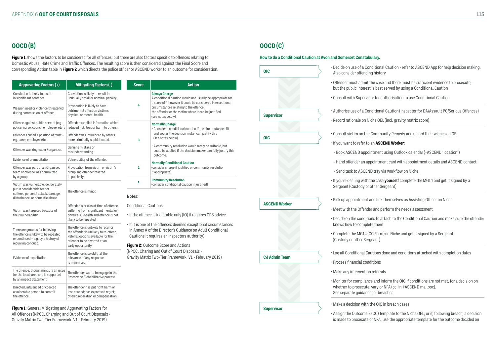# **OOCD (B) OOCD (C)**

#### **Here** Constabulary.

**Figure 1** shows the factors to be considered for all offences, but there are also factors specific to offences relating to Domestic Abuse, Hate Crime and Traffic Offences. The resulting score is then considered against the Final Score and corresponding Action table in **Figure 2** which directs the police officer or ASCEND worker to an outcome for consideration.

- Hand offender an appointment card with appointment details and ASCEND contact

(to ASCEND tray via workflow on Niche

aling with the case **yourself** complete the MG14 and get it signed by a Custody or other Sergeant)

oointment and link themselves as Assisting Officer on Niche

the Offender and perform the needs assessment

he conditions to attach to the Conditional Caution and make sure the offender to complete them

he MG14 (CC Form) on Niche and get it signed by a Sergeant (custody other Sergeant)

ditional Cautions done and conditions attached with completion dates

ancial conditions

ntervention referrals

compliance and inform the OIC if conditions are not met, for a decision on prosecute, vary or NFA (cc. in #ASCEND mailbox). te guidance for breaches

ision with the OIC in breach cases

| <b>OIC</b>           | · Decide on u<br>Also consid               |
|----------------------|--------------------------------------------|
|                      | · Offender mi<br>but the pub               |
|                      | · Consult wit                              |
| <b>Supervisor</b>    | · Authorise u                              |
|                      | · Record ratio                             |
| <b>OIC</b>           | · Consult vict                             |
|                      | · If you want                              |
|                      | - Book ASC                                 |
|                      | - Hand offer                               |
|                      | - Send task                                |
|                      | · If you're dea<br>Sergeant (C             |
| <b>ASCEND Worker</b> | • Pick up app<br>· Meet with t             |
|                      | · Decide on tl<br>knows how                |
|                      | · Complete th<br>(Custody or               |
| <b>CJ Admin Team</b> | · Log all Cond                             |
|                      | · Process fina                             |
|                      | · Make any in                              |
|                      | · Monitor for<br>whether to<br>See separat |
| <b>Supervisor</b>    | · Make a deci                              |
|                      | $\cdot$ Accinn the $\ell$                  |

ase of a Conditional Caution - refer to ASCEND App for help decision making. der offending history

ust admit the case and there must be sufficient evidence to prosecute, blic interest is best served by using a Conditional Caution

th Supervisor for authorisation to use Conditional Caution

ise of a Conditional Caution (Inspector for DA/Assault PC/Serious Offences)

onale on Niche OEL (incl. gravity matrix score)

tim on the Community Remedy and record their wishes on OEL

#### to refer to an **ASCEND Worker**:

END appointment using Outlook calendar (~ASCEND \*location\*)

• Assign the Outcome 3 (CC) Template to the Niche OEL, or if, following breach, a decision is made to prosecute or NFA, use the appropriate template for the outcome decided on

| <b>Aggravating Factors (+)</b>                                                                                                             | <b>Mitigating Factors (-)</b>                                                                                                                        | <b>Score</b>                                                                                                                                                                                                                                                                                                                                | <b>Action</b>                                                                                                                                                                      |  |
|--------------------------------------------------------------------------------------------------------------------------------------------|------------------------------------------------------------------------------------------------------------------------------------------------------|---------------------------------------------------------------------------------------------------------------------------------------------------------------------------------------------------------------------------------------------------------------------------------------------------------------------------------------------|------------------------------------------------------------------------------------------------------------------------------------------------------------------------------------|--|
| Conviction is likely to result<br>in significant sentence                                                                                  | Conviction is likely to result in<br>unusually small or nominal penalty.                                                                             |                                                                                                                                                                                                                                                                                                                                             | <b>Always Charge</b><br>A conditional caution would not usually be appropriate for                                                                                                 |  |
| Weapon used or violence threatened<br>during commission of offence.                                                                        | Prosecution is likely to have<br>detrimental effect on victim's<br>physical or mental health.                                                        | 4                                                                                                                                                                                                                                                                                                                                           | a score of 4 however it could be considered in exceptional<br>circumstances relating to the offence,<br>the offender or the victim where it can be justified<br>(see notes below). |  |
| Offence against public servant (e.g.<br>police, nurse, council employee, etc.).                                                            | Offender supplied information which<br>reduced risk, loss or harm to others.                                                                         |                                                                                                                                                                                                                                                                                                                                             | <b>Normally Charge</b><br>• Consider a conditional caution if the circumstances fit                                                                                                |  |
| Offender abused a position of trust -<br>e.g. carer, employee etc.                                                                         | Offender was influenced by others<br>more criminally sophisticated.                                                                                  | 3                                                                                                                                                                                                                                                                                                                                           | and you as the decision maker can justify this<br>(see notes below).                                                                                                               |  |
| Offender was ringleader / organizer.                                                                                                       | Genuine mistake or<br>misunderstanding.                                                                                                              |                                                                                                                                                                                                                                                                                                                                             | . A community resolution would rarely be suitable, but<br>could be applied if the decision maker can fully justify this<br>outcome.                                                |  |
| Evidence of premeditation.                                                                                                                 | Vulnerability of the offender.                                                                                                                       |                                                                                                                                                                                                                                                                                                                                             | <b>Normally Conditional Caution</b>                                                                                                                                                |  |
| Offender was part of an Organised<br>team or offence was committed                                                                         | Provocation from victim or victim's<br>group and offender reacted                                                                                    | $\overline{2}$                                                                                                                                                                                                                                                                                                                              | (consider charge if justified or community resolution<br>if appropriate).                                                                                                          |  |
| by a group.                                                                                                                                | impulsively.                                                                                                                                         | 1                                                                                                                                                                                                                                                                                                                                           | <b>Community Resolution</b>                                                                                                                                                        |  |
| Victim was vulnerable, deliberately<br>put in considerable fear or<br>suffered personal attack, damage,<br>disturbance, or domestic abuse. | The offence is minor.                                                                                                                                | (consider conditional caution if justified).<br>Notes:<br><b>Conditional Cautions:</b><br>. If the offence is indictable only (IO) it requires CPS advice<br>. If it is one of the offences deemed exceptional circumstances<br>in Annex A of the Director's Guidance on Adult Conditional<br>Cautions it requires an Inspectors authority) |                                                                                                                                                                                    |  |
| Victim was targeted because of<br>their vulnerability.                                                                                     | Offender is or was at time of offence<br>suffering from significant mental or<br>physical ill-health and offence is not<br>likely to be repeated.    |                                                                                                                                                                                                                                                                                                                                             |                                                                                                                                                                                    |  |
| There are grounds for believing<br>the offence is likely to be repeated<br>or continued - e.g. by a history of                             | The offence is unlikely to recur or<br>the offender is unlikely to re-offend,<br>Referral options available for the<br>offender to be diverted at an |                                                                                                                                                                                                                                                                                                                                             |                                                                                                                                                                                    |  |
| recurring conduct.                                                                                                                         | early opportunity.                                                                                                                                   | Figure 2: Outcome Score and Actions                                                                                                                                                                                                                                                                                                         |                                                                                                                                                                                    |  |
| Evidence of exploitation.                                                                                                                  | The offence is so old that the<br>relevance of any response<br>is minimised.                                                                         | (NPCC, Charing and Out of Court Disposals -<br>Gravity Matrix Two-Tier Framework. V1 - February 2019).                                                                                                                                                                                                                                      |                                                                                                                                                                                    |  |
| The offence, though minor, is an issue<br>for the local; area and is supported<br>by an impact Statement.                                  | The offender wants to engage in the<br>Restorative/Rehabilitative process.                                                                           |                                                                                                                                                                                                                                                                                                                                             |                                                                                                                                                                                    |  |
| Directed, influenced or coerced<br>a vulnerable person to commit<br>the offence.                                                           | The offender has put right harm or<br>loss caused; has expressed regret;<br>offered reparation or compensation.                                      |                                                                                                                                                                                                                                                                                                                                             |                                                                                                                                                                                    |  |

**Figure 1**: General Mitigating and Aggravating Factors for All Offences (NPCC, Charging and Out of Court Disposals - Gravity Matrix Two-Tier Framework. V1 - February 2019)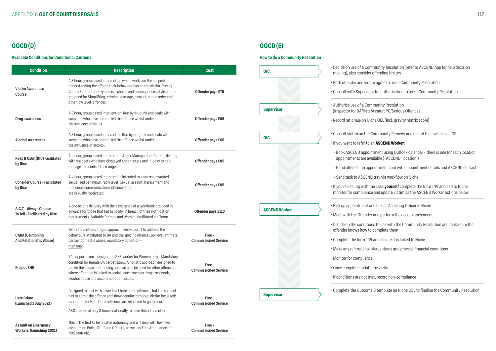# **OOCD (D)**

#### **Available Conditions for Conditional Cautions**

| <b>Condition</b>                                               | <b>Description</b>                                                                                                                                                                                                                                                                                                                      | <b>Cost</b>                           |
|----------------------------------------------------------------|-----------------------------------------------------------------------------------------------------------------------------------------------------------------------------------------------------------------------------------------------------------------------------------------------------------------------------------------|---------------------------------------|
| <b>Victim Awareness</b><br><b>Course</b>                       | A 3 hour, group based intervention which works on the suspect<br>understanding the effects their behaviour has on the victim. Run by<br>Victim Support charity and is a choice and consequences style course.<br>Intended for Shoplifting, criminal damage, assault, public order and<br>other low level offences.                      | <b>Offender pays £75</b>              |
| <b>Drug awareness</b>                                          | A 3 hour, group based intervention. Run by druglink and deals with<br>suspects who have committed the offence whilst under<br>the influence of drugs.                                                                                                                                                                                   | Offender pays £65                     |
| <b>Alcohol awareness</b>                                       | A 3 hour, group based intervention Run by druglink and deals with<br>suspects who have committed the offence whilst under<br>the influence of alcohol.                                                                                                                                                                                  | <b>Offender pays £65</b>              |
| <b>Keep It Calm (KIC) Facilitated</b><br>by Rise               | A 4 hour, group based intervention Anger Management Course, dealing<br>with suspects who have displayed anger issues and it looks to help<br>manage and control their anger.                                                                                                                                                            | <b>Offender pays £85</b>              |
| <b>Consider Course - Facilitated</b><br>by Rise                | A 4 hour, group based intervention intended to address unwanted<br>sexualised behaviour. "Low level" sexual assault, harassment and<br>malicious communications offences that<br>are sexually motivated.                                                                                                                                | <b>Offender pays £85</b>              |
| A.C.T - Always Choose<br><b>To Tell - Facilitated by Rise</b>  | A one to-one delivery with the assistance of a workbook provided in<br>advance for those that fail to notify, in breach of their notification<br>requirements. Suitable for men and Women, facilitated via Zoom.                                                                                                                        | Offender pays £110                    |
| <b>CARA</b> (Cautioning<br><b>And Relationship Abuse)</b>      | Two interventions staged approx. 4 weeks apart to address the<br>behaviours attributed to DA and the specific offence Low level intimate<br>partner domestic abuse, mandatory condition -<br>men only.                                                                                                                                  | Free -<br><b>Commissioned Service</b> |
| <b>Project SHE</b>                                             | 1:1 support from a designated SHE worker for Women only - Mandatory<br>condition for female DA perpetrators. A holistic approach designed to<br>tackle the cause of offending and can also be used for other offences<br>where offending is linked to social issues such as drugs, sex work,<br>alcohol abuse and accommodation issues. | Free -<br><b>Commissioned Service</b> |
| <b>Hate Crime</b><br>(Launched 1 July 2021)                    | Designed to deal with lower level hate crime offences, but the suspect<br>has to admit the offence and show genuine remorse. Victim focussed:<br>as victims for Hate Crime offences are reluctant to go to court.<br>A&S are one of only 3 forces nationally to have this intervention.                                                 | Free -<br><b>Commissioned Service</b> |
| <b>Assault on Emergency</b><br><b>Workers (launching 2021)</b> | This is the first to be created nationally and will deal with low level<br>assaults on Police Staff and Officers, as well as Fire, Ambulance and<br>NHS staff etc.                                                                                                                                                                      | Free -<br><b>Commissioned Service</b> |

# **OOCD (E)**

#### **How to do a Community Resolution**

• Decide on use of a Community Resolution (refer to ASCEND App for help decision

• Both offender and victim agree to use a Community Resolution

• Consult with Supervisor for authorisation to use a Community Resolution

(Inspector for DA/Hate/Assault PC/Serious Offences)

• Record rationale on Niche OEL (incl. gravity matrix score)

• Consult victim on the Community Remedy and record their wishes on OEL

- Book ASCEND appointment using Outlook calendar - there is one for each location appointments are available (~ASCEND \*location\*)

- Hand offender an appointment card with appointment details and ASCEND contact

| <b>Supervisor</b> |                      |  |
|-------------------|----------------------|--|
|                   |                      |  |
|                   |                      |  |
|                   |                      |  |
|                   |                      |  |
|                   |                      |  |
|                   |                      |  |
|                   |                      |  |
|                   |                      |  |
|                   |                      |  |
|                   |                      |  |
|                   |                      |  |
|                   |                      |  |
|                   |                      |  |
|                   |                      |  |
|                   |                      |  |
|                   |                      |  |
|                   |                      |  |
|                   |                      |  |
|                   |                      |  |
|                   |                      |  |
| <b>Supervisor</b> |                      |  |
|                   | <b>ASCEND Worker</b> |  |

- making), also consider offending history
- 
- 
- Authorise use of a Community Resolution
- 
- 
- If you want to refer to an **ASCEND Worker**:
- 
- 
- 
- 
- 
- 
- offender knows how to complete them
- 
- 
- Monitor for compliance
- Once complete update the victim
- If conditions are not met, record non-compliance
- 

- Send task to ASCEND tray via workflow on Niche

• If you're dealing with the case **yourself** complete the form 144 and add to Niche, monitor for compliance and update victim as the ASCEND Worker actions below

• Pick up appointment and link as Assisting Officer in Niche

• Meet with the Offender and perform the needs assessment

• Decide on the conditions to use with the Community Resolution and make sure the

• Complete the form 144 and ensure it is linked to Niche

• Make any referrals to interventions and process financial conditions

• Complete the Outcome 8 template on Niche OEL to finalise the Community Resolution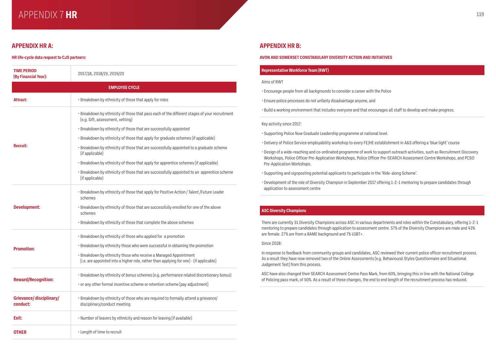# APPENDIX 7 **119 HR**

# **APPENDIX HR A: APPENDIX HR B:**

#### **HR life-cycle data request to CJS partners: AVON AND SOMERSET CONSTABULARY DIVERSITY ACTION AND INITIATIVES**

| <b>TIME PERIOD</b><br>(By Financial Year): | 2017/18, 2018/19, 2019/20                                                                                                                                   |
|--------------------------------------------|-------------------------------------------------------------------------------------------------------------------------------------------------------------|
|                                            | <b>EMPLOYEE CYCLE</b>                                                                                                                                       |
| <b>Attract:</b>                            | . Breakdown by ethnicity of those that apply for roles                                                                                                      |
|                                            | . Breakdown by ethnicity of those that pass each of the different stages of your recruitment<br>(e.g. Sift, assessment, vetting)                            |
|                                            | • Breakdown by ethnicity of those that are successfully appointed                                                                                           |
|                                            | • Breakdown by ethnicity of those that apply for graduate schemes (if applicable)                                                                           |
| <b>Recruit:</b>                            | . Breakdown by ethnicity of those that are successfully appointed to a graduate scheme<br>(if applicable)                                                   |
|                                            | • Breakdown by ethnicity of those that apply for apprentice schemes (if applicable)                                                                         |
|                                            | . Breakdown by ethnicity of those that are successfully appointed to an apprentice scheme<br>(if applicable)                                                |
|                                            | . Breakdown by ethnicity of those that apply for Positive Action / Talent /Future Leader<br>schemes                                                         |
| <b>Development:</b>                        | . Breakdown by ethnicity of those that are successfully enrolled for one of the above<br>schemes                                                            |
|                                            | . Breakdown by ethnicity of those that complete the above schemes                                                                                           |
|                                            | • Breakdown by ethnicity of those who applied for a promotion                                                                                               |
| <b>Promotion:</b>                          | • Breakdown by ethnicity those who were successful in obtaining the promotion                                                                               |
|                                            | • Breakdown by ethnicity those who receive a Managed Appointment<br>(i.e. are appointed into a higher role, rather than applying for one) - (if applicable) |
|                                            | · Breakdown by ethnicity of bonus schemes (e.g. performance related discretionary bonus)                                                                    |
| <b>Reward/Recognition:</b>                 | • or any other formal incentive scheme or retention scheme (pay adjustment)                                                                                 |
| <b>Grievance/disciplinary/</b><br>conduct: | • Breakdown by ethnicity of those who are required to formally attend a grievance/<br>disciplinary/conduct meeting                                          |
| Exit:                                      | • Number of leavers by ethnicity and reason for leaving (if available)                                                                                      |
| OTHER                                      | · Length of time to recruit                                                                                                                                 |

#### **Representative Workforce Team (RWT)**

#### Aims of RWT

- Encourage people from all backgrounds to consider a career with the Police
- Ensure police processes do not unfairly disadvantage anyone, and
- Build a working environment that includes everyone and that encourages all staff to develop and make progress.

#### Key activity since 2017:

- Supporting Police Now Graduate Leadership programme at national level.
- Delivery of Police Service employability workshop to every FE/HE establishment in A&S offering a 'blue light' course
- Design of a wide-reaching and co-ordinated programme of work to support outreach activities, such as Recruitment Discovery Workshops, Police Officer Pre-Application Workshops, Police Officer Pre-SEARCH Assessment Centre Workshops, and PCSO Pre-Application Workshops.
- Supporting and signposting potential applicants to participate in the 'Ride-along Scheme'.
- Development of the role of Diversity Champion in September 2017 offering 1-2-1 mentoring to prepare candidates through application to assessment centre

### **ASC Diversity Champions**

There are currently 31 Diversity Champions across ASC in various departments and roles within the Constabulary, offering 1-2-1 mentoring to prepare candidates through application to assessment centre. 57% of the Diversity Champions are male and 43% are female. 27% are from a BAME background and 7% LGBT+.

#### Since 2018:

In response to feedback from community groups and candidates, ASC reviewed their current police officer recruitment process. As a result they have now removed two of the Online Assessments (e.g. Behavioural Styles Questionnaire and Situational Judgement Test) from this process.

ASC have also changed their SEARCH Assessment Centre Pass Mark, from 60%, bringing this in line with the National College of Policing pass mark, of 50%. As a result of these changes, the end to end length of the recruitment process has reduced.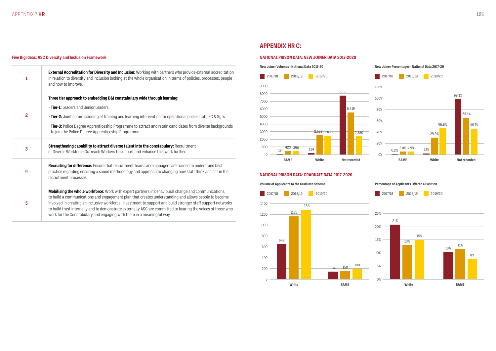#### **Five Big Ideas: ASC Diversity and Inclusion Framework**

| 1              | External Accreditation for Diversity and Inclusion: Working with partners who provide external accreditation<br>in relation to diversity and inclusion looking at the whole organisation in terms of policies, processes, people<br>and how to improve.                                                                                                                                                                                                                                                                     |
|----------------|-----------------------------------------------------------------------------------------------------------------------------------------------------------------------------------------------------------------------------------------------------------------------------------------------------------------------------------------------------------------------------------------------------------------------------------------------------------------------------------------------------------------------------|
|                | Three tier approach to embedding D&I constabulary wide through learning:<br>· Tier-1: Leaders and Senior Leaders,                                                                                                                                                                                                                                                                                                                                                                                                           |
| $\overline{2}$ | • Tier-2: Joint commissioning of training and learning intervention for operational police staff, PC & Sgts                                                                                                                                                                                                                                                                                                                                                                                                                 |
|                | . Tier-3: Police Degree Apprenticeship Programme to attract and retain candidates from diverse backgrounds<br>to join the Police Degree Apprenticeship Programme.                                                                                                                                                                                                                                                                                                                                                           |
| 3              | Strengthening capability to attract diverse talent into the constabulary: Recruitment<br>of Diverse Workforce Outreach Workers to support and enhance this work further.                                                                                                                                                                                                                                                                                                                                                    |
| 4              | Recruiting for difference: Ensure that recruitment teams and managers are trained to understand best<br>practice regarding ensuring a sound methodology and approach to changing how staff think and act in the<br>recruitment processes.                                                                                                                                                                                                                                                                                   |
| 5              | <b>Mobilising the whole workforce:</b> Work with expert partners in behavioural change and communications,<br>to build a communications and engagement plan that creates understanding and allows people to become<br>involved in creating an inclusive workforce. Investment to support and build stronger staff support networks<br>to build trust internally and to demonstrate externally ASC are committed to hearing the voices of those who<br>work for the Constabulary and engaging with them in a meaningful way. |

# **APPENDIX HR C:**

#### **NATIONAL PRISON DATA: NEW JOINER DATA 2017-2020**

![](_page_60_Figure_5.jpeg)

![](_page_60_Figure_6.jpeg)

#### **New Joiner Percentages - National Data 2017-20**

![](_page_60_Figure_10.jpeg)

#### **NATIONAL PRISON DATA: GRADUATE DATA 2017-2020**

**Volume of Applicants to the Graduate Scheme**

![](_page_60_Figure_9.jpeg)

**Percentage of Applicants Offered a Position**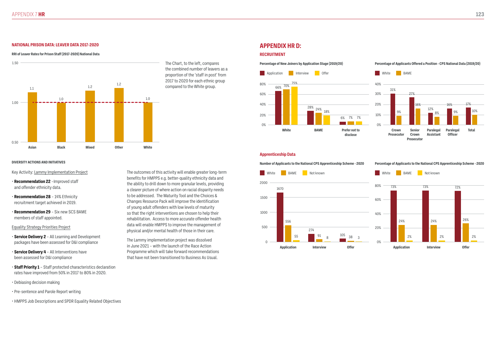#### **DIVERSITY ACTIONS AND INITIATIVES**

The Chart, to the left, compares the combined number of leavers as a proportion of the 'staff in post' from 2017 to 2020 for each ethnic group compared to the White group.

Key Activity: Lammy Implementation Project

- **Recommendation 22** –Improved staff and offender ethnicity data.
- **Recommendation 28** 14% Ethnicity recruitment target achieved in 2019.
- **Recommendation 29** Six new SCS BAME members of staff appointed.

#### Equality Strategy Priorities Project

- **Service Delivery 2** All Learning and Development packages have been assessed for D&I compliance
- **Service Delivery 4** All Interventions have been assessed for D&I compliance
- **Staff Priority 1** Staff protected characteristics declaration rates have improved from 50% in 2017 to 80% in 2020.
- Debiasing decision making
- Pre-sentence and Parole Report writing
- HMPPS Job Descriptions and SPDR Equality Related Objectives

The outcomes of this activity will enable greater long-term benefits for HMPPS e.g. better-quality ethnicity data and the ability to drill down to more granular levels, providing a clearer picture of where action on racial disparity needs to be addressed. The Maturity Tool and the Choices & Changes Resource Pack will improve the identification of young adult offenders with low levels of maturity so that the right interventions are chosen to help their rehabilitation. Access to more accurate offender health data will enable HMPPS to improve the management of physical and/or mental health of those in their care.

The Lammy implementation project was dissolved in June 2021 – with the launch of the Race Action Programme which will take forward recommendations that have not been transitioned to Business As Usual.

#### **APPENDIX HR D: NATIONAL PRISON DATA: LEAVER DATA 2017-2020**

#### **RRI of Leaver Rates for Prison Staff (2017-2020) National Data RECRUITMENT**

![](_page_61_Figure_3.jpeg)

#### **Percentage of New Joiners by Application Stage (2019/20)**

#### **Percentage of Applicants Offered a Position - CPS National Data (2019/20)**

![](_page_61_Figure_22.jpeg)

#### **Apprenticeship Data**

**Number of Applicants to the National CPS Apprenticeship Scheme - 2020**

![](_page_61_Figure_25.jpeg)

**Percentage of Applicants to the National CPS Apprenticeship Scheme - 2020**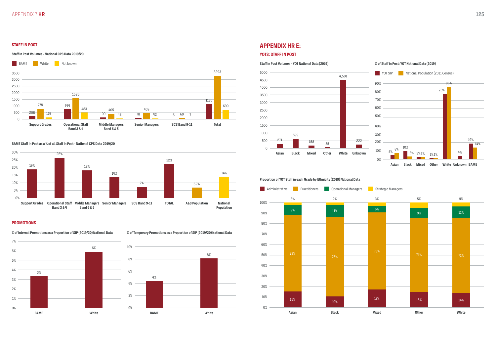### **APPENDIX HR E:**

#### **YOTS: STAFF IN POST**

#### **STAFF IN POST**

#### **Staff in Post Volumes - National CPS Data 2019/20**

![](_page_62_Figure_3.jpeg)

#### **BAME Staff in Post as a % of all Staff in Post - National CPS Data 2019/20**

![](_page_62_Figure_5.jpeg)

#### **PROMOTIONS**

**% of Internal Promotions as a Proportion of SIP (2019/20) National Data**

![](_page_62_Figure_8.jpeg)

**% of Temporary Promotions as a Proportion of SIP (2019/20) National Data**

![](_page_62_Figure_10.jpeg)

#### **Staff in Post Volumes - YOT National Data (2019)**

#### **% of Staff in Post: YOT National Data (2019)**

![](_page_62_Figure_14.jpeg)

#### **Proportion of YOT Staff in each Grade by Ethnicity (2019) National Data**

![](_page_62_Figure_16.jpeg)

| <b>\sian</b> |  | <b>Black</b> |  | <b>Mixed</b> |  | <b>Other</b> |  | White |  |
|--------------|--|--------------|--|--------------|--|--------------|--|-------|--|
| 15%          |  | $10\%$       |  | 17%          |  | 15%          |  | 14%   |  |
|              |  |              |  |              |  |              |  |       |  |
|              |  |              |  |              |  |              |  |       |  |
| 73%          |  | 76%          |  | 73%          |  | 71%          |  | 71%   |  |
|              |  |              |  |              |  |              |  |       |  |
|              |  |              |  |              |  |              |  |       |  |
|              |  |              |  |              |  |              |  |       |  |
|              |  |              |  |              |  |              |  |       |  |
| 9%           |  | $11\%$       |  | 6%           |  | $9\%$        |  | 11%   |  |
| $3\%$        |  | 2%           |  | 3%           |  | $5%$         |  | 4%    |  |
|              |  |              |  |              |  |              |  |       |  |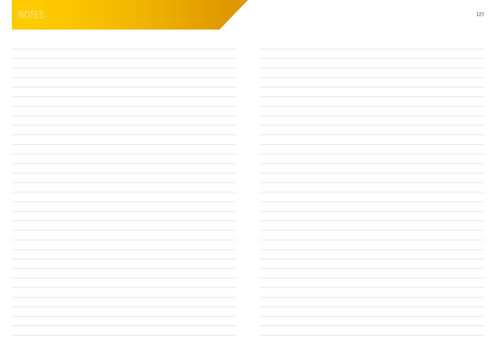| the control of                    |                                   |
|-----------------------------------|-----------------------------------|
| and the control                   |                                   |
|                                   |                                   |
|                                   |                                   |
|                                   |                                   |
|                                   |                                   |
|                                   |                                   |
|                                   |                                   |
|                                   |                                   |
|                                   |                                   |
|                                   |                                   |
|                                   |                                   |
|                                   |                                   |
|                                   |                                   |
| the control of the con-           |                                   |
|                                   |                                   |
| and the con-                      |                                   |
|                                   |                                   |
|                                   |                                   |
|                                   |                                   |
|                                   |                                   |
|                                   |                                   |
|                                   |                                   |
|                                   |                                   |
|                                   |                                   |
|                                   |                                   |
|                                   |                                   |
|                                   |                                   |
|                                   |                                   |
|                                   |                                   |
| the company's                     |                                   |
| the control of the control of the |                                   |
|                                   | the control of the con-           |
|                                   | the company of<br><b>Contract</b> |
|                                   |                                   |